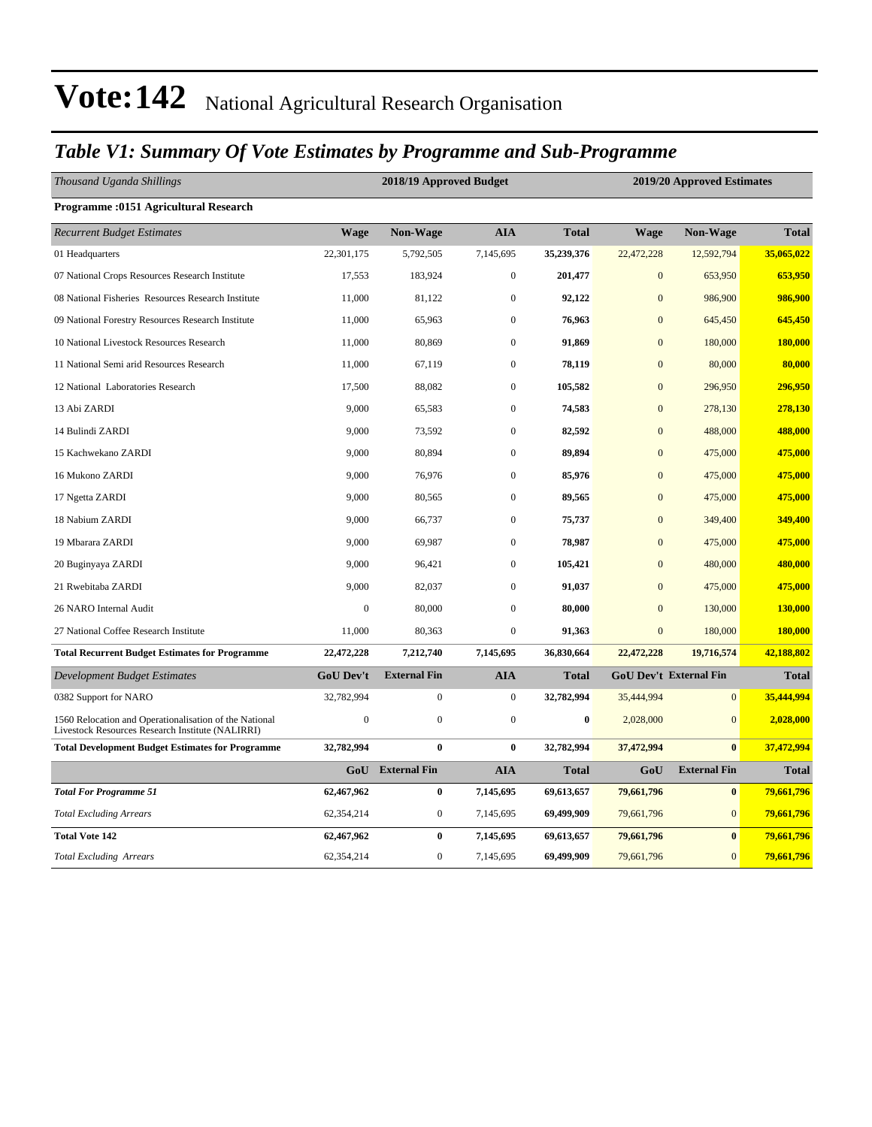### *Table V1: Summary Of Vote Estimates by Programme and Sub-Programme*

| Thousand Uganda Shillings                                                                                  |                  | 2018/19 Approved Budget |                  |                  |                               | 2019/20 Approved Estimates |              |  |  |
|------------------------------------------------------------------------------------------------------------|------------------|-------------------------|------------------|------------------|-------------------------------|----------------------------|--------------|--|--|
| <b>Programme: 0151 Agricultural Research</b>                                                               |                  |                         |                  |                  |                               |                            |              |  |  |
| <b>Recurrent Budget Estimates</b>                                                                          | <b>Wage</b>      | Non-Wage                | <b>AIA</b>       | <b>Total</b>     | <b>Wage</b>                   | Non-Wage                   | <b>Total</b> |  |  |
| 01 Headquarters                                                                                            | 22,301,175       | 5,792,505               | 7,145,695        | 35,239,376       | 22,472,228                    | 12,592,794                 | 35,065,022   |  |  |
| 07 National Crops Resources Research Institute                                                             | 17,553           | 183,924                 | $\boldsymbol{0}$ | 201,477          | $\mathbf{0}$                  | 653,950                    | 653,950      |  |  |
| 08 National Fisheries Resources Research Institute                                                         | 11,000           | 81,122                  | $\boldsymbol{0}$ | 92,122           | $\mathbf{0}$                  | 986,900                    | 986,900      |  |  |
| 09 National Forestry Resources Research Institute                                                          | 11,000           | 65,963                  | $\mathbf{0}$     | 76,963           | $\mathbf{0}$                  | 645,450                    | 645,450      |  |  |
| 10 National Livestock Resources Research                                                                   | 11,000           | 80,869                  | $\boldsymbol{0}$ | 91,869           | $\mathbf{0}$                  | 180,000                    | 180,000      |  |  |
| 11 National Semi arid Resources Research                                                                   | 11,000           | 67,119                  | $\overline{0}$   | 78,119           | $\mathbf{0}$                  | 80,000                     | 80,000       |  |  |
| 12 National Laboratories Research                                                                          | 17,500           | 88,082                  | $\boldsymbol{0}$ | 105,582          | $\mathbf{0}$                  | 296,950                    | 296,950      |  |  |
| 13 Abi ZARDI                                                                                               | 9,000            | 65,583                  | $\boldsymbol{0}$ | 74,583           | $\mathbf{0}$                  | 278,130                    | 278,130      |  |  |
| 14 Bulindi ZARDI                                                                                           | 9,000            | 73,592                  | $\overline{0}$   | 82,592           | $\overline{0}$                | 488,000                    | 488,000      |  |  |
| 15 Kachwekano ZARDI                                                                                        | 9,000            | 80,894                  | $\mathbf{0}$     | 89,894           | $\mathbf{0}$                  | 475,000                    | 475,000      |  |  |
| 16 Mukono ZARDI                                                                                            | 9,000            | 76,976                  | $\boldsymbol{0}$ | 85,976           | $\overline{0}$                | 475,000                    | 475,000      |  |  |
| 17 Ngetta ZARDI                                                                                            | 9,000            | 80,565                  | $\boldsymbol{0}$ | 89,565           | $\mathbf{0}$                  | 475,000                    | 475,000      |  |  |
| 18 Nabium ZARDI                                                                                            | 9,000            | 66,737                  | $\boldsymbol{0}$ | 75,737           | $\overline{0}$                | 349,400                    | 349,400      |  |  |
| 19 Mbarara ZARDI                                                                                           | 9,000            | 69,987                  | $\boldsymbol{0}$ | 78,987           | $\mathbf{0}$                  | 475,000                    | 475,000      |  |  |
| 20 Buginyaya ZARDI                                                                                         | 9,000            | 96,421                  | $\boldsymbol{0}$ | 105,421          | $\mathbf{0}$                  | 480,000                    | 480,000      |  |  |
| 21 Rwebitaba ZARDI                                                                                         | 9,000            | 82,037                  | $\overline{0}$   | 91,037           | $\overline{0}$                | 475,000                    | 475,000      |  |  |
| 26 NARO Internal Audit                                                                                     | $\mathbf{0}$     | 80,000                  | $\boldsymbol{0}$ | 80,000           | $\mathbf{0}$                  | 130,000                    | 130,000      |  |  |
| 27 National Coffee Research Institute                                                                      | 11,000           | 80,363                  | $\boldsymbol{0}$ | 91,363           | $\mathbf{0}$                  | 180,000                    | 180,000      |  |  |
| <b>Total Recurrent Budget Estimates for Programme</b>                                                      | 22,472,228       | 7,212,740               | 7,145,695        | 36,830,664       | 22,472,228                    | 19,716,574                 | 42,188,802   |  |  |
| <b>Development Budget Estimates</b>                                                                        | <b>GoU Dev't</b> | <b>External Fin</b>     | <b>AIA</b>       | <b>Total</b>     | <b>GoU Dev't External Fin</b> |                            | <b>Total</b> |  |  |
| 0382 Support for NARO                                                                                      | 32,782,994       | $\boldsymbol{0}$        | $\boldsymbol{0}$ | 32,782,994       | 35,444,994                    | $\mathbf{0}$               | 35,444,994   |  |  |
| 1560 Relocation and Operationalisation of the National<br>Livestock Resources Research Institute (NALIRRI) | $\boldsymbol{0}$ | $\boldsymbol{0}$        | $\overline{0}$   | $\boldsymbol{0}$ | 2,028,000                     | $\mathbf{0}$               | 2,028,000    |  |  |
| <b>Total Development Budget Estimates for Programme</b>                                                    | 32,782,994       | $\bf{0}$                | $\bf{0}$         | 32,782,994       | 37,472,994                    | $\bf{0}$                   | 37,472,994   |  |  |
|                                                                                                            | GoU              | <b>External Fin</b>     | <b>AIA</b>       | <b>Total</b>     | GoU                           | <b>External Fin</b>        | <b>Total</b> |  |  |
| <b>Total For Programme 51</b>                                                                              | 62,467,962       | $\bf{0}$                | 7,145,695        | 69,613,657       | 79,661,796                    | $\bf{0}$                   | 79,661,796   |  |  |
| <b>Total Excluding Arrears</b>                                                                             | 62,354,214       | $\mathbf{0}$            | 7,145,695        | 69,499,909       | 79,661,796                    | $\mathbf{0}$               | 79,661,796   |  |  |
| <b>Total Vote 142</b>                                                                                      | 62,467,962       | $\bf{0}$                | 7,145,695        | 69,613,657       | 79,661,796                    | $\bf{0}$                   | 79,661,796   |  |  |
| <b>Total Excluding Arrears</b>                                                                             | 62,354,214       | $\mathbf{0}$            | 7,145,695        | 69,499,909       | 79,661,796                    | $\overline{0}$             | 79,661,796   |  |  |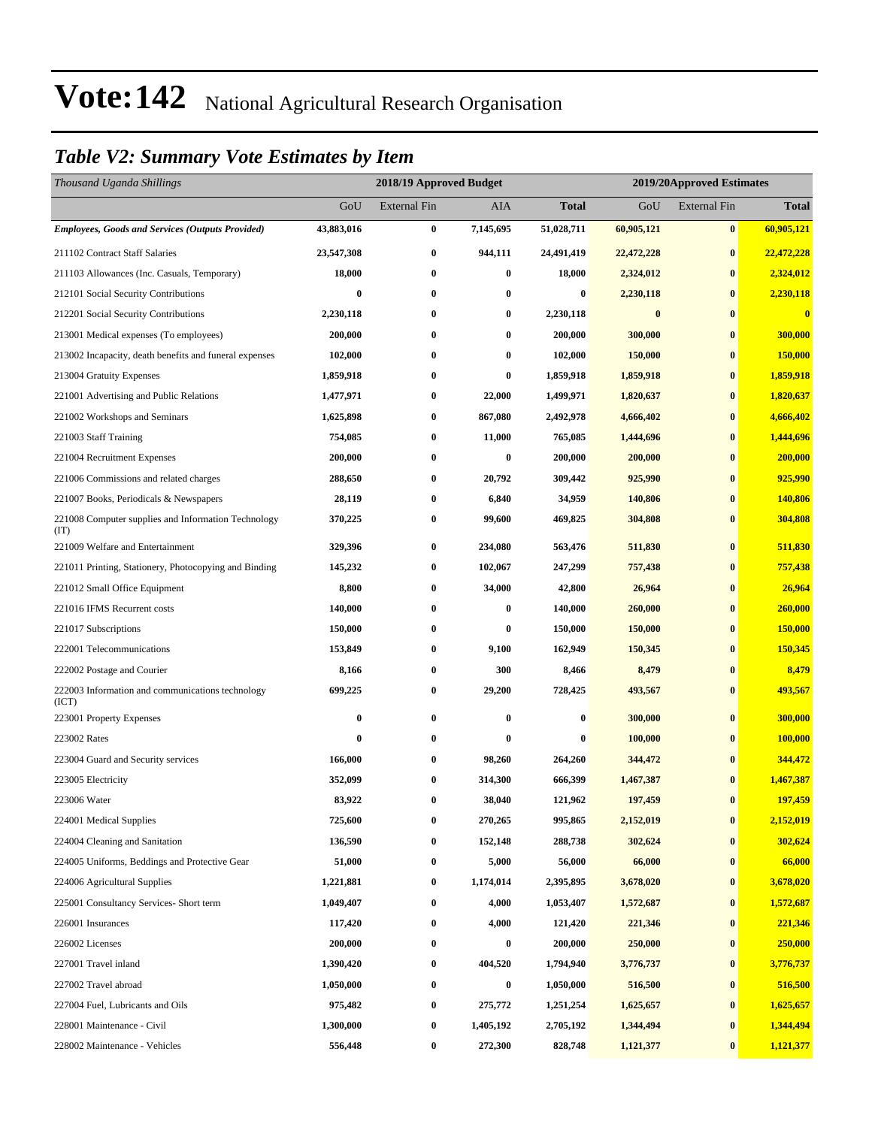#### *Table V2: Summary Vote Estimates by Item*

| Thousand Uganda Shillings                                   |            | 2018/19 Approved Budget |           |              | 2019/20Approved Estimates |                     |                         |  |  |
|-------------------------------------------------------------|------------|-------------------------|-----------|--------------|---------------------------|---------------------|-------------------------|--|--|
|                                                             | GoU        | <b>External Fin</b>     | AIA       | <b>Total</b> | GoU                       | <b>External Fin</b> | <b>Total</b>            |  |  |
| <b>Employees, Goods and Services (Outputs Provided)</b>     | 43,883,016 | $\boldsymbol{0}$        | 7,145,695 | 51,028,711   | 60,905,121                | $\bf{0}$            | 60,905,121              |  |  |
| 211102 Contract Staff Salaries                              | 23,547,308 | $\boldsymbol{0}$        | 944,111   | 24,491,419   | 22,472,228                | $\bf{0}$            | 22,472,228              |  |  |
| 211103 Allowances (Inc. Casuals, Temporary)                 | 18,000     | $\bf{0}$                | $\bf{0}$  | 18,000       | 2,324,012                 | $\bf{0}$            | 2,324,012               |  |  |
| 212101 Social Security Contributions                        | $\bf{0}$   | $\bf{0}$                | $\bf{0}$  | $\bf{0}$     | 2,230,118                 | $\bf{0}$            | 2,230,118               |  |  |
| 212201 Social Security Contributions                        | 2,230,118  | $\bf{0}$                | $\bf{0}$  | 2,230,118    | $\bf{0}$                  | $\bf{0}$            | $\overline{\mathbf{0}}$ |  |  |
| 213001 Medical expenses (To employees)                      | 200,000    | $\bf{0}$                | $\bf{0}$  | 200,000      | 300,000                   | $\bf{0}$            | 300,000                 |  |  |
| 213002 Incapacity, death benefits and funeral expenses      | 102,000    | $\bf{0}$                | $\bf{0}$  | 102,000      | 150,000                   | $\bf{0}$            | 150,000                 |  |  |
| 213004 Gratuity Expenses                                    | 1,859,918  | $\bf{0}$                | $\bf{0}$  | 1,859,918    | 1,859,918                 | $\bf{0}$            | 1,859,918               |  |  |
| 221001 Advertising and Public Relations                     | 1,477,971  | $\bf{0}$                | 22,000    | 1,499,971    | 1,820,637                 | $\bf{0}$            | 1,820,637               |  |  |
| 221002 Workshops and Seminars                               | 1,625,898  | $\bf{0}$                | 867,080   | 2,492,978    | 4,666,402                 | $\bf{0}$            | 4,666,402               |  |  |
| 221003 Staff Training                                       | 754,085    | $\bf{0}$                | 11,000    | 765,085      | 1,444,696                 | $\bf{0}$            | 1,444,696               |  |  |
| 221004 Recruitment Expenses                                 | 200,000    | $\bf{0}$                | $\bf{0}$  | 200,000      | 200,000                   | $\bf{0}$            | 200,000                 |  |  |
| 221006 Commissions and related charges                      | 288,650    | $\bf{0}$                | 20,792    | 309,442      | 925,990                   | $\bf{0}$            | 925,990                 |  |  |
| 221007 Books, Periodicals & Newspapers                      | 28,119     | $\bf{0}$                | 6,840     | 34,959       | 140,806                   | $\bf{0}$            | 140,806                 |  |  |
| 221008 Computer supplies and Information Technology<br>(TT) | 370,225    | $\bf{0}$                | 99,600    | 469,825      | 304,808                   | $\bf{0}$            | 304,808                 |  |  |
| 221009 Welfare and Entertainment                            | 329,396    | $\bf{0}$                | 234,080   | 563,476      | 511,830                   | $\bf{0}$            | 511,830                 |  |  |
| 221011 Printing, Stationery, Photocopying and Binding       | 145,232    | $\boldsymbol{0}$        | 102,067   | 247,299      | 757,438                   | $\bf{0}$            | 757,438                 |  |  |
| 221012 Small Office Equipment                               | 8,800      | $\bf{0}$                | 34,000    | 42,800       | 26,964                    | $\bf{0}$            | 26,964                  |  |  |
| 221016 IFMS Recurrent costs                                 | 140,000    | $\bf{0}$                | $\bf{0}$  | 140,000      | 260,000                   | $\bf{0}$            | 260,000                 |  |  |
| 221017 Subscriptions                                        | 150,000    | $\bf{0}$                | $\bf{0}$  | 150,000      | 150,000                   | $\bf{0}$            | 150,000                 |  |  |
| 222001 Telecommunications                                   | 153,849    | $\bf{0}$                | 9,100     | 162,949      | 150,345                   | $\bf{0}$            | 150,345                 |  |  |
| 222002 Postage and Courier                                  | 8,166      | $\boldsymbol{0}$        | 300       | 8,466        | 8,479                     | $\bf{0}$            | 8,479                   |  |  |
| 222003 Information and communications technology<br>(ICT)   | 699,225    | $\bf{0}$                | 29,200    | 728,425      | 493,567                   | $\bf{0}$            | 493,567                 |  |  |
| 223001 Property Expenses                                    | 0          | $\bf{0}$                | $\bf{0}$  | 0            | 300,000                   | $\bf{0}$            | 300,000                 |  |  |
| 223002 Rates                                                | 0          | $\bf{0}$                | $\bf{0}$  | 0            | 100,000                   | $\bf{0}$            | 100,000                 |  |  |
| 223004 Guard and Security services                          | 166,000    | $\bf{0}$                | 98,260    | 264,260      | 344,472                   | $\bf{0}$            | 344,472                 |  |  |
| 223005 Electricity                                          | 352,099    | $\bf{0}$                | 314,300   | 666,399      | 1,467,387                 | $\bf{0}$            | 1,467,387               |  |  |
| 223006 Water                                                | 83,922     | $\bf{0}$                | 38,040    | 121,962      | 197,459                   | $\bf{0}$            | 197,459                 |  |  |
| 224001 Medical Supplies                                     | 725,600    | $\boldsymbol{0}$        | 270,265   | 995,865      | 2,152,019                 | $\bf{0}$            | 2,152,019               |  |  |
| 224004 Cleaning and Sanitation                              | 136,590    | $\boldsymbol{0}$        | 152,148   | 288,738      | 302,624                   | $\bf{0}$            | 302,624                 |  |  |
| 224005 Uniforms, Beddings and Protective Gear               | 51,000     | $\boldsymbol{0}$        | 5,000     | 56,000       | 66,000                    | $\bf{0}$            | 66,000                  |  |  |
| 224006 Agricultural Supplies                                | 1,221,881  | $\boldsymbol{0}$        | 1,174,014 | 2,395,895    | 3,678,020                 | $\bf{0}$            | 3,678,020               |  |  |
| 225001 Consultancy Services- Short term                     | 1,049,407  | $\boldsymbol{0}$        | 4,000     | 1,053,407    | 1,572,687                 | $\bf{0}$            | 1,572,687               |  |  |
| 226001 Insurances                                           | 117,420    | $\boldsymbol{0}$        | 4,000     | 121,420      | 221,346                   | $\bf{0}$            | 221,346                 |  |  |
| 226002 Licenses                                             | 200,000    | $\boldsymbol{0}$        | $\bf{0}$  | 200,000      | 250,000                   | $\bf{0}$            | 250,000                 |  |  |
| 227001 Travel inland                                        | 1,390,420  | $\boldsymbol{0}$        | 404,520   | 1,794,940    | 3,776,737                 | $\bf{0}$            | 3,776,737               |  |  |
| 227002 Travel abroad                                        | 1,050,000  | $\boldsymbol{0}$        | $\bf{0}$  | 1,050,000    | 516,500                   | $\bf{0}$            | 516,500                 |  |  |
| 227004 Fuel, Lubricants and Oils                            | 975,482    | $\boldsymbol{0}$        | 275,772   | 1,251,254    | 1,625,657                 | $\bf{0}$            | 1,625,657               |  |  |
| 228001 Maintenance - Civil                                  | 1,300,000  | $\boldsymbol{0}$        | 1,405,192 | 2,705,192    | 1,344,494                 | $\bf{0}$            | 1,344,494               |  |  |
| 228002 Maintenance - Vehicles                               | 556,448    | $\boldsymbol{0}$        | 272,300   | 828,748      | 1,121,377                 | $\bf{0}$            | 1,121,377               |  |  |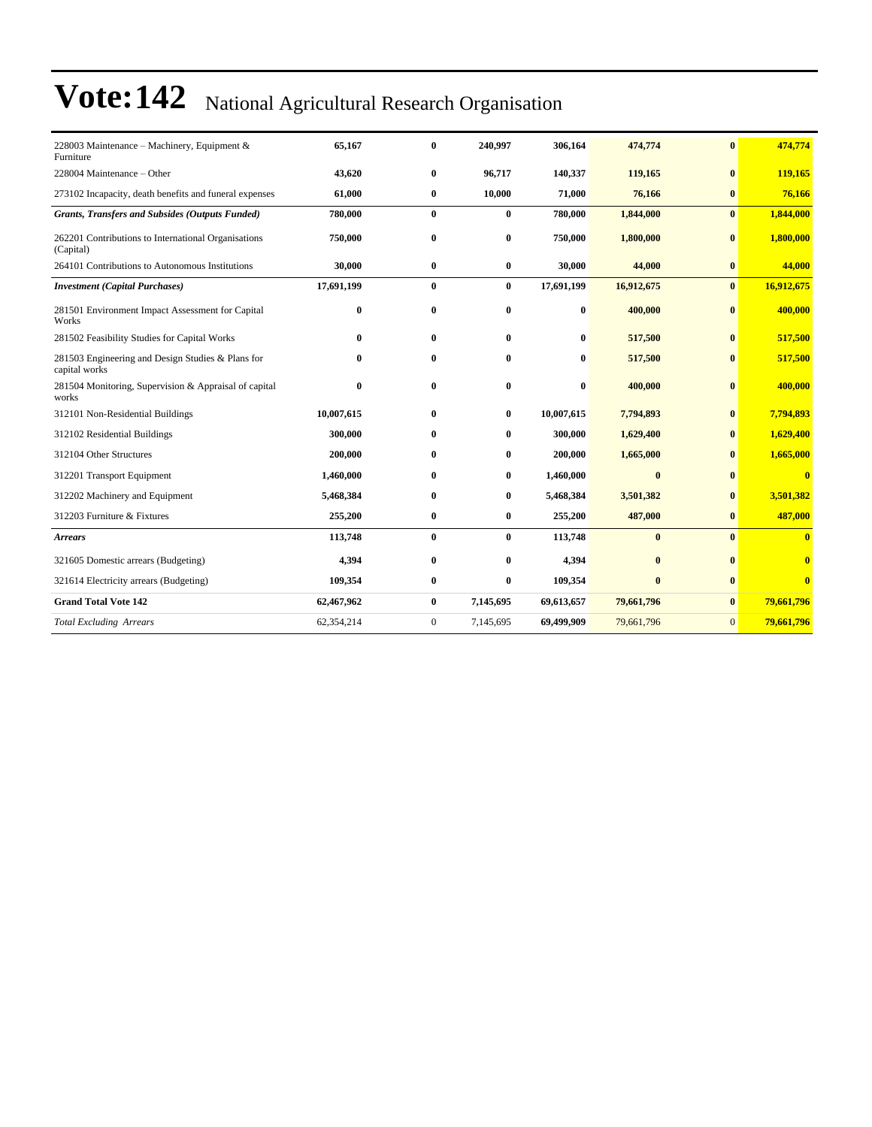| 228003 Maintenance - Machinery, Equipment &<br>Furniture           | 65,167     | $\bf{0}$         | 240,997      | 306,164    | 474,774      | $\mathbf{0}$ | 474,774        |
|--------------------------------------------------------------------|------------|------------------|--------------|------------|--------------|--------------|----------------|
| 228004 Maintenance - Other                                         | 43,620     | $\bf{0}$         | 96,717       | 140,337    | 119,165      | $\mathbf{0}$ | 119,165        |
| 273102 Incapacity, death benefits and funeral expenses             | 61,000     | $\bf{0}$         | 10,000       | 71,000     | 76,166       | $\bf{0}$     | 76,166         |
| <b>Grants, Transfers and Subsides (Outputs Funded)</b>             | 780,000    | $\bf{0}$         | $\bf{0}$     | 780,000    | 1,844,000    | $\bf{0}$     | 1,844,000      |
| 262201 Contributions to International Organisations<br>(Capital)   | 750,000    | $\bf{0}$         | $\bf{0}$     | 750,000    | 1,800,000    | $\bf{0}$     | 1,800,000      |
| 264101 Contributions to Autonomous Institutions                    | 30,000     | $\bf{0}$         | $\bf{0}$     | 30,000     | 44,000       | $\bf{0}$     | 44,000         |
| <b>Investment</b> (Capital Purchases)                              | 17,691,199 | $\bf{0}$         | $\bf{0}$     | 17,691,199 | 16,912,675   | $\bf{0}$     | 16,912,675     |
| 281501 Environment Impact Assessment for Capital<br>Works          | 0          | $\bf{0}$         | $\mathbf{0}$ | 0          | 400,000      | $\mathbf{0}$ | 400,000        |
| 281502 Feasibility Studies for Capital Works                       | 0          | $\bf{0}$         | $\bf{0}$     | 0          | 517,500      | $\bf{0}$     | 517,500        |
| 281503 Engineering and Design Studies & Plans for<br>capital works | 0          | $\bf{0}$         | 0            | 0          | 517,500      | $\bf{0}$     | 517,500        |
| 281504 Monitoring, Supervision & Appraisal of capital<br>works     | 0          | $\bf{0}$         | $\mathbf{0}$ | 0          | 400,000      | $\bf{0}$     | 400,000        |
| 312101 Non-Residential Buildings                                   | 10,007,615 | $\bf{0}$         | $\bf{0}$     | 10,007,615 | 7,794,893    | $\bf{0}$     | 7,794,893      |
| 312102 Residential Buildings                                       | 300,000    | $\bf{0}$         | $\bf{0}$     | 300,000    | 1,629,400    | $\mathbf{0}$ | 1,629,400      |
| 312104 Other Structures                                            | 200,000    | $\bf{0}$         | $\bf{0}$     | 200,000    | 1,665,000    | $\mathbf{0}$ | 1,665,000      |
| 312201 Transport Equipment                                         | 1,460,000  | $\bf{0}$         | $\bf{0}$     | 1,460,000  | $\bf{0}$     | $\mathbf{0}$ | $\overline{0}$ |
| 312202 Machinery and Equipment                                     | 5,468,384  | $\bf{0}$         | $\bf{0}$     | 5,468,384  | 3,501,382    | $\bf{0}$     | 3,501,382      |
| 312203 Furniture & Fixtures                                        | 255,200    | $\bf{0}$         | $\bf{0}$     | 255,200    | 487,000      | $\mathbf{0}$ | 487,000        |
| <b>Arrears</b>                                                     | 113,748    | $\bf{0}$         | $\bf{0}$     | 113,748    | $\bf{0}$     | $\mathbf{0}$ | $\bf{0}$       |
| 321605 Domestic arrears (Budgeting)                                | 4,394      | $\bf{0}$         | $\mathbf{0}$ | 4,394      | $\mathbf{0}$ | $\mathbf{0}$ | $\bf{0}$       |
| 321614 Electricity arrears (Budgeting)                             | 109,354    | $\bf{0}$         | 0            | 109,354    | $\mathbf{0}$ | $\mathbf{0}$ | $\bf{0}$       |
| <b>Grand Total Vote 142</b>                                        | 62,467,962 | $\bf{0}$         | 7,145,695    | 69,613,657 | 79,661,796   | $\bf{0}$     | 79,661,796     |
| <b>Total Excluding Arrears</b>                                     | 62,354,214 | $\boldsymbol{0}$ | 7,145,695    | 69,499,909 | 79,661,796   | $\mathbf{0}$ | 79,661,796     |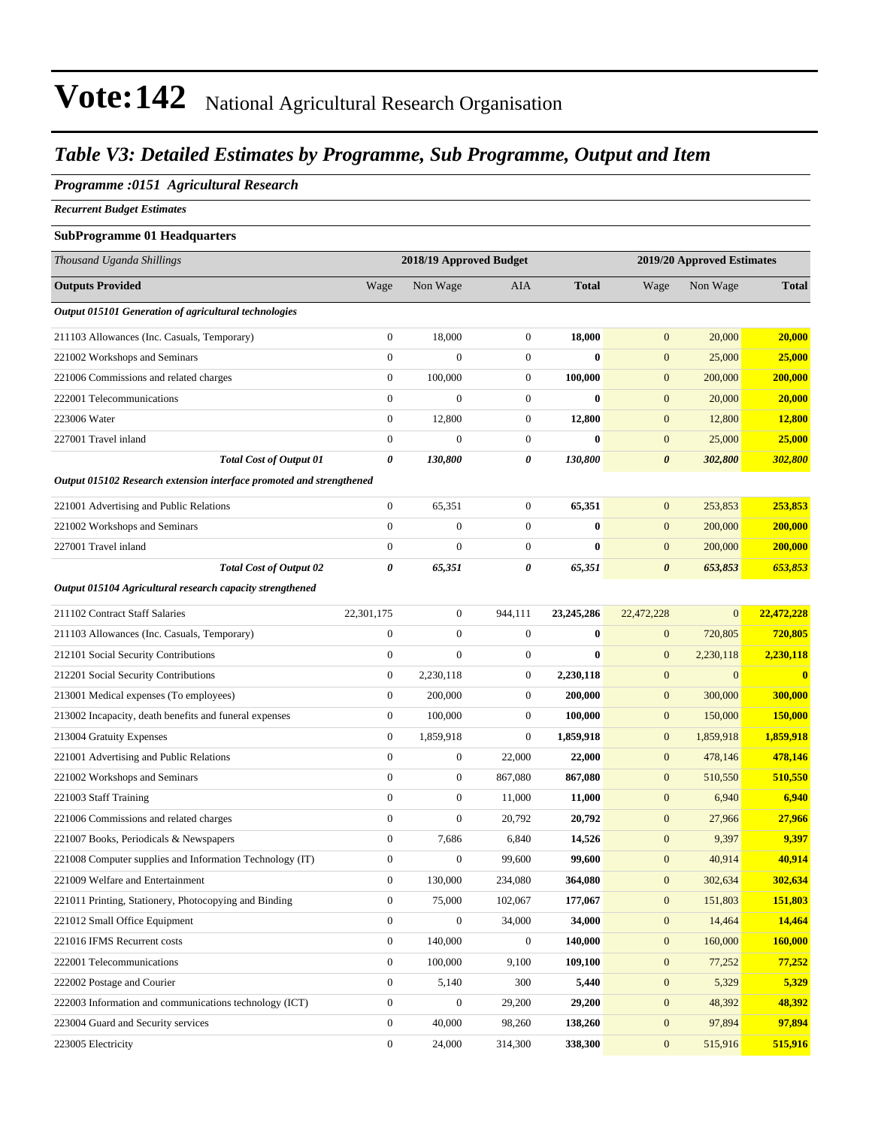#### *Table V3: Detailed Estimates by Programme, Sub Programme, Output and Item*

#### *Programme :0151 Agricultural Research*

*Recurrent Budget Estimates*

#### **SubProgramme 01 Headquarters**

| Thousand Uganda Shillings                                            |                  | 2018/19 Approved Budget |                  |              | 2019/20 Approved Estimates |              |                |  |
|----------------------------------------------------------------------|------------------|-------------------------|------------------|--------------|----------------------------|--------------|----------------|--|
| <b>Outputs Provided</b>                                              | Wage             | Non Wage                | <b>AIA</b>       | <b>Total</b> | Wage                       | Non Wage     | <b>Total</b>   |  |
| Output 015101 Generation of agricultural technologies                |                  |                         |                  |              |                            |              |                |  |
| 211103 Allowances (Inc. Casuals, Temporary)                          | $\boldsymbol{0}$ | 18,000                  | $\boldsymbol{0}$ | 18,000       | $\mathbf{0}$               | 20,000       | 20,000         |  |
| 221002 Workshops and Seminars                                        | $\mathbf{0}$     | $\overline{0}$          | $\boldsymbol{0}$ | $\bf{0}$     | $\mathbf{0}$               | 25,000       | 25,000         |  |
| 221006 Commissions and related charges                               | $\mathbf{0}$     | 100,000                 | $\boldsymbol{0}$ | 100,000      | $\boldsymbol{0}$           | 200,000      | 200,000        |  |
| 222001 Telecommunications                                            | $\overline{0}$   | $\overline{0}$          | $\boldsymbol{0}$ | $\bf{0}$     | $\mathbf{0}$               | 20,000       | 20,000         |  |
| 223006 Water                                                         | $\boldsymbol{0}$ | 12,800                  | $\boldsymbol{0}$ | 12,800       | $\boldsymbol{0}$           | 12,800       | 12,800         |  |
| 227001 Travel inland                                                 | $\boldsymbol{0}$ | $\boldsymbol{0}$        | $\boldsymbol{0}$ | $\bf{0}$     | $\mathbf{0}$               | 25,000       | 25,000         |  |
| <b>Total Cost of Output 01</b>                                       | 0                | 130,800                 | 0                | 130,800      | $\boldsymbol{\theta}$      | 302,800      | 302,800        |  |
| Output 015102 Research extension interface promoted and strengthened |                  |                         |                  |              |                            |              |                |  |
| 221001 Advertising and Public Relations                              | $\boldsymbol{0}$ | 65,351                  | $\boldsymbol{0}$ | 65,351       | $\mathbf{0}$               | 253,853      | 253,853        |  |
| 221002 Workshops and Seminars                                        | $\mathbf{0}$     | $\boldsymbol{0}$        | $\boldsymbol{0}$ | $\bf{0}$     | $\mathbf{0}$               | 200,000      | 200,000        |  |
| 227001 Travel inland                                                 | $\boldsymbol{0}$ | $\boldsymbol{0}$        | $\boldsymbol{0}$ | $\bf{0}$     | $\mathbf{0}$               | 200,000      | 200,000        |  |
| <b>Total Cost of Output 02</b>                                       | 0                | 65,351                  | 0                | 65,351       | $\boldsymbol{\theta}$      | 653,853      | 653,853        |  |
| Output 015104 Agricultural research capacity strengthened            |                  |                         |                  |              |                            |              |                |  |
| 211102 Contract Staff Salaries                                       | 22,301,175       | $\boldsymbol{0}$        | 944,111          | 23, 245, 286 | 22,472,228                 | $\mathbf{0}$ | 22,472,228     |  |
| 211103 Allowances (Inc. Casuals, Temporary)                          | $\boldsymbol{0}$ | $\boldsymbol{0}$        | $\mathbf{0}$     | $\bf{0}$     | $\boldsymbol{0}$           | 720,805      | 720,805        |  |
| 212101 Social Security Contributions                                 | $\boldsymbol{0}$ | $\boldsymbol{0}$        | $\boldsymbol{0}$ | $\bf{0}$     | $\mathbf{0}$               | 2,230,118    | 2,230,118      |  |
| 212201 Social Security Contributions                                 | $\boldsymbol{0}$ | 2,230,118               | 0                | 2,230,118    | $\mathbf{0}$               | $\mathbf{0}$ | $\mathbf{0}$   |  |
| 213001 Medical expenses (To employees)                               | $\boldsymbol{0}$ | 200,000                 | $\boldsymbol{0}$ | 200,000      | $\mathbf{0}$               | 300,000      | 300,000        |  |
| 213002 Incapacity, death benefits and funeral expenses               | $\boldsymbol{0}$ | 100,000                 | $\boldsymbol{0}$ | 100,000      | $\mathbf{0}$               | 150,000      | <b>150,000</b> |  |
| 213004 Gratuity Expenses                                             | $\mathbf{0}$     | 1,859,918               | $\boldsymbol{0}$ | 1,859,918    | $\mathbf{0}$               | 1,859,918    | 1,859,918      |  |
| 221001 Advertising and Public Relations                              | $\boldsymbol{0}$ | $\boldsymbol{0}$        | 22,000           | 22,000       | $\mathbf{0}$               | 478,146      | 478,146        |  |
| 221002 Workshops and Seminars                                        | $\boldsymbol{0}$ | $\boldsymbol{0}$        | 867,080          | 867,080      | $\mathbf{0}$               | 510,550      | 510,550        |  |
| 221003 Staff Training                                                | $\boldsymbol{0}$ | $\boldsymbol{0}$        | 11,000           | 11,000       | $\mathbf{0}$               | 6,940        | 6,940          |  |
| 221006 Commissions and related charges                               | $\mathbf{0}$     | $\boldsymbol{0}$        | 20,792           | 20,792       | $\mathbf{0}$               | 27,966       | 27,966         |  |
| 221007 Books, Periodicals & Newspapers                               | $\boldsymbol{0}$ | 7,686                   | 6,840            | 14,526       | $\boldsymbol{0}$           | 9,397        | 9,397          |  |
| 221008 Computer supplies and Information Technology (IT)             | $\mathbf{0}$     | $\boldsymbol{0}$        | 99,600           | 99,600       | $\mathbf{0}$               | 40,914       | 40,914         |  |
| 221009 Welfare and Entertainment                                     | $\theta$         | 130,000                 | 234,080          | 364,080      | $\mathbf{0}$               | 302,634      | 302,634        |  |
| 221011 Printing, Stationery, Photocopying and Binding                | $\boldsymbol{0}$ | 75,000                  | 102,067          | 177,067      | $\mathbf{0}$               | 151,803      | 151,803        |  |
| 221012 Small Office Equipment                                        | $\mathbf{0}$     | $\boldsymbol{0}$        | 34,000           | 34,000       | $\boldsymbol{0}$           | 14,464       | 14,464         |  |
| 221016 IFMS Recurrent costs                                          | $\boldsymbol{0}$ | 140,000                 | $\boldsymbol{0}$ | 140,000      | $\boldsymbol{0}$           | 160,000      | 160,000        |  |
| 222001 Telecommunications                                            | $\mathbf{0}$     | 100,000                 | 9,100            | 109,100      | $\mathbf{0}$               | 77,252       | 77,252         |  |
| 222002 Postage and Courier                                           | $\mathbf{0}$     | 5,140                   | 300              | 5,440        | $\mathbf{0}$               | 5,329        | 5,329          |  |
| 222003 Information and communications technology (ICT)               | $\mathbf{0}$     | $\boldsymbol{0}$        | 29,200           | 29,200       | $\boldsymbol{0}$           | 48,392       | 48,392         |  |
| 223004 Guard and Security services                                   | $\boldsymbol{0}$ | 40,000                  | 98,260           | 138,260      | $\boldsymbol{0}$           | 97,894       | 97,894         |  |
| 223005 Electricity                                                   | $\boldsymbol{0}$ | 24,000                  | 314,300          | 338,300      | $\boldsymbol{0}$           | 515,916      | 515,916        |  |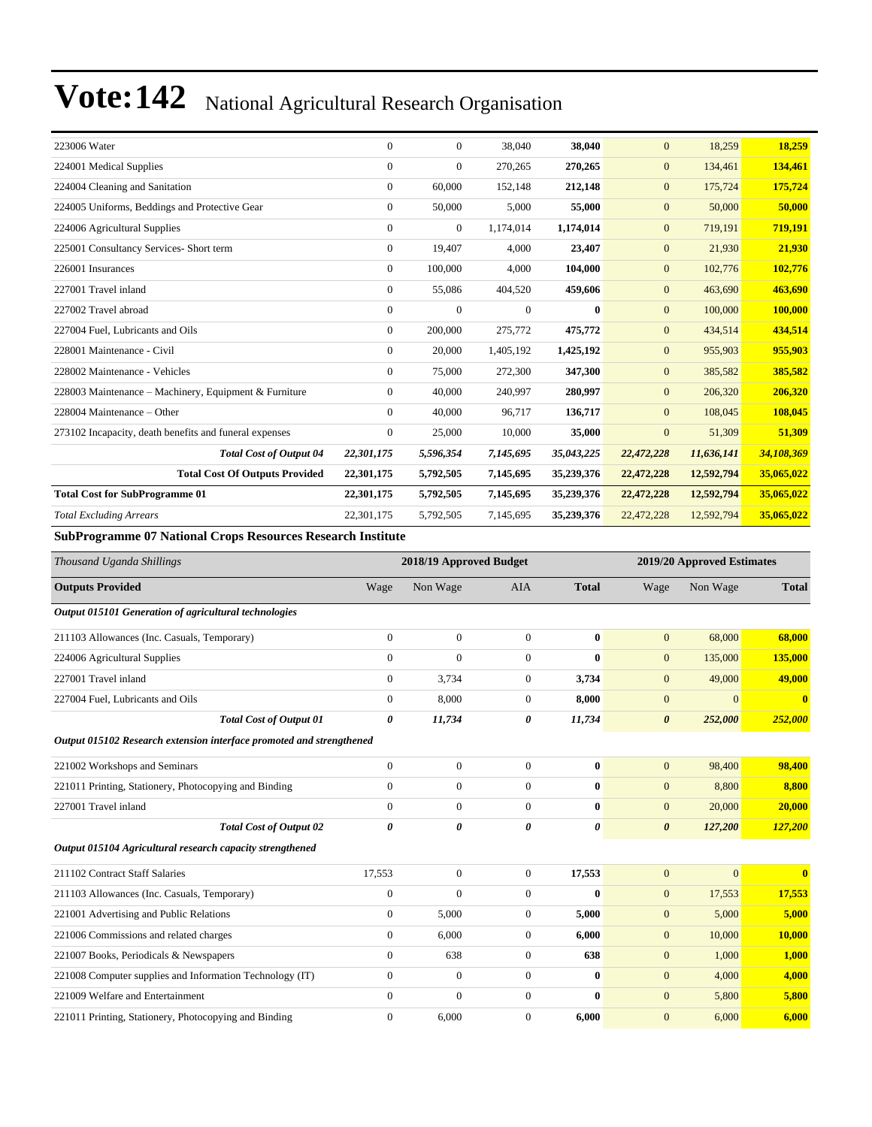| 223006 Water                                           | $\Omega$     | $\mathbf{0}$   | 38,040       | 38,040     | $\overline{0}$ | 18,259     | 18,259     |
|--------------------------------------------------------|--------------|----------------|--------------|------------|----------------|------------|------------|
| 224001 Medical Supplies                                | $\mathbf{0}$ | $\mathbf{0}$   | 270,265      | 270,265    | $\overline{0}$ | 134,461    | 134,461    |
| 224004 Cleaning and Sanitation                         | $\Omega$     | 60,000         | 152,148      | 212,148    | $\overline{0}$ | 175,724    | 175,724    |
| 224005 Uniforms, Beddings and Protective Gear          | $\Omega$     | 50,000         | 5,000        | 55,000     | $\overline{0}$ | 50,000     | 50,000     |
| 224006 Agricultural Supplies                           | $\Omega$     | $\mathbf{0}$   | 1,174,014    | 1,174,014  | $\overline{0}$ | 719,191    | 719,191    |
| 225001 Consultancy Services- Short term                | $\mathbf{0}$ | 19,407         | 4,000        | 23,407     | $\mathbf{0}$   | 21,930     | 21,930     |
| 226001 Insurances                                      | $\mathbf{0}$ | 100,000        | 4,000        | 104,000    | $\overline{0}$ | 102,776    | 102,776    |
| 227001 Travel inland                                   | $\mathbf{0}$ | 55,086         | 404,520      | 459,606    | $\overline{0}$ | 463,690    | 463,690    |
| 227002 Travel abroad                                   | $\mathbf{0}$ | $\overline{0}$ | $\mathbf{0}$ | $\bf{0}$   | $\overline{0}$ | 100,000    | 100,000    |
| 227004 Fuel, Lubricants and Oils                       | $\mathbf{0}$ | 200,000        | 275,772      | 475,772    | $\overline{0}$ | 434,514    | 434,514    |
| 228001 Maintenance - Civil                             | $\mathbf{0}$ | 20,000         | 1,405,192    | 1,425,192  | $\overline{0}$ | 955,903    | 955,903    |
| 228002 Maintenance - Vehicles                          | $\Omega$     | 75,000         | 272,300      | 347,300    | $\overline{0}$ | 385,582    | 385,582    |
| 228003 Maintenance – Machinery, Equipment & Furniture  | $\Omega$     | 40,000         | 240,997      | 280,997    | $\overline{0}$ | 206,320    | 206,320    |
| 228004 Maintenance – Other                             | $\Omega$     | 40,000         | 96,717       | 136,717    | $\overline{0}$ | 108,045    | 108,045    |
| 273102 Incapacity, death benefits and funeral expenses | $\Omega$     | 25,000         | 10.000       | 35,000     | $\overline{0}$ | 51,309     | 51,309     |
| <b>Total Cost of Output 04</b>                         | 22,301,175   | 5,596,354      | 7,145,695    | 35,043,225 | 22,472,228     | 11,636,141 | 34,108,369 |
| <b>Total Cost Of Outputs Provided</b>                  | 22,301,175   | 5,792,505      | 7,145,695    | 35,239,376 | 22,472,228     | 12,592,794 | 35,065,022 |
| <b>Total Cost for SubProgramme 01</b>                  | 22,301,175   | 5,792,505      | 7,145,695    | 35,239,376 | 22,472,228     | 12,592,794 | 35,065,022 |
| <b>Total Excluding Arrears</b>                         | 22,301,175   | 5,792,505      | 7,145,695    | 35,239,376 | 22,472,228     | 12,592,794 | 35,065,022 |
|                                                        |              |                |              |            |                |            |            |

**SubProgramme 07 National Crops Resources Research Institute**

| Thousand Uganda Shillings                                            |                | 2018/19 Approved Budget |                |              |                       | 2019/20 Approved Estimates |              |
|----------------------------------------------------------------------|----------------|-------------------------|----------------|--------------|-----------------------|----------------------------|--------------|
| <b>Outputs Provided</b>                                              | Wage           | Non Wage                | <b>AIA</b>     | <b>Total</b> | Wage                  | Non Wage                   | <b>Total</b> |
| Output 015101 Generation of agricultural technologies                |                |                         |                |              |                       |                            |              |
| 211103 Allowances (Inc. Casuals, Temporary)                          | $\Omega$       | $\Omega$                | $\Omega$       | $\mathbf{0}$ | $\overline{0}$        | 68,000                     | 68,000       |
| 224006 Agricultural Supplies                                         | $\Omega$       | $\theta$                | $\Omega$       | $\mathbf{0}$ | $\overline{0}$        | 135,000                    | 135,000      |
| 227001 Travel inland                                                 | $\overline{0}$ | 3,734                   | $\overline{0}$ | 3,734        | $\mathbf{0}$          | 49,000                     | 49,000       |
| 227004 Fuel, Lubricants and Oils                                     | $\Omega$       | 8,000                   | $\overline{0}$ | 8,000        | $\overline{0}$        | $\Omega$                   | $\bf{0}$     |
| <b>Total Cost of Output 01</b>                                       | 0              | 11,734                  | 0              | 11,734       | $\boldsymbol{\theta}$ | 252,000                    | 252,000      |
| Output 015102 Research extension interface promoted and strengthened |                |                         |                |              |                       |                            |              |
| 221002 Workshops and Seminars                                        | $\overline{0}$ | $\overline{0}$          | $\overline{0}$ | $\mathbf{0}$ | $\overline{0}$        | 98,400                     | 98,400       |
| 221011 Printing, Stationery, Photocopying and Binding                | $\Omega$       | $\overline{0}$          | $\overline{0}$ | $\mathbf{0}$ | $\overline{0}$        | 8,800                      | 8,800        |
| 227001 Travel inland                                                 | $\Omega$       | $\mathbf{0}$            | $\overline{0}$ | $\mathbf{0}$ | $\mathbf{0}$          | 20,000                     | 20,000       |
| <b>Total Cost of Output 02</b>                                       | 0              | 0                       | 0              | 0            | $\boldsymbol{\theta}$ | 127,200                    | 127,200      |
| Output 015104 Agricultural research capacity strengthened            |                |                         |                |              |                       |                            |              |
| 211102 Contract Staff Salaries                                       | 17,553         | $\mathbf{0}$            | $\overline{0}$ | 17,553       | $\overline{0}$        | $\Omega$                   | $\mathbf{0}$ |
| 211103 Allowances (Inc. Casuals, Temporary)                          | $\overline{0}$ | $\overline{0}$          | $\overline{0}$ | $\bf{0}$     | $\boldsymbol{0}$      | 17,553                     | 17,553       |
| 221001 Advertising and Public Relations                              | $\overline{0}$ | 5,000                   | $\overline{0}$ | 5,000        | $\mathbf{0}$          | 5,000                      | 5,000        |
| 221006 Commissions and related charges                               | $\overline{0}$ | 6,000                   | $\overline{0}$ | 6,000        | $\mathbf{0}$          | 10,000                     | 10,000       |
| 221007 Books, Periodicals & Newspapers                               | $\overline{0}$ | 638                     | $\overline{0}$ | 638          | $\boldsymbol{0}$      | 1,000                      | 1,000        |
| 221008 Computer supplies and Information Technology (IT)             | $\overline{0}$ | $\overline{0}$          | $\Omega$       | $\mathbf{0}$ | $\overline{0}$        | 4,000                      | 4,000        |
| 221009 Welfare and Entertainment                                     | $\overline{0}$ | $\overline{0}$          | $\overline{0}$ | $\mathbf{0}$ | $\boldsymbol{0}$      | 5,800                      | 5,800        |
| 221011 Printing, Stationery, Photocopying and Binding                | $\mathbf{0}$   | 6,000                   | $\mathbf{0}$   | 6,000        | $\overline{0}$        | 6,000                      | 6,000        |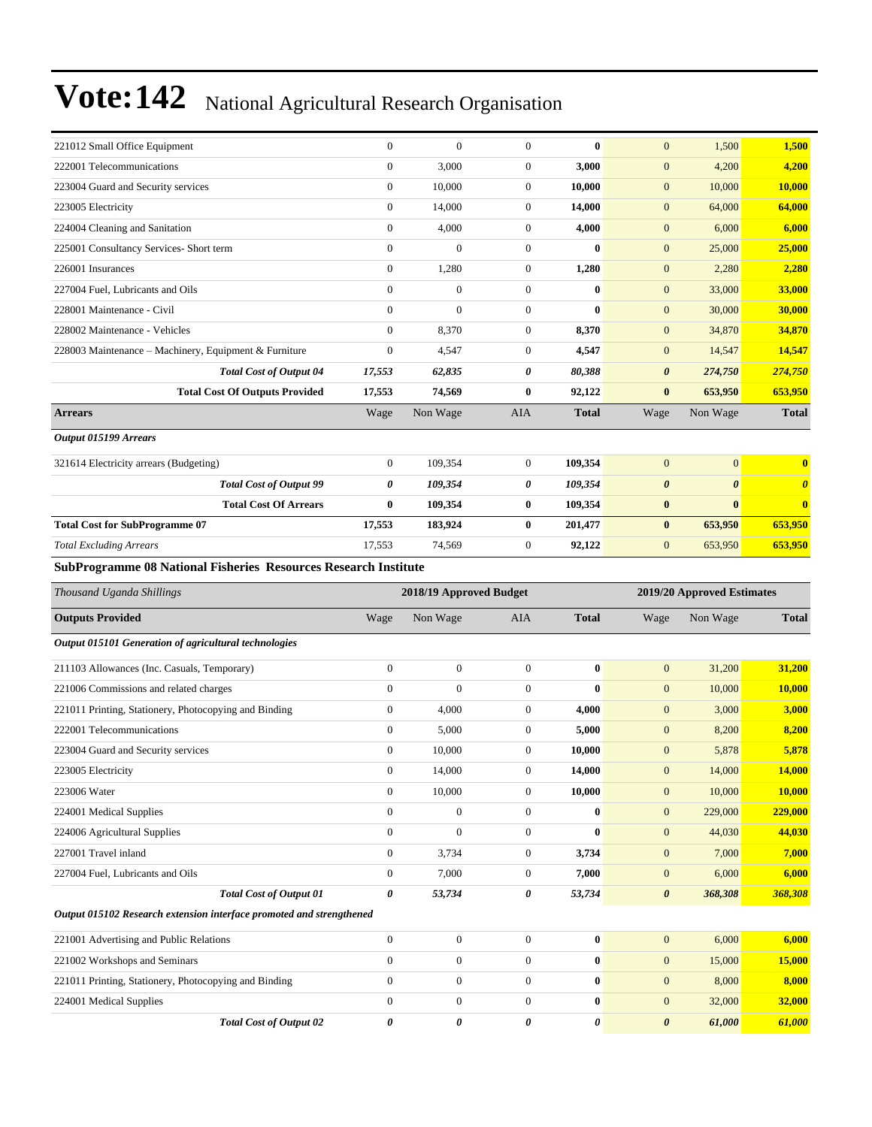| 221012 Small Office Equipment                                        | $\boldsymbol{0}$ | $\boldsymbol{0}$        | $\boldsymbol{0}$ | $\bf{0}$     | $\mathbf{0}$          | 1,500                      | 1,500                 |
|----------------------------------------------------------------------|------------------|-------------------------|------------------|--------------|-----------------------|----------------------------|-----------------------|
| 222001 Telecommunications                                            | $\boldsymbol{0}$ | 3,000                   | $\boldsymbol{0}$ | 3,000        | $\mathbf{0}$          | 4,200                      | 4,200                 |
| 223004 Guard and Security services                                   | $\boldsymbol{0}$ | 10,000                  | $\boldsymbol{0}$ | 10,000       | $\mathbf{0}$          | 10,000                     | 10,000                |
| 223005 Electricity                                                   | $\mathbf{0}$     | 14,000                  | $\boldsymbol{0}$ | 14,000       | $\mathbf{0}$          | 64,000                     | 64,000                |
| 224004 Cleaning and Sanitation                                       | $\mathbf{0}$     | 4,000                   | $\boldsymbol{0}$ | 4,000        | $\mathbf{0}$          | 6,000                      | 6,000                 |
| 225001 Consultancy Services- Short term                              | $\overline{0}$   | $\overline{0}$          | $\boldsymbol{0}$ | $\bf{0}$     | $\mathbf{0}$          | 25,000                     | 25,000                |
| 226001 Insurances                                                    | $\boldsymbol{0}$ | 1,280                   | $\boldsymbol{0}$ | 1,280        | $\mathbf{0}$          | 2,280                      | 2,280                 |
| 227004 Fuel, Lubricants and Oils                                     | $\mathbf{0}$     | $\boldsymbol{0}$        | $\boldsymbol{0}$ | $\bf{0}$     | $\mathbf{0}$          | 33,000                     | 33,000                |
| 228001 Maintenance - Civil                                           | $\overline{0}$   | $\overline{0}$          | $\boldsymbol{0}$ | $\bf{0}$     | $\boldsymbol{0}$      | 30,000                     | <b>30,000</b>         |
| 228002 Maintenance - Vehicles                                        | $\mathbf{0}$     | 8,370                   | $\boldsymbol{0}$ | 8,370        | $\mathbf{0}$          | 34,870                     | 34,870                |
| 228003 Maintenance - Machinery, Equipment & Furniture                | $\mathbf{0}$     | 4,547                   | $\boldsymbol{0}$ | 4,547        | $\mathbf{0}$          | 14,547                     | 14,547                |
| <b>Total Cost of Output 04</b>                                       | 17,553           | 62,835                  | 0                | 80,388       | $\boldsymbol{\theta}$ | 274,750                    | <b>274,750</b>        |
| <b>Total Cost Of Outputs Provided</b>                                | 17,553           | 74,569                  | $\bf{0}$         | 92,122       | $\bf{0}$              | 653,950                    | 653,950               |
| <b>Arrears</b>                                                       | Wage             | Non Wage                | AIA              | <b>Total</b> | Wage                  | Non Wage                   | <b>Total</b>          |
| Output 015199 Arrears                                                |                  |                         |                  |              |                       |                            |                       |
| 321614 Electricity arrears (Budgeting)                               | $\mathbf{0}$     | 109,354                 | $\boldsymbol{0}$ | 109,354      | $\mathbf{0}$          | $\overline{0}$             | $\bf{0}$              |
| <b>Total Cost of Output 99</b>                                       | 0                | 109,354                 | 0                | 109,354      | $\boldsymbol{\theta}$ | $\boldsymbol{\theta}$      | $\boldsymbol{\theta}$ |
| <b>Total Cost Of Arrears</b>                                         | $\bf{0}$         | 109,354                 | $\bf{0}$         | 109,354      | $\bf{0}$              | $\bf{0}$                   | $\bf{0}$              |
| <b>Total Cost for SubProgramme 07</b>                                | 17,553           | 183,924                 | $\bf{0}$         | 201,477      | $\bf{0}$              | 653,950                    | 653,950               |
| <b>Total Excluding Arrears</b>                                       | 17,553           | 74,569                  | $\boldsymbol{0}$ | 92,122       | $\mathbf{0}$          | 653,950                    | 653,950               |
| SubProgramme 08 National Fisheries Resources Research Institute      |                  |                         |                  |              |                       |                            |                       |
|                                                                      |                  |                         |                  |              |                       |                            |                       |
| Thousand Uganda Shillings                                            |                  | 2018/19 Approved Budget |                  |              |                       | 2019/20 Approved Estimates |                       |
| <b>Outputs Provided</b>                                              | Wage             | Non Wage                | AIA              | <b>Total</b> | Wage                  | Non Wage                   | <b>Total</b>          |
| Output 015101 Generation of agricultural technologies                |                  |                         |                  |              |                       |                            |                       |
| 211103 Allowances (Inc. Casuals, Temporary)                          | $\mathbf{0}$     | $\boldsymbol{0}$        | $\boldsymbol{0}$ | $\bf{0}$     | $\mathbf{0}$          | 31,200                     | 31,200                |
| 221006 Commissions and related charges                               | $\mathbf{0}$     | $\overline{0}$          | $\boldsymbol{0}$ | $\mathbf{0}$ | $\mathbf{0}$          | 10,000                     | 10,000                |
| 221011 Printing, Stationery, Photocopying and Binding                | $\boldsymbol{0}$ | 4,000                   | $\boldsymbol{0}$ | 4,000        | $\mathbf{0}$          | 3,000                      | 3,000                 |
| 222001 Telecommunications                                            | $\boldsymbol{0}$ | 5,000                   | $\boldsymbol{0}$ | 5,000        | $\mathbf{0}$          | 8,200                      | 8,200                 |
| 223004 Guard and Security services                                   | $\boldsymbol{0}$ | 10,000                  | $\boldsymbol{0}$ | 10,000       | $\mathbf{0}$          | 5,878                      | 5,878                 |
| 223005 Electricity                                                   | $\boldsymbol{0}$ | 14,000                  | $\boldsymbol{0}$ | 14,000       | $\mathbf{0}$          | 14,000                     | <b>14,000</b>         |
| 223006 Water                                                         | $\boldsymbol{0}$ | 10,000                  | $\boldsymbol{0}$ | 10,000       | $\boldsymbol{0}$      | 10,000                     | 10,000                |
| 224001 Medical Supplies                                              | $\boldsymbol{0}$ | $\boldsymbol{0}$        | $\boldsymbol{0}$ | $\bf{0}$     | $\mathbf{0}$          | 229,000                    | 229,000               |
| 224006 Agricultural Supplies                                         | $\boldsymbol{0}$ | $\boldsymbol{0}$        | $\boldsymbol{0}$ | $\bf{0}$     | $\mathbf{0}$          | 44,030                     | 44,030                |
| 227001 Travel inland                                                 | $\boldsymbol{0}$ | 3,734                   | 0                | 3,734        | $\mathbf{0}$          | 7,000                      | 7,000                 |
| 227004 Fuel, Lubricants and Oils                                     | $\boldsymbol{0}$ | 7,000                   | $\boldsymbol{0}$ | 7,000        | $\mathbf{0}$          | 6,000                      | 6,000                 |
| Total Cost of Output 01                                              | $\pmb{\theta}$   | 53,734                  | 0                | 53,734       | $\boldsymbol{\theta}$ | 368,308                    | 368,308               |
| Output 015102 Research extension interface promoted and strengthened |                  |                         |                  |              |                       |                            |                       |
| 221001 Advertising and Public Relations                              | $\boldsymbol{0}$ | $\boldsymbol{0}$        | $\boldsymbol{0}$ | $\bf{0}$     | $\mathbf{0}$          | 6,000                      | 6,000                 |
| 221002 Workshops and Seminars                                        | $\boldsymbol{0}$ | $\boldsymbol{0}$        | $\boldsymbol{0}$ | $\bf{0}$     | $\mathbf{0}$          | 15,000                     | 15,000                |
| 221011 Printing, Stationery, Photocopying and Binding                | $\boldsymbol{0}$ | $\boldsymbol{0}$        | $\boldsymbol{0}$ | $\bf{0}$     | $\mathbf{0}$          | 8,000                      | 8,000                 |
| 224001 Medical Supplies                                              | $\boldsymbol{0}$ | $\boldsymbol{0}$        | $\boldsymbol{0}$ | $\bf{0}$     | $\boldsymbol{0}$      | 32,000                     | 32,000                |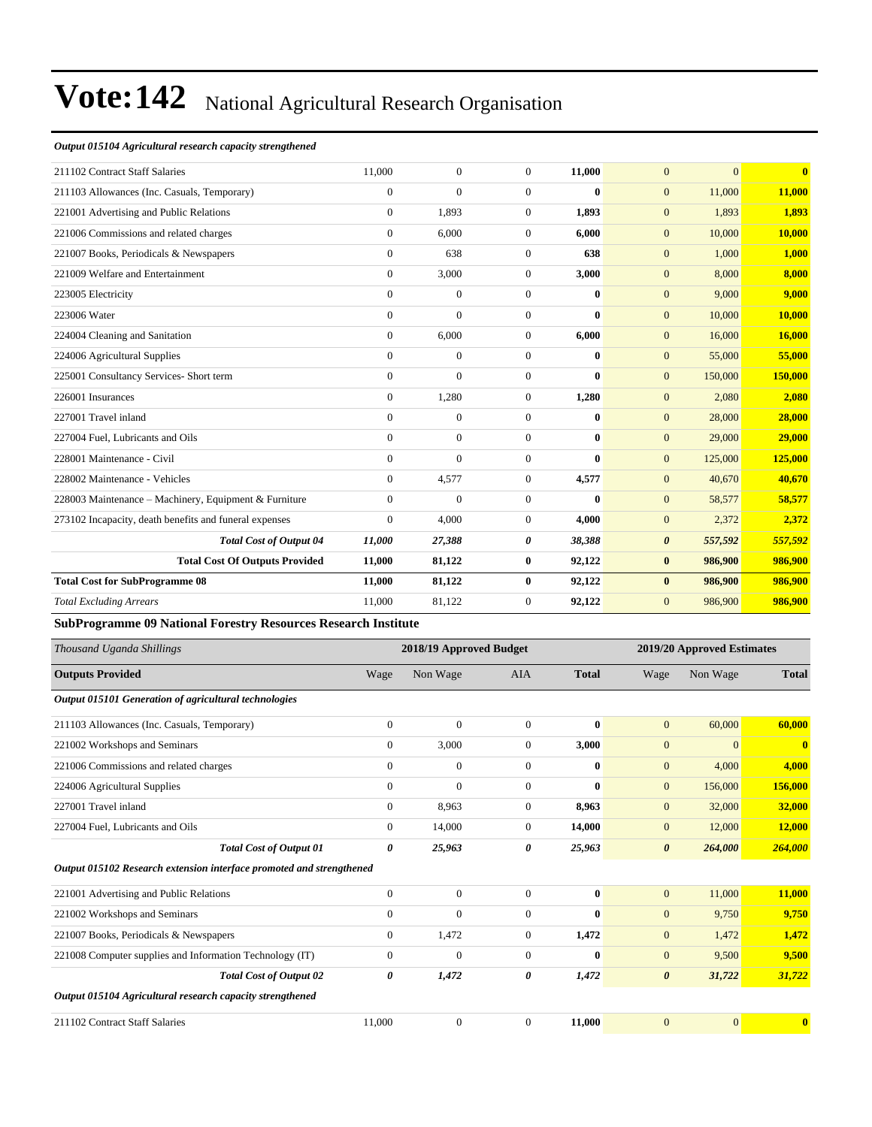#### *Output 015104 Agricultural research capacity strengthened*

| 211102 Contract Staff Salaries                         | 11,000         | $\overline{0}$ | $\overline{0}$ | 11,000   | $\mathbf{0}$          | $\overline{0}$ | $\overline{\mathbf{0}}$ |
|--------------------------------------------------------|----------------|----------------|----------------|----------|-----------------------|----------------|-------------------------|
| 211103 Allowances (Inc. Casuals, Temporary)            | $\overline{0}$ | $\overline{0}$ | $\Omega$       | $\bf{0}$ | $\mathbf{0}$          | 11,000         | 11,000                  |
| 221001 Advertising and Public Relations                | $\overline{0}$ | 1.893          | $\Omega$       | 1.893    | $\mathbf{0}$          | 1,893          | 1,893                   |
| 221006 Commissions and related charges                 | $\overline{0}$ | 6,000          | $\overline{0}$ | 6,000    | $\overline{0}$        | 10,000         | 10,000                  |
| 221007 Books, Periodicals & Newspapers                 | $\overline{0}$ | 638            | $\overline{0}$ | 638      | $\overline{0}$        | 1,000          | 1,000                   |
| 221009 Welfare and Entertainment                       | $\overline{0}$ | 3,000          | $\overline{0}$ | 3,000    | $\overline{0}$        | 8,000          | 8,000                   |
| 223005 Electricity                                     | $\overline{0}$ | $\mathbf{0}$   | $\Omega$       | 0        | $\mathbf{0}$          | 9,000          | 9,000                   |
| 223006 Water                                           | $\overline{0}$ | $\overline{0}$ | $\Omega$       | $\bf{0}$ | $\mathbf{0}$          | 10,000         | 10,000                  |
| 224004 Cleaning and Sanitation                         | $\overline{0}$ | 6,000          | $\Omega$       | 6,000    | $\overline{0}$        | 16,000         | 16,000                  |
| 224006 Agricultural Supplies                           | $\overline{0}$ | $\overline{0}$ | $\Omega$       | 0        | $\mathbf{0}$          | 55,000         | 55,000                  |
| 225001 Consultancy Services- Short term                | $\overline{0}$ | $\overline{0}$ | $\theta$       | $\bf{0}$ | $\overline{0}$        | 150,000        | 150,000                 |
| 226001 Insurances                                      | $\overline{0}$ | 1,280          | $\Omega$       | 1,280    | $\overline{0}$        | 2,080          | 2,080                   |
| 227001 Travel inland                                   | $\overline{0}$ | $\overline{0}$ | $\Omega$       | 0        | $\mathbf{0}$          | 28,000         | 28,000                  |
| 227004 Fuel, Lubricants and Oils                       | $\overline{0}$ | $\overline{0}$ | $\theta$       | $\bf{0}$ | $\overline{0}$        | 29,000         | 29,000                  |
| 228001 Maintenance - Civil                             | $\Omega$       | $\Omega$       | $\Omega$       | $\bf{0}$ | $\Omega$              | 125,000        | 125,000                 |
| 228002 Maintenance - Vehicles                          | $\overline{0}$ | 4,577          | $\overline{0}$ | 4,577    | $\overline{0}$        | 40,670         | 40,670                  |
| 228003 Maintenance - Machinery, Equipment & Furniture  | $\overline{0}$ | $\overline{0}$ | $\overline{0}$ | $\bf{0}$ | $\overline{0}$        | 58,577         | 58,577                  |
| 273102 Incapacity, death benefits and funeral expenses | $\Omega$       | 4,000          | $\Omega$       | 4,000    | $\overline{0}$        | 2,372          | 2,372                   |
| <b>Total Cost of Output 04</b>                         | 11.000         | 27,388         | 0              | 38,388   | $\boldsymbol{\theta}$ | 557,592        | 557,592                 |
| <b>Total Cost Of Outputs Provided</b>                  | 11,000         | 81,122         | $\bf{0}$       | 92,122   | $\bf{0}$              | 986,900        | 986,900                 |
| <b>Total Cost for SubProgramme 08</b>                  | 11,000         | 81,122         | $\bf{0}$       | 92,122   | $\bf{0}$              | 986,900        | 986,900                 |
| <b>Total Excluding Arrears</b>                         | 11,000         | 81,122         | $\overline{0}$ | 92,122   | $\mathbf{0}$          | 986,900        | 986,900                 |
|                                                        |                |                |                |          |                       |                |                         |

**SubProgramme 09 National Forestry Resources Research Institute**

| Thousand Uganda Shillings                                            |                | 2018/19 Approved Budget |                |              |                       | 2019/20 Approved Estimates |                         |
|----------------------------------------------------------------------|----------------|-------------------------|----------------|--------------|-----------------------|----------------------------|-------------------------|
| <b>Outputs Provided</b>                                              | Wage           | Non Wage                | <b>AIA</b>     | <b>Total</b> | Wage                  | Non Wage                   | <b>Total</b>            |
| Output 015101 Generation of agricultural technologies                |                |                         |                |              |                       |                            |                         |
| 211103 Allowances (Inc. Casuals, Temporary)                          | $\mathbf{0}$   | $\mathbf{0}$            | $\overline{0}$ | $\mathbf{0}$ | $\mathbf{0}$          | 60,000                     | 60,000                  |
| 221002 Workshops and Seminars                                        | $\overline{0}$ | 3,000                   | $\overline{0}$ | 3,000        | $\mathbf{0}$          | $\overline{0}$             | $\mathbf{0}$            |
| 221006 Commissions and related charges                               | $\mathbf{0}$   | $\boldsymbol{0}$        | $\overline{0}$ | $\mathbf{0}$ | $\mathbf{0}$          | 4,000                      | 4,000                   |
| 224006 Agricultural Supplies                                         | $\mathbf{0}$   | $\overline{0}$          | $\overline{0}$ | $\bf{0}$     | $\mathbf{0}$          | 156,000                    | 156,000                 |
| 227001 Travel inland                                                 | $\mathbf{0}$   | 8,963                   | $\overline{0}$ | 8,963        | $\mathbf{0}$          | 32,000                     | 32,000                  |
| 227004 Fuel, Lubricants and Oils                                     | $\Omega$       | 14,000                  | $\overline{0}$ | 14,000       | $\mathbf{0}$          | 12,000                     | 12,000                  |
| <b>Total Cost of Output 01</b>                                       | 0              | 25,963                  | 0              | 25,963       | $\boldsymbol{\theta}$ | 264,000                    | 264,000                 |
| Output 015102 Research extension interface promoted and strengthened |                |                         |                |              |                       |                            |                         |
| 221001 Advertising and Public Relations                              | $\mathbf{0}$   | $\overline{0}$          | $\overline{0}$ | $\mathbf{0}$ | $\mathbf{0}$          | 11,000                     | 11,000                  |
| 221002 Workshops and Seminars                                        | $\mathbf{0}$   | $\boldsymbol{0}$        | $\overline{0}$ | $\mathbf{0}$ | $\mathbf{0}$          | 9,750                      | 9,750                   |
| 221007 Books, Periodicals & Newspapers                               | $\overline{0}$ | 1,472                   | $\overline{0}$ | 1,472        | $\mathbf{0}$          | 1,472                      | 1,472                   |
| 221008 Computer supplies and Information Technology (IT)             | $\mathbf{0}$   | $\overline{0}$          | $\overline{0}$ | $\mathbf{0}$ | $\overline{0}$        | 9,500                      | 9,500                   |
| <b>Total Cost of Output 02</b>                                       | 0              | 1,472                   | 0              | 1,472        | $\boldsymbol{\theta}$ | 31,722                     | 31,722                  |
| Output 015104 Agricultural research capacity strengthened            |                |                         |                |              |                       |                            |                         |
| 211102 Contract Staff Salaries                                       | 11,000         | $\overline{0}$          | $\Omega$       | 11,000       | $\theta$              | $\overline{0}$             | $\overline{\mathbf{0}}$ |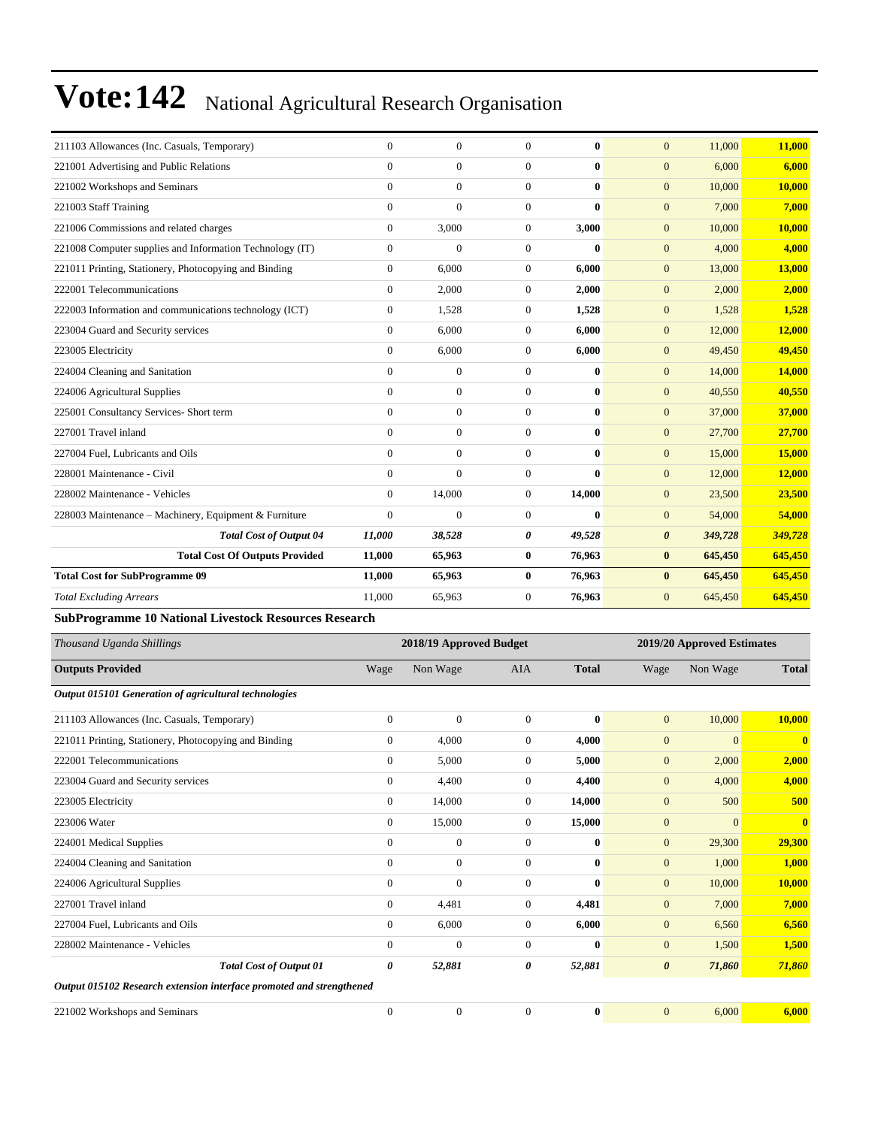| 211103 Allowances (Inc. Casuals, Temporary)              | $\Omega$       | $\Omega$     | $\theta$              | $\bf{0}$     | $\overline{0}$        | 11,000  | 11,000  |
|----------------------------------------------------------|----------------|--------------|-----------------------|--------------|-----------------------|---------|---------|
| 221001 Advertising and Public Relations                  | $\Omega$       | $\mathbf{0}$ | $\theta$              | $\bf{0}$     | $\overline{0}$        | 6,000   | 6,000   |
| 221002 Workshops and Seminars                            | $\Omega$       | $\Omega$     | $\theta$              | $\mathbf{0}$ | $\overline{0}$        | 10,000  | 10,000  |
| 221003 Staff Training                                    | $\Omega$       | $\Omega$     | $\theta$              | $\mathbf{0}$ | $\overline{0}$        | 7,000   | 7,000   |
| 221006 Commissions and related charges                   | $\Omega$       | 3,000        | $\theta$              | 3,000        | $\overline{0}$        | 10,000  | 10,000  |
| 221008 Computer supplies and Information Technology (IT) | $\Omega$       | $\Omega$     | $\theta$              | $\mathbf{0}$ | $\overline{0}$        | 4,000   | 4,000   |
| 221011 Printing, Stationery, Photocopying and Binding    | $\overline{0}$ | 6,000        | $\boldsymbol{0}$      | 6,000        | $\overline{0}$        | 13,000  | 13,000  |
| 222001 Telecommunications                                | $\Omega$       | 2,000        | $\theta$              | 2,000        | $\overline{0}$        | 2,000   | 2,000   |
| 222003 Information and communications technology (ICT)   | $\mathbf{0}$   | 1,528        | $\theta$              | 1,528        | $\overline{0}$        | 1,528   | 1,528   |
| 223004 Guard and Security services                       | $\Omega$       | 6.000        | $\theta$              | 6,000        | $\overline{0}$        | 12,000  | 12,000  |
| 223005 Electricity                                       | $\mathbf{0}$   | 6,000        | $\theta$              | 6,000        | $\overline{0}$        | 49,450  | 49,450  |
| 224004 Cleaning and Sanitation                           | $\Omega$       | $\Omega$     | $\Omega$              | $\mathbf{0}$ | $\overline{0}$        | 14,000  | 14,000  |
| 224006 Agricultural Supplies                             | $\overline{0}$ | $\Omega$     | $\overline{0}$        | $\bf{0}$     | $\overline{0}$        | 40,550  | 40,550  |
| 225001 Consultancy Services- Short term                  | $\Omega$       | $\Omega$     | $\theta$              | $\mathbf{0}$ | $\overline{0}$        | 37,000  | 37,000  |
| 227001 Travel inland                                     | $\Omega$       | $\mathbf{0}$ | $\theta$              | $\bf{0}$     | $\overline{0}$        | 27,700  | 27,700  |
| 227004 Fuel. Lubricants and Oils                         | $\theta$       | $\mathbf{0}$ | $\theta$              | $\bf{0}$     | $\overline{0}$        | 15,000  | 15,000  |
| 228001 Maintenance - Civil                               | $\Omega$       | $\mathbf{0}$ | $\overline{0}$        | $\bf{0}$     | $\overline{0}$        | 12,000  | 12,000  |
| 228002 Maintenance - Vehicles                            | $\Omega$       | 14,000       | $\theta$              | 14.000       | $\overline{0}$        | 23,500  | 23,500  |
| 228003 Maintenance - Machinery, Equipment & Furniture    | $\mathbf{0}$   | $\mathbf{0}$ | $\overline{0}$        | $\bf{0}$     | $\overline{0}$        | 54,000  | 54,000  |
| <b>Total Cost of Output 04</b>                           | 11,000         | 38,528       | $\boldsymbol{\theta}$ | 49,528       | $\boldsymbol{\theta}$ | 349,728 | 349,728 |
| <b>Total Cost Of Outputs Provided</b>                    | 11,000         | 65,963       | $\bf{0}$              | 76,963       | $\bf{0}$              | 645,450 | 645,450 |
| <b>Total Cost for SubProgramme 09</b>                    | 11,000         | 65,963       | $\bf{0}$              | 76,963       | $\bf{0}$              | 645,450 | 645,450 |
| <b>Total Excluding Arrears</b>                           | 11,000         | 65,963       | $\theta$              | 76,963       | $\overline{0}$        | 645,450 | 645,450 |
|                                                          |                |              |                       |              |                       |         |         |

#### **SubProgramme 10 National Livestock Resources Research**

| Thousand Uganda Shillings                                            | 2018/19 Approved Budget |              |                |              | 2019/20 Approved Estimates |                |              |
|----------------------------------------------------------------------|-------------------------|--------------|----------------|--------------|----------------------------|----------------|--------------|
| <b>Outputs Provided</b>                                              | Wage                    | Non Wage     | <b>AIA</b>     | <b>Total</b> | Wage                       | Non Wage       | <b>Total</b> |
| Output 015101 Generation of agricultural technologies                |                         |              |                |              |                            |                |              |
| 211103 Allowances (Inc. Casuals, Temporary)                          | $\overline{0}$          | $\mathbf{0}$ | $\Omega$       | $\mathbf{0}$ | $\overline{0}$             | 10,000         | 10,000       |
| 221011 Printing, Stationery, Photocopying and Binding                | $\overline{0}$          | 4,000        | $\overline{0}$ | 4,000        | $\overline{0}$             | $\overline{0}$ | $\bf{0}$     |
| 222001 Telecommunications                                            | $\Omega$                | 5,000        | $\overline{0}$ | 5,000        | $\boldsymbol{0}$           | 2,000          | 2,000        |
| 223004 Guard and Security services                                   | $\overline{0}$          | 4,400        | $\overline{0}$ | 4,400        | $\mathbf{0}$               | 4,000          | 4,000        |
| 223005 Electricity                                                   | $\overline{0}$          | 14,000       | $\overline{0}$ | 14,000       | $\overline{0}$             | 500            | 500          |
| 223006 Water                                                         | $\overline{0}$          | 15,000       | $\overline{0}$ | 15,000       | $\mathbf{0}$               | $\mathbf{0}$   | $\bf{0}$     |
| 224001 Medical Supplies                                              | $\Omega$                | $\mathbf{0}$ | $\overline{0}$ | $\mathbf{0}$ | $\mathbf{0}$               | 29,300         | 29,300       |
| 224004 Cleaning and Sanitation                                       | $\Omega$                | $\mathbf{0}$ | $\Omega$       | $\mathbf{0}$ | $\mathbf{0}$               | 1,000          | 1,000        |
| 224006 Agricultural Supplies                                         | $\mathbf{0}$            | $\mathbf{0}$ | $\overline{0}$ | $\bf{0}$     | $\mathbf{0}$               | 10,000         | 10,000       |
| 227001 Travel inland                                                 | $\overline{0}$          | 4,481        | $\overline{0}$ | 4,481        | $\mathbf{0}$               | 7,000          | 7,000        |
| 227004 Fuel, Lubricants and Oils                                     | $\overline{0}$          | 6,000        | $\overline{0}$ | 6,000        | $\mathbf{0}$               | 6,560          | 6,560        |
| 228002 Maintenance - Vehicles                                        | $\Omega$                | $\mathbf{0}$ | $\Omega$       | $\mathbf{0}$ | $\overline{0}$             | 1,500          | 1,500        |
| <b>Total Cost of Output 01</b>                                       | 0                       | 52,881       | 0              | 52,881       | $\boldsymbol{\theta}$      | 71,860         | 71,860       |
| Output 015102 Research extension interface promoted and strengthened |                         |              |                |              |                            |                |              |
| 221002 Workshops and Seminars                                        | $\mathbf{0}$            | $\mathbf{0}$ | $\mathbf{0}$   | $\bf{0}$     | $\mathbf{0}$               | 6.000          | 6.000        |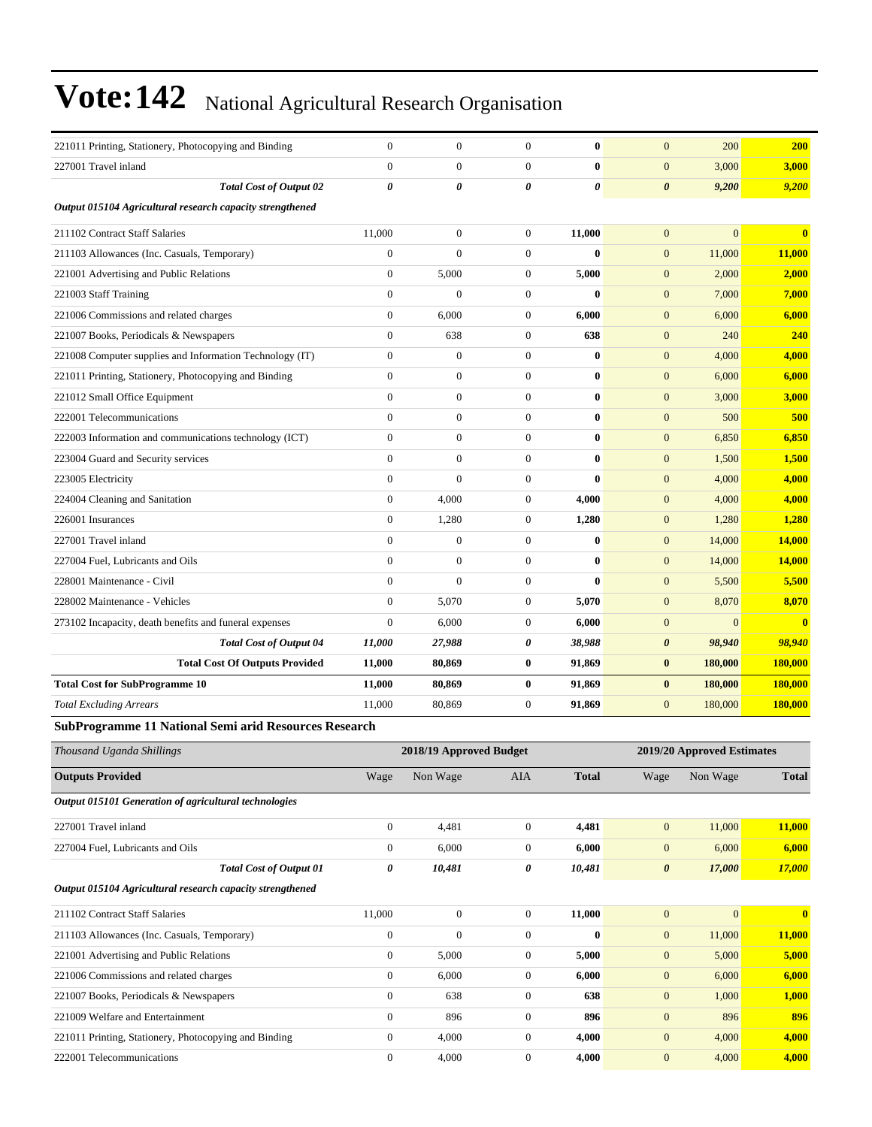| 221011 Printing, Stationery, Photocopying and Binding     | $\mathbf{0}$     | $\boldsymbol{0}$        | $\mathbf{0}$     | $\bf{0}$     | $\mathbf{0}$          | 200                        | <b>200</b>     |
|-----------------------------------------------------------|------------------|-------------------------|------------------|--------------|-----------------------|----------------------------|----------------|
| 227001 Travel inland                                      | $\overline{0}$   | $\boldsymbol{0}$        | $\boldsymbol{0}$ | $\bf{0}$     | $\mathbf{0}$          | 3,000                      | 3,000          |
| <b>Total Cost of Output 02</b>                            | 0                | 0                       | 0                | 0            | $\boldsymbol{\theta}$ | 9,200                      | 9,200          |
| Output 015104 Agricultural research capacity strengthened |                  |                         |                  |              |                       |                            |                |
| 211102 Contract Staff Salaries                            | 11,000           | $\boldsymbol{0}$        | $\boldsymbol{0}$ | 11,000       | $\mathbf{0}$          | $\mathbf{0}$               | $\bf{0}$       |
| 211103 Allowances (Inc. Casuals, Temporary)               | $\boldsymbol{0}$ | $\mathbf{0}$            | $\boldsymbol{0}$ | $\bf{0}$     | $\mathbf{0}$          | 11,000                     | 11,000         |
| 221001 Advertising and Public Relations                   | $\boldsymbol{0}$ | 5,000                   | $\boldsymbol{0}$ | 5,000        | $\mathbf{0}$          | 2,000                      | 2,000          |
| 221003 Staff Training                                     | $\overline{0}$   | $\mathbf{0}$            | $\boldsymbol{0}$ | $\bf{0}$     | $\mathbf{0}$          | 7,000                      | 7,000          |
| 221006 Commissions and related charges                    | $\boldsymbol{0}$ | 6,000                   | $\boldsymbol{0}$ | 6,000        | $\mathbf{0}$          | 6,000                      | 6,000          |
| 221007 Books, Periodicals & Newspapers                    | $\boldsymbol{0}$ | 638                     | $\boldsymbol{0}$ | 638          | $\mathbf{0}$          | 240                        | 240            |
| 221008 Computer supplies and Information Technology (IT)  | $\boldsymbol{0}$ | $\boldsymbol{0}$        | $\boldsymbol{0}$ | $\bf{0}$     | $\mathbf{0}$          | 4,000                      | 4,000          |
| 221011 Printing, Stationery, Photocopying and Binding     | $\boldsymbol{0}$ | $\boldsymbol{0}$        | $\boldsymbol{0}$ | $\bf{0}$     | $\mathbf{0}$          | 6,000                      | 6,000          |
| 221012 Small Office Equipment                             | $\overline{0}$   | $\boldsymbol{0}$        | $\boldsymbol{0}$ | $\bf{0}$     | $\mathbf{0}$          | 3,000                      | 3,000          |
| 222001 Telecommunications                                 | $\overline{0}$   | $\boldsymbol{0}$        | $\boldsymbol{0}$ | $\bf{0}$     | $\mathbf{0}$          | 500                        | 500            |
| 222003 Information and communications technology (ICT)    | $\boldsymbol{0}$ | $\boldsymbol{0}$        | $\boldsymbol{0}$ | $\bf{0}$     | $\mathbf{0}$          | 6,850                      | 6,850          |
| 223004 Guard and Security services                        | $\overline{0}$   | $\boldsymbol{0}$        | $\boldsymbol{0}$ | $\bf{0}$     | $\mathbf{0}$          | 1,500                      | 1,500          |
| 223005 Electricity                                        | $\boldsymbol{0}$ | $\mathbf{0}$            | $\boldsymbol{0}$ | $\bf{0}$     | $\mathbf{0}$          | 4,000                      | 4,000          |
| 224004 Cleaning and Sanitation                            | $\overline{0}$   | 4,000                   | $\boldsymbol{0}$ | 4,000        | $\mathbf{0}$          | 4,000                      | 4,000          |
| 226001 Insurances                                         | $\boldsymbol{0}$ | 1,280                   | $\boldsymbol{0}$ | 1,280        | $\mathbf{0}$          | 1,280                      | 1,280          |
| 227001 Travel inland                                      | $\boldsymbol{0}$ | $\boldsymbol{0}$        | $\boldsymbol{0}$ | $\bf{0}$     | $\mathbf{0}$          | 14,000                     | 14,000         |
| 227004 Fuel, Lubricants and Oils                          | $\overline{0}$   | $\boldsymbol{0}$        | $\boldsymbol{0}$ | $\bf{0}$     | $\mathbf{0}$          | 14,000                     | 14,000         |
| 228001 Maintenance - Civil                                | $\overline{0}$   | $\mathbf{0}$            | $\boldsymbol{0}$ | $\mathbf{0}$ | $\mathbf{0}$          | 5,500                      | 5,500          |
| 228002 Maintenance - Vehicles                             | $\overline{0}$   | 5,070                   | $\boldsymbol{0}$ | 5,070        | $\mathbf{0}$          | 8,070                      | 8,070          |
| 273102 Incapacity, death benefits and funeral expenses    | $\overline{0}$   | 6,000                   | $\boldsymbol{0}$ | 6,000        | $\mathbf{0}$          | $\overline{0}$             | $\bf{0}$       |
| <b>Total Cost of Output 04</b>                            | 11,000           | 27,988                  | 0                | 38,988       | $\boldsymbol{\theta}$ | 98,940                     | 98,940         |
| <b>Total Cost Of Outputs Provided</b>                     | 11,000           | 80,869                  | $\bf{0}$         | 91,869       | $\bf{0}$              | 180,000                    | <b>180,000</b> |
| <b>Total Cost for SubProgramme 10</b>                     | 11,000           | 80,869                  | $\bf{0}$         | 91,869       | $\bf{0}$              | 180,000                    | 180,000        |
| <b>Total Excluding Arrears</b>                            | 11,000           | 80,869                  | $\boldsymbol{0}$ | 91,869       | $\mathbf{0}$          | 180,000                    | 180,000        |
| SubProgramme 11 National Semi arid Resources Research     |                  |                         |                  |              |                       |                            |                |
| Thousand Uganda Shillings                                 |                  | 2018/19 Approved Budget |                  |              |                       | 2019/20 Approved Estimates |                |
| <b>Outputs Provided</b>                                   | Wage             | Non Wage                | AIA              | <b>Total</b> | Wage                  | Non Wage                   | <b>Total</b>   |
| Output 015101 Generation of agricultural technologies     |                  |                         |                  |              |                       |                            |                |
| 227001 Travel inland                                      | $\boldsymbol{0}$ | 4,481                   | $\boldsymbol{0}$ | 4,481        | $\mathbf{0}$          | 11,000                     | 11,000         |
| 227004 Fuel, Lubricants and Oils                          | $\boldsymbol{0}$ | 6,000                   | $\boldsymbol{0}$ | 6,000        | $\mathbf{0}$          | 6,000                      | 6,000          |
| <b>Total Cost of Output 01</b>                            | 0                | 10,481                  | 0                | 10,481       | $\boldsymbol{\theta}$ | 17,000                     | 17,000         |
| Output 015104 Agricultural research capacity strengthened |                  |                         |                  |              |                       |                            |                |
| 211102 Contract Staff Salaries                            | 11,000           | $\boldsymbol{0}$        | $\boldsymbol{0}$ | 11,000       | $\mathbf{0}$          | $\boldsymbol{0}$           | $\bf{0}$       |
| 211103 Allowances (Inc. Casuals, Temporary)               | $\boldsymbol{0}$ | $\boldsymbol{0}$        | $\boldsymbol{0}$ | $\bf{0}$     | $\boldsymbol{0}$      | 11,000                     | 11,000         |
| 221001 Advertising and Public Relations                   | $\boldsymbol{0}$ | 5,000                   | $\boldsymbol{0}$ | 5,000        | $\mathbf{0}$          | 5,000                      | 5,000          |
| 221006 Commissions and related charges                    | $\boldsymbol{0}$ | 6,000                   | $\boldsymbol{0}$ | 6,000        | $\mathbf{0}$          | 6,000                      | 6,000          |
| 221007 Books, Periodicals & Newspapers                    | $\boldsymbol{0}$ | 638                     | $\boldsymbol{0}$ | 638          | $\boldsymbol{0}$      | 1,000                      | 1,000          |
| 221009 Welfare and Entertainment                          | $\boldsymbol{0}$ | 896                     | $\boldsymbol{0}$ | 896          | $\mathbf{0}$          | 896                        | 896            |
| 221011 Printing, Stationery, Photocopying and Binding     | $\boldsymbol{0}$ | 4,000                   | $\boldsymbol{0}$ | 4,000        | $\mathbf{0}$          | 4,000                      | 4,000          |
| 222001 Telecommunications                                 | $\boldsymbol{0}$ | 4,000                   | $\boldsymbol{0}$ | 4,000        | $\mathbf{0}$          | 4,000                      | 4,000          |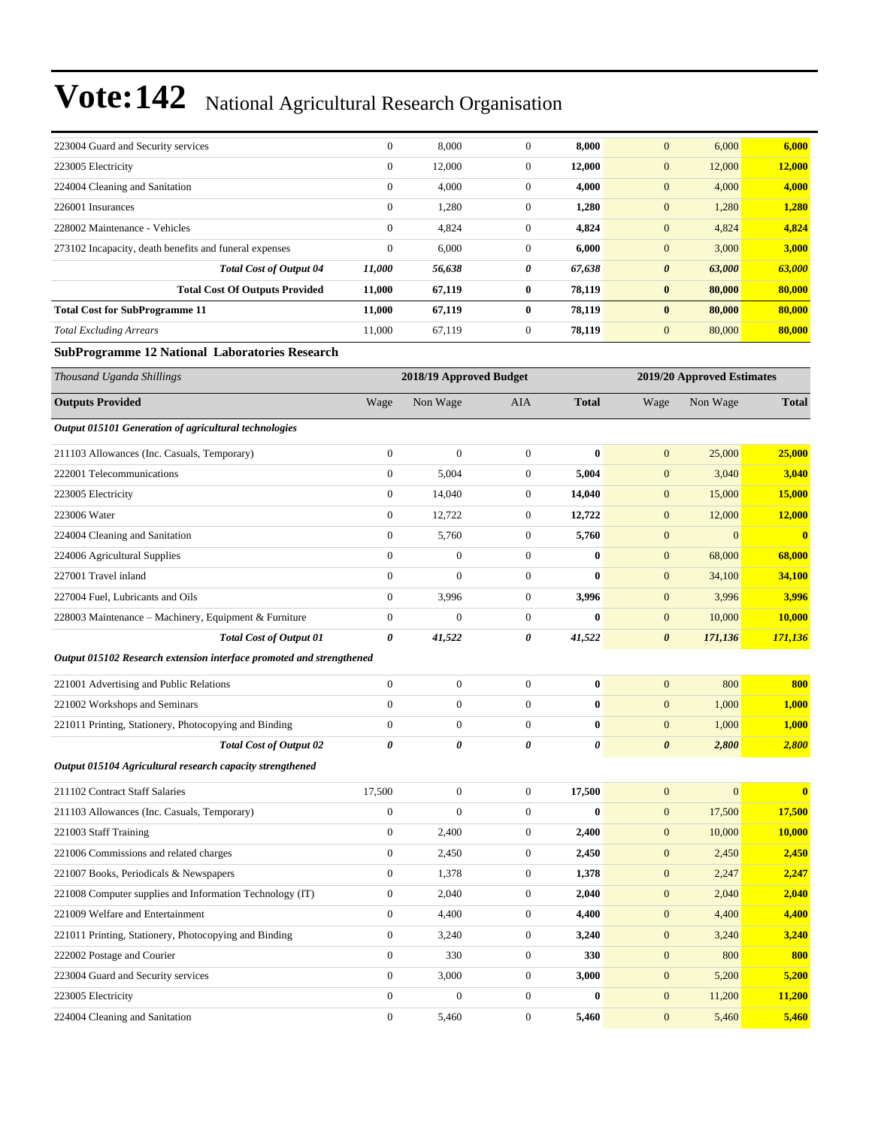| 223004 Guard and Security services                     | $\mathbf{0}$ | 8,000  | $\theta$     | 8,000  | $\overline{0}$        | 6,000  | 6,000  |
|--------------------------------------------------------|--------------|--------|--------------|--------|-----------------------|--------|--------|
| 223005 Electricity                                     | $\mathbf{0}$ | 12,000 | $\theta$     | 12,000 | $\overline{0}$        | 12,000 | 12,000 |
| 224004 Cleaning and Sanitation                         | $\mathbf{0}$ | 4,000  | $\mathbf{0}$ | 4,000  | $\mathbf{0}$          | 4,000  | 4,000  |
| 226001 Insurances                                      | $\mathbf{0}$ | 1,280  | $\mathbf{0}$ | 1,280  | $\overline{0}$        | 1,280  | 1,280  |
| 228002 Maintenance - Vehicles                          | $\mathbf{0}$ | 4,824  | $\mathbf{0}$ | 4,824  | $\mathbf{0}$          | 4,824  | 4,824  |
| 273102 Incapacity, death benefits and funeral expenses | $\mathbf{0}$ | 6,000  | $\theta$     | 6,000  | $\overline{0}$        | 3,000  | 3,000  |
| <b>Total Cost of Output 04</b>                         | 11,000       | 56,638 | 0            | 67,638 | $\boldsymbol{\theta}$ | 63,000 | 63,000 |
| <b>Total Cost Of Outputs Provided</b>                  | 11,000       | 67,119 | $\bf{0}$     | 78,119 | $\bf{0}$              | 80,000 | 80,000 |
| <b>Total Cost for SubProgramme 11</b>                  | 11,000       | 67,119 | $\bf{0}$     | 78,119 | $\bf{0}$              | 80,000 | 80,000 |
| <b>Total Excluding Arrears</b>                         | 11,000       | 67,119 | $\mathbf{0}$ | 78,119 | $\mathbf{0}$          | 80,000 | 80,000 |
|                                                        |              |        |              |        |                       |        |        |

#### **SubProgramme 12 National Laboratories Research**

| Thousand Uganda Shillings                                            |                       | 2018/19 Approved Budget |                  |                       |                       | 2019/20 Approved Estimates |                         |
|----------------------------------------------------------------------|-----------------------|-------------------------|------------------|-----------------------|-----------------------|----------------------------|-------------------------|
| <b>Outputs Provided</b>                                              | Wage                  | Non Wage                | <b>AIA</b>       | <b>Total</b>          | Wage                  | Non Wage                   | <b>Total</b>            |
| Output 015101 Generation of agricultural technologies                |                       |                         |                  |                       |                       |                            |                         |
| 211103 Allowances (Inc. Casuals, Temporary)                          | $\mathbf{0}$          | $\boldsymbol{0}$        | $\mathbf{0}$     | $\bf{0}$              | $\mathbf{0}$          | 25,000                     | 25,000                  |
| 222001 Telecommunications                                            | $\mathbf{0}$          | 5,004                   | $\mathbf{0}$     | 5,004                 | $\mathbf{0}$          | 3,040                      | 3,040                   |
| 223005 Electricity                                                   | $\mathbf{0}$          | 14,040                  | $\boldsymbol{0}$ | 14,040                | $\boldsymbol{0}$      | 15,000                     | 15,000                  |
| 223006 Water                                                         | $\boldsymbol{0}$      | 12,722                  | $\boldsymbol{0}$ | 12,722                | $\boldsymbol{0}$      | 12,000                     | 12,000                  |
| 224004 Cleaning and Sanitation                                       | $\boldsymbol{0}$      | 5,760                   | $\boldsymbol{0}$ | 5,760                 | $\mathbf{0}$          | $\overline{0}$             | $\mathbf{0}$            |
| 224006 Agricultural Supplies                                         | $\mathbf{0}$          | $\overline{0}$          | $\boldsymbol{0}$ | $\bf{0}$              | $\mathbf{0}$          | 68,000                     | 68,000                  |
| 227001 Travel inland                                                 | $\mathbf{0}$          | $\mathbf{0}$            | $\mathbf{0}$     | $\bf{0}$              | $\mathbf{0}$          | 34,100                     | 34,100                  |
| 227004 Fuel, Lubricants and Oils                                     | $\boldsymbol{0}$      | 3,996                   | $\boldsymbol{0}$ | 3,996                 | $\mathbf{0}$          | 3,996                      | 3,996                   |
| 228003 Maintenance - Machinery, Equipment & Furniture                | $\boldsymbol{0}$      | $\overline{0}$          | $\boldsymbol{0}$ | $\bf{0}$              | $\boldsymbol{0}$      | 10,000                     | 10,000                  |
| <b>Total Cost of Output 01</b>                                       | $\boldsymbol{\theta}$ | 41,522                  | $\pmb{\theta}$   | 41,522                | $\boldsymbol{\theta}$ | 171,136                    | 171,136                 |
| Output 015102 Research extension interface promoted and strengthened |                       |                         |                  |                       |                       |                            |                         |
| 221001 Advertising and Public Relations                              | $\boldsymbol{0}$      | $\boldsymbol{0}$        | $\boldsymbol{0}$ | $\bf{0}$              | $\mathbf{0}$          | 800                        | 800                     |
| 221002 Workshops and Seminars                                        | $\mathbf{0}$          | $\boldsymbol{0}$        | $\boldsymbol{0}$ | $\bf{0}$              | $\mathbf{0}$          | 1,000                      | 1,000                   |
| 221011 Printing, Stationery, Photocopying and Binding                | $\mathbf{0}$          | $\boldsymbol{0}$        | $\boldsymbol{0}$ | $\bf{0}$              | $\mathbf{0}$          | 1,000                      | 1,000                   |
| <b>Total Cost of Output 02</b>                                       | $\boldsymbol{\theta}$ | 0                       | 0                | $\boldsymbol{\theta}$ | $\boldsymbol{\theta}$ | 2,800                      | 2,800                   |
| Output 015104 Agricultural research capacity strengthened            |                       |                         |                  |                       |                       |                            |                         |
| 211102 Contract Staff Salaries                                       | 17,500                | $\boldsymbol{0}$        | $\mathbf{0}$     | 17,500                | $\mathbf{0}$          | $\overline{0}$             | $\overline{\mathbf{0}}$ |
| 211103 Allowances (Inc. Casuals, Temporary)                          | $\mathbf{0}$          | $\overline{0}$          | $\boldsymbol{0}$ | $\bf{0}$              | $\mathbf{0}$          | 17,500                     | 17,500                  |
| 221003 Staff Training                                                | $\mathbf{0}$          | 2,400                   | $\mathbf{0}$     | 2,400                 | $\mathbf{0}$          | 10,000                     | 10,000                  |
| 221006 Commissions and related charges                               | $\boldsymbol{0}$      | 2,450                   | $\mathbf{0}$     | 2,450                 | $\mathbf{0}$          | 2,450                      | 2,450                   |
| 221007 Books, Periodicals & Newspapers                               | $\boldsymbol{0}$      | 1,378                   | $\boldsymbol{0}$ | 1,378                 | $\mathbf{0}$          | 2,247                      | 2,247                   |
| 221008 Computer supplies and Information Technology (IT)             | $\boldsymbol{0}$      | 2,040                   | $\mathbf{0}$     | 2,040                 | $\boldsymbol{0}$      | 2,040                      | 2,040                   |
| 221009 Welfare and Entertainment                                     | $\mathbf{0}$          | 4,400                   | $\mathbf{0}$     | 4,400                 | $\mathbf{0}$          | 4,400                      | 4,400                   |
| 221011 Printing, Stationery, Photocopying and Binding                | $\mathbf{0}$          | 3,240                   | $\boldsymbol{0}$ | 3,240                 | $\mathbf{0}$          | 3,240                      | 3,240                   |
| 222002 Postage and Courier                                           | $\boldsymbol{0}$      | 330                     | $\mathbf{0}$     | 330                   | $\boldsymbol{0}$      | 800                        | 800                     |
| 223004 Guard and Security services                                   | $\mathbf{0}$          | 3,000                   | $\boldsymbol{0}$ | 3,000                 | $\mathbf{0}$          | 5,200                      | 5,200                   |
| 223005 Electricity                                                   | $\mathbf{0}$          | $\overline{0}$          | $\boldsymbol{0}$ | $\mathbf{0}$          | $\mathbf{0}$          | 11,200                     | 11,200                  |
| 224004 Cleaning and Sanitation                                       | $\mathbf{0}$          | 5,460                   | $\mathbf{0}$     | 5,460                 | $\overline{0}$        | 5,460                      | 5,460                   |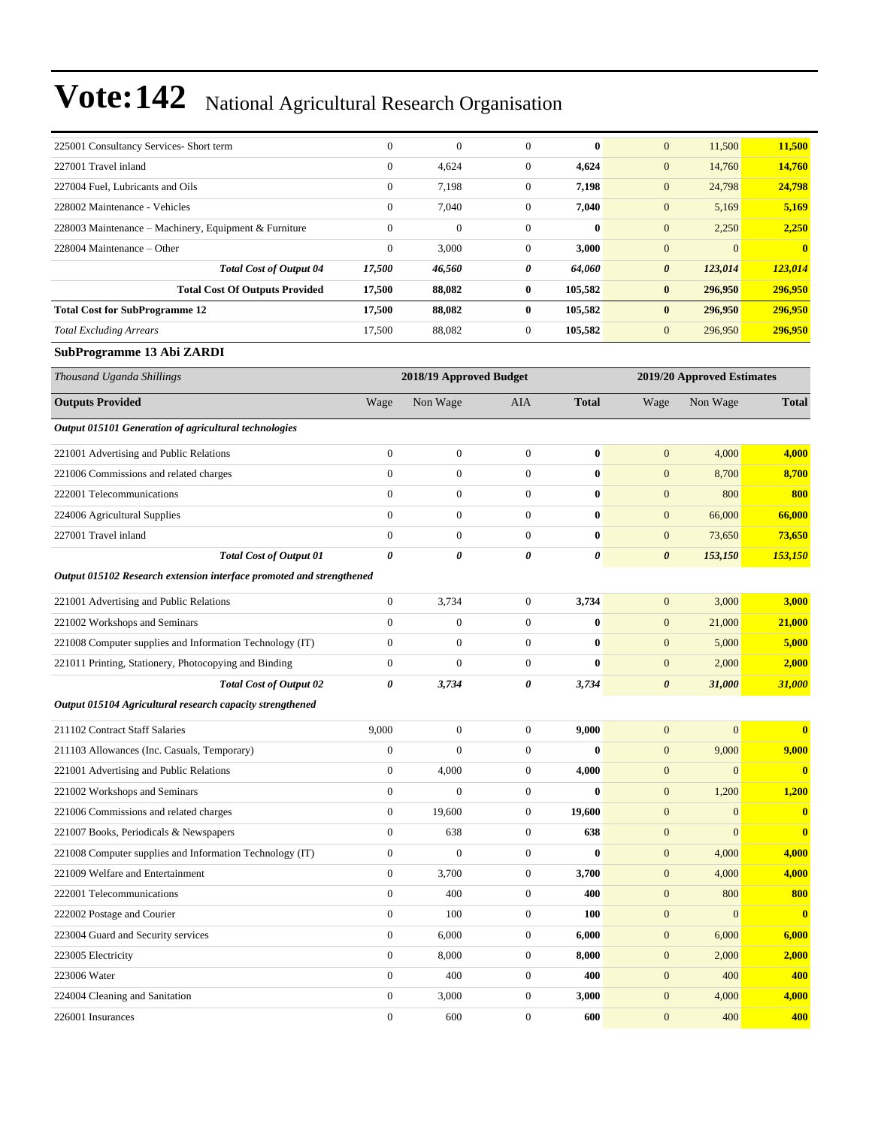| 225001 Consultancy Services- Short term               | $\theta$       | $\theta$ | $\mathbf{0}$     | $\bf{0}$ | $\mathbf{0}$          | 11,500   | 11,500       |
|-------------------------------------------------------|----------------|----------|------------------|----------|-----------------------|----------|--------------|
| 227001 Travel inland                                  | $\overline{0}$ | 4,624    | $\mathbf{0}$     | 4,624    | $\overline{0}$        | 14,760   | 14,760       |
| 227004 Fuel, Lubricants and Oils                      | $\overline{0}$ | 7,198    | $\boldsymbol{0}$ | 7,198    | $\overline{0}$        | 24,798   | 24,798       |
| 228002 Maintenance - Vehicles                         | $\overline{0}$ | 7,040    | $\mathbf{0}$     | 7,040    | $\mathbf{0}$          | 5,169    | 5,169        |
| 228003 Maintenance – Machinery, Equipment & Furniture | $\overline{0}$ | $\theta$ | $\theta$         | $\bf{0}$ | $\mathbf{0}$          | 2,250    | 2,250        |
| 228004 Maintenance – Other                            | $\mathbf{0}$   | 3,000    | $\mathbf{0}$     | 3,000    | $\mathbf{0}$          | $\Omega$ | $\mathbf{0}$ |
| <b>Total Cost of Output 04</b>                        | 17,500         | 46,560   | 0                | 64,060   | $\boldsymbol{\theta}$ | 123,014  | 123,014      |
| <b>Total Cost Of Outputs Provided</b>                 | 17,500         | 88,082   | $\bf{0}$         | 105,582  | $\bf{0}$              | 296,950  | 296,950      |
| <b>Total Cost for SubProgramme 12</b>                 | 17,500         | 88,082   | $\bf{0}$         | 105,582  | $\mathbf{0}$          | 296,950  | 296,950      |
| <b>Total Excluding Arrears</b>                        | 17,500         | 88,082   | $\boldsymbol{0}$ | 105,582  | $\mathbf{0}$          | 296,950  | 296,950      |

#### **SubProgramme 13 Abi ZARDI**

| Thousand Uganda Shillings                                            |                       | 2018/19 Approved Budget |                  |              |                       | 2019/20 Approved Estimates |              |
|----------------------------------------------------------------------|-----------------------|-------------------------|------------------|--------------|-----------------------|----------------------------|--------------|
| <b>Outputs Provided</b>                                              | Wage                  | Non Wage                | AIA              | <b>Total</b> | Wage                  | Non Wage                   | <b>Total</b> |
| Output 015101 Generation of agricultural technologies                |                       |                         |                  |              |                       |                            |              |
| 221001 Advertising and Public Relations                              | $\boldsymbol{0}$      | $\boldsymbol{0}$        | $\boldsymbol{0}$ | $\bf{0}$     | $\mathbf{0}$          | 4,000                      | 4,000        |
| 221006 Commissions and related charges                               | $\overline{0}$        | $\overline{0}$          | $\theta$         | $\bf{0}$     | $\mathbf{0}$          | 8,700                      | 8,700        |
| 222001 Telecommunications                                            | $\overline{0}$        | $\overline{0}$          | $\theta$         | $\bf{0}$     | $\mathbf{0}$          | 800                        | 800          |
| 224006 Agricultural Supplies                                         | $\overline{0}$        | $\boldsymbol{0}$        | $\boldsymbol{0}$ | $\bf{0}$     | $\mathbf{0}$          | 66,000                     | 66,000       |
| 227001 Travel inland                                                 | $\overline{0}$        | $\overline{0}$          | $\boldsymbol{0}$ | $\bf{0}$     | $\mathbf{0}$          | 73,650                     | 73,650       |
| <b>Total Cost of Output 01</b>                                       | $\boldsymbol{\theta}$ | 0                       | 0                | 0            | $\boldsymbol{\theta}$ | 153,150                    | 153,150      |
| Output 015102 Research extension interface promoted and strengthened |                       |                         |                  |              |                       |                            |              |
| 221001 Advertising and Public Relations                              | $\overline{0}$        | 3,734                   | $\boldsymbol{0}$ | 3,734        | $\mathbf{0}$          | 3,000                      | 3,000        |
| 221002 Workshops and Seminars                                        | $\boldsymbol{0}$      | $\boldsymbol{0}$        | $\boldsymbol{0}$ | $\bf{0}$     | $\mathbf{0}$          | 21,000                     | 21,000       |
| 221008 Computer supplies and Information Technology (IT)             | $\overline{0}$        | $\overline{0}$          | $\boldsymbol{0}$ | $\bf{0}$     | $\overline{0}$        | 5,000                      | 5,000        |
| 221011 Printing, Stationery, Photocopying and Binding                | $\overline{0}$        | $\overline{0}$          | $\boldsymbol{0}$ | $\bf{0}$     | $\mathbf{0}$          | 2,000                      | 2,000        |
| <b>Total Cost of Output 02</b>                                       | 0                     | 3,734                   | 0                | 3,734        | $\boldsymbol{\theta}$ | 31,000                     | 31,000       |
| Output 015104 Agricultural research capacity strengthened            |                       |                         |                  |              |                       |                            |              |
| 211102 Contract Staff Salaries                                       | 9,000                 | $\boldsymbol{0}$        | $\boldsymbol{0}$ | 9,000        | $\mathbf{0}$          | $\mathbf{0}$               | $\bf{0}$     |
| 211103 Allowances (Inc. Casuals, Temporary)                          | $\boldsymbol{0}$      | $\overline{0}$          | $\boldsymbol{0}$ | $\bf{0}$     | $\mathbf{0}$          | 9,000                      | 9,000        |
| 221001 Advertising and Public Relations                              | $\boldsymbol{0}$      | 4,000                   | $\mathbf{0}$     | 4,000        | $\mathbf{0}$          | $\mathbf{0}$               | $\bf{0}$     |
| 221002 Workshops and Seminars                                        | $\boldsymbol{0}$      | $\overline{0}$          | $\boldsymbol{0}$ | $\bf{0}$     | $\mathbf{0}$          | 1,200                      | 1,200        |
| 221006 Commissions and related charges                               | $\boldsymbol{0}$      | 19,600                  | $\boldsymbol{0}$ | 19,600       | $\mathbf{0}$          | $\mathbf{0}$               | $\bf{0}$     |
| 221007 Books, Periodicals & Newspapers                               | $\overline{0}$        | 638                     | $\theta$         | 638          | $\mathbf{0}$          | $\mathbf{0}$               | $\bf{0}$     |
| 221008 Computer supplies and Information Technology (IT)             | $\boldsymbol{0}$      | $\overline{0}$          | $\boldsymbol{0}$ | 0            | $\mathbf{0}$          | 4,000                      | 4,000        |
| 221009 Welfare and Entertainment                                     | $\overline{0}$        | 3,700                   | $\boldsymbol{0}$ | 3,700        | $\mathbf{0}$          | 4,000                      | 4,000        |
| 222001 Telecommunications                                            | $\overline{0}$        | 400                     | $\mathbf{0}$     | 400          | $\mathbf{0}$          | 800                        | 800          |
| 222002 Postage and Courier                                           | $\boldsymbol{0}$      | 100                     | $\boldsymbol{0}$ | 100          | $\mathbf{0}$          | $\mathbf{0}$               | $\bf{0}$     |
| 223004 Guard and Security services                                   | $\boldsymbol{0}$      | 6,000                   | $\boldsymbol{0}$ | 6,000        | $\mathbf{0}$          | 6,000                      | 6,000        |
| 223005 Electricity                                                   | $\overline{0}$        | 8,000                   | $\theta$         | 8,000        | $\mathbf{0}$          | 2,000                      | 2,000        |
| 223006 Water                                                         | $\boldsymbol{0}$      | 400                     | $\boldsymbol{0}$ | 400          | $\mathbf{0}$          | 400                        | 400          |
| 224004 Cleaning and Sanitation                                       | $\boldsymbol{0}$      | 3,000                   | $\boldsymbol{0}$ | 3,000        | $\overline{0}$        | 4,000                      | 4,000        |
| 226001 Insurances                                                    | $\overline{0}$        | 600                     | $\mathbf{0}$     | 600          | $\overline{0}$        | 400                        | 400          |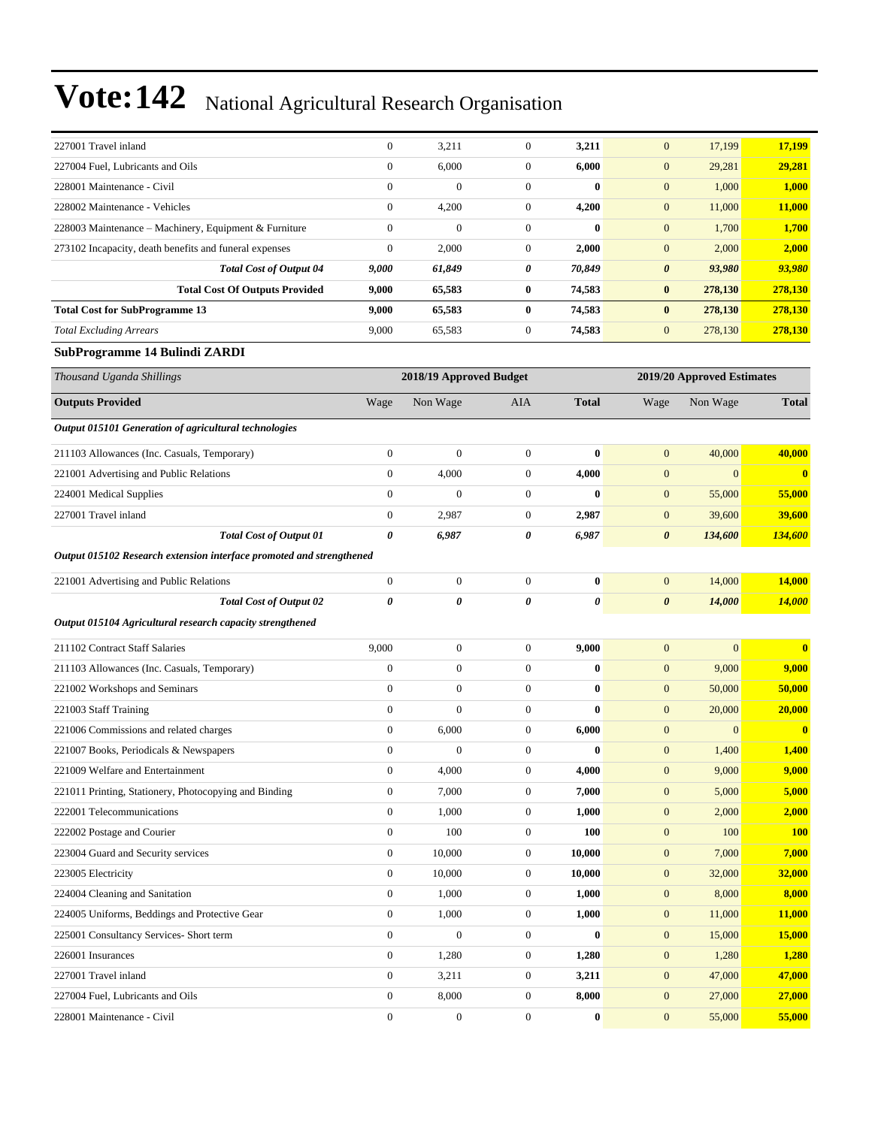| 17,199                                                                                 |
|----------------------------------------------------------------------------------------|
|                                                                                        |
| 29,281                                                                                 |
| 1,000                                                                                  |
| 11,000                                                                                 |
| 1,700                                                                                  |
| 2,000                                                                                  |
| 93,980                                                                                 |
| 278,130                                                                                |
| 278,130                                                                                |
| 278,130                                                                                |
| 29,281<br>1,000<br>11,000<br>1,700<br>2,000<br>93,980<br>278,130<br>278,130<br>278,130 |

#### **SubProgramme 14 Bulindi ZARDI**

| Thousand Uganda Shillings                                            | 2018/19 Approved Budget |                       |                  |              | 2019/20 Approved Estimates |                  |              |  |
|----------------------------------------------------------------------|-------------------------|-----------------------|------------------|--------------|----------------------------|------------------|--------------|--|
| <b>Outputs Provided</b>                                              | Wage                    | Non Wage              | AIA              | <b>Total</b> | Wage                       | Non Wage         | <b>Total</b> |  |
| Output 015101 Generation of agricultural technologies                |                         |                       |                  |              |                            |                  |              |  |
| 211103 Allowances (Inc. Casuals, Temporary)                          | $\overline{0}$          | $\mathbf{0}$          | $\overline{0}$   | $\bf{0}$     | $\mathbf{0}$               | 40,000           | 40,000       |  |
| 221001 Advertising and Public Relations                              | $\overline{0}$          | 4,000                 | $\overline{0}$   | 4,000        | $\overline{0}$             | $\overline{0}$   | $\bf{0}$     |  |
| 224001 Medical Supplies                                              | $\overline{0}$          | $\mathbf{0}$          | $\overline{0}$   | $\bf{0}$     | $\mathbf{0}$               | 55,000           | 55,000       |  |
| 227001 Travel inland                                                 | $\boldsymbol{0}$        | 2,987                 | $\overline{0}$   | 2,987        | $\mathbf{0}$               | 39,600           | 39,600       |  |
| <b>Total Cost of Output 01</b>                                       | $\boldsymbol{\theta}$   | 6,987                 | 0                | 6,987        | $\boldsymbol{\theta}$      | 134,600          | 134,600      |  |
| Output 015102 Research extension interface promoted and strengthened |                         |                       |                  |              |                            |                  |              |  |
| 221001 Advertising and Public Relations                              | $\boldsymbol{0}$        | $\boldsymbol{0}$      | $\mathbf{0}$     | $\bf{0}$     | $\mathbf{0}$               | 14,000           | 14,000       |  |
| <b>Total Cost of Output 02</b>                                       | $\theta$                | $\boldsymbol{\theta}$ | 0                | 0            | $\boldsymbol{\theta}$      | 14,000           | 14,000       |  |
| Output 015104 Agricultural research capacity strengthened            |                         |                       |                  |              |                            |                  |              |  |
| 211102 Contract Staff Salaries                                       | 9.000                   | $\boldsymbol{0}$      | $\overline{0}$   | 9,000        | $\boldsymbol{0}$           | $\boldsymbol{0}$ | $\bf{0}$     |  |
| 211103 Allowances (Inc. Casuals, Temporary)                          | $\boldsymbol{0}$        | $\boldsymbol{0}$      | $\overline{0}$   | $\bf{0}$     | $\mathbf{0}$               | 9,000            | 9,000        |  |
| 221002 Workshops and Seminars                                        | $\boldsymbol{0}$        | $\boldsymbol{0}$      | $\overline{0}$   | $\bf{0}$     | $\mathbf{0}$               | 50,000           | 50,000       |  |
| 221003 Staff Training                                                | $\overline{0}$          | $\mathbf{0}$          | $\overline{0}$   | $\bf{0}$     | $\mathbf{0}$               | 20,000           | 20,000       |  |
| 221006 Commissions and related charges                               | $\overline{0}$          | 6,000                 | $\overline{0}$   | 6,000        | $\overline{0}$             | $\Omega$         | $\bf{0}$     |  |
| 221007 Books, Periodicals & Newspapers                               | $\boldsymbol{0}$        | $\boldsymbol{0}$      | $\boldsymbol{0}$ | $\bf{0}$     | $\mathbf{0}$               | 1,400            | 1,400        |  |
| 221009 Welfare and Entertainment                                     | $\boldsymbol{0}$        | 4,000                 | $\mathbf{0}$     | 4,000        | $\mathbf{0}$               | 9,000            | 9,000        |  |
| 221011 Printing, Stationery, Photocopying and Binding                | $\boldsymbol{0}$        | 7,000                 | $\boldsymbol{0}$ | 7,000        | $\mathbf{0}$               | 5,000            | 5,000        |  |
| 222001 Telecommunications                                            | $\boldsymbol{0}$        | 1,000                 | $\boldsymbol{0}$ | 1,000        | $\mathbf{0}$               | 2,000            | 2,000        |  |
| 222002 Postage and Courier                                           | $\overline{0}$          | 100                   | $\overline{0}$   | 100          | $\mathbf{0}$               | 100              | <b>100</b>   |  |
| 223004 Guard and Security services                                   | $\boldsymbol{0}$        | 10,000                | $\mathbf{0}$     | 10,000       | $\mathbf{0}$               | 7,000            | 7,000        |  |
| 223005 Electricity                                                   | $\boldsymbol{0}$        | 10,000                | $\boldsymbol{0}$ | 10,000       | $\mathbf{0}$               | 32,000           | 32,000       |  |
| 224004 Cleaning and Sanitation                                       | $\mathbf{0}$            | 1,000                 | $\mathbf{0}$     | 1,000        | $\mathbf{0}$               | 8,000            | 8,000        |  |
| 224005 Uniforms, Beddings and Protective Gear                        | $\mathbf{0}$            | 1,000                 | $\overline{0}$   | 1,000        | $\mathbf{0}$               | 11,000           | 11,000       |  |
| 225001 Consultancy Services- Short term                              | $\overline{0}$          | $\mathbf{0}$          | $\overline{0}$   | $\bf{0}$     | $\mathbf{0}$               | 15,000           | 15,000       |  |
| 226001 Insurances                                                    | $\boldsymbol{0}$        | 1,280                 | 0                | 1,280        | $\mathbf{0}$               | 1,280            | 1,280        |  |
| 227001 Travel inland                                                 | $\boldsymbol{0}$        | 3,211                 | $\boldsymbol{0}$ | 3,211        | $\mathbf{0}$               | 47,000           | 47,000       |  |
| 227004 Fuel, Lubricants and Oils                                     | $\boldsymbol{0}$        | 8,000                 | 0                | 8,000        | $\overline{0}$             | 27,000           | 27,000       |  |
| 228001 Maintenance - Civil                                           | $\overline{0}$          | $\boldsymbol{0}$      | $\overline{0}$   | 0            | $\overline{0}$             | 55,000           | 55,000       |  |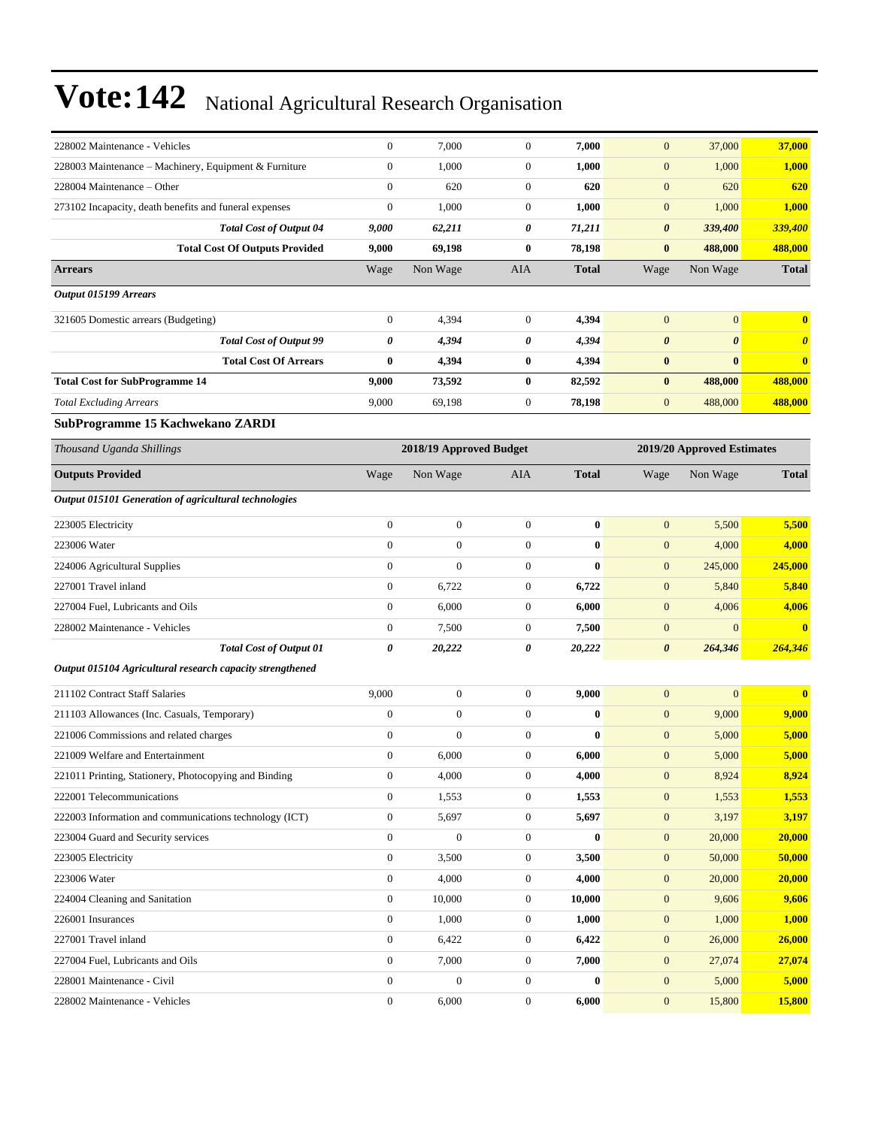| 228002 Maintenance - Vehicles                             | $\boldsymbol{0}$                                      | 7,000            | $\boldsymbol{0}$ | 7,000            | $\mathbf{0}$          | 37,000                | 37,000                |
|-----------------------------------------------------------|-------------------------------------------------------|------------------|------------------|------------------|-----------------------|-----------------------|-----------------------|
| 228003 Maintenance - Machinery, Equipment & Furniture     | $\boldsymbol{0}$                                      | 1,000            | $\boldsymbol{0}$ | 1,000            | $\boldsymbol{0}$      | 1,000                 | 1,000                 |
| 228004 Maintenance – Other                                | $\boldsymbol{0}$                                      | 620              | $\mathbf{0}$     | 620              | $\mathbf{0}$          | 620                   | 620                   |
| 273102 Incapacity, death benefits and funeral expenses    | $\boldsymbol{0}$                                      | 1,000            | $\mathbf{0}$     | 1,000            | $\mathbf{0}$          | 1,000                 | 1,000                 |
| <b>Total Cost of Output 04</b>                            | 9,000                                                 | 62,211           | 0                | 71,211           | $\boldsymbol{\theta}$ | 339,400               | 339,400               |
| <b>Total Cost Of Outputs Provided</b>                     | 9,000                                                 | 69,198           | $\bf{0}$         | 78,198           | $\bf{0}$              | 488,000               | 488,000               |
| <b>Arrears</b>                                            | Wage                                                  | Non Wage         | AIA              | <b>Total</b>     | Wage                  | Non Wage              | <b>Total</b>          |
| Output 015199 Arrears                                     |                                                       |                  |                  |                  |                       |                       |                       |
| 321605 Domestic arrears (Budgeting)                       | $\boldsymbol{0}$                                      | 4,394            | $\boldsymbol{0}$ | 4,394            | $\mathbf{0}$          | $\boldsymbol{0}$      | $\bf{0}$              |
| <b>Total Cost of Output 99</b>                            | 0                                                     | 4,394            | 0                | 4,394            | $\boldsymbol{\theta}$ | $\boldsymbol{\theta}$ | $\boldsymbol{\theta}$ |
| <b>Total Cost Of Arrears</b>                              | $\bf{0}$                                              | 4,394            | $\bf{0}$         | 4,394            | $\bf{0}$              | $\bf{0}$              | $\bf{0}$              |
| <b>Total Cost for SubProgramme 14</b>                     | 9,000                                                 | 73,592           | $\bf{0}$         | 82,592           | $\bf{0}$              | 488,000               | 488,000               |
| <b>Total Excluding Arrears</b>                            | 9,000                                                 | 69,198           | $\boldsymbol{0}$ | 78,198           | $\mathbf{0}$          | 488,000               | 488,000               |
| SubProgramme 15 Kachwekano ZARDI                          |                                                       |                  |                  |                  |                       |                       |                       |
| Thousand Uganda Shillings                                 | 2018/19 Approved Budget<br>2019/20 Approved Estimates |                  |                  |                  |                       |                       |                       |
| <b>Outputs Provided</b>                                   | Wage                                                  | Non Wage         | AIA              | <b>Total</b>     | Wage                  | Non Wage              | <b>Total</b>          |
| Output 015101 Generation of agricultural technologies     |                                                       |                  |                  |                  |                       |                       |                       |
| 223005 Electricity                                        | $\boldsymbol{0}$                                      | $\boldsymbol{0}$ | $\mathbf{0}$     | $\bf{0}$         | $\mathbf{0}$          | 5,500                 | 5,500                 |
| 223006 Water                                              | $\boldsymbol{0}$                                      | $\boldsymbol{0}$ | $\boldsymbol{0}$ | $\bf{0}$         | $\mathbf{0}$          | 4,000                 | 4,000                 |
| 224006 Agricultural Supplies                              | $\boldsymbol{0}$                                      | $\mathbf{0}$     | $\mathbf{0}$     | $\bf{0}$         | $\mathbf{0}$          | 245,000               | 245,000               |
| 227001 Travel inland                                      | $\boldsymbol{0}$                                      | 6,722            | $\mathbf{0}$     | 6,722            | $\mathbf{0}$          | 5,840                 | 5,840                 |
| 227004 Fuel, Lubricants and Oils                          | $\boldsymbol{0}$                                      | 6,000            | $\boldsymbol{0}$ | 6,000            | $\mathbf{0}$          | 4,006                 | 4,006                 |
| 228002 Maintenance - Vehicles                             | $\boldsymbol{0}$                                      | 7,500            | $\boldsymbol{0}$ | 7,500            | $\boldsymbol{0}$      | $\mathbf{0}$          | $\bf{0}$              |
| <b>Total Cost of Output 01</b>                            | 0                                                     | 20,222           | 0                | 20,222           | $\boldsymbol{\theta}$ | 264,346               | 264,346               |
| Output 015104 Agricultural research capacity strengthened |                                                       |                  |                  |                  |                       |                       |                       |
| 211102 Contract Staff Salaries                            | 9,000                                                 | $\boldsymbol{0}$ | $\mathbf{0}$     | 9,000            | $\mathbf{0}$          | $\boldsymbol{0}$      | $\bf{0}$              |
| 211103 Allowances (Inc. Casuals, Temporary)               | $\boldsymbol{0}$                                      | $\boldsymbol{0}$ | $\mathbf{0}$     | $\bf{0}$         | $\mathbf{0}$          | 9,000                 | 9,000                 |
| 221006 Commissions and related charges                    | $\boldsymbol{0}$                                      | $\boldsymbol{0}$ | $\boldsymbol{0}$ | $\bf{0}$         | $\mathbf{0}$          | 5,000                 | 5,000                 |
| 221009 Welfare and Entertainment                          | $\boldsymbol{0}$                                      | 6,000            | $\boldsymbol{0}$ | 6,000            | $\mathbf{0}$          | 5,000                 | 5,000                 |
| 221011 Printing, Stationery, Photocopying and Binding     | $\boldsymbol{0}$                                      | 4,000            | $\boldsymbol{0}$ | 4,000            | $\boldsymbol{0}$      | 8,924                 | 8,924                 |
| 222001 Telecommunications                                 | $\boldsymbol{0}$                                      | 1,553            | $\boldsymbol{0}$ | 1,553            | $\boldsymbol{0}$      | 1,553                 | 1,553                 |
| 222003 Information and communications technology (ICT)    | $\boldsymbol{0}$                                      | 5,697            | $\boldsymbol{0}$ | 5,697            | $\boldsymbol{0}$      | 3,197                 | 3,197                 |
| 223004 Guard and Security services                        | $\boldsymbol{0}$                                      | $\boldsymbol{0}$ | $\boldsymbol{0}$ | $\bf{0}$         | $\boldsymbol{0}$      | 20,000                | 20,000                |
| 223005 Electricity                                        | $\boldsymbol{0}$                                      | 3,500            | $\boldsymbol{0}$ | 3,500            | $\mathbf{0}$          | 50,000                | 50,000                |
| 223006 Water                                              | $\boldsymbol{0}$                                      | 4,000            | $\boldsymbol{0}$ | 4,000            | $\mathbf{0}$          | 20,000                | 20,000                |
| 224004 Cleaning and Sanitation                            | $\boldsymbol{0}$                                      | 10,000           | $\boldsymbol{0}$ | 10,000           | $\mathbf{0}$          | 9,606                 | 9,606                 |
| 226001 Insurances                                         | $\boldsymbol{0}$                                      | 1,000            | $\boldsymbol{0}$ | 1,000            | $\mathbf{0}$          | 1,000                 | 1,000                 |
| 227001 Travel inland                                      | $\boldsymbol{0}$                                      | 6,422            | $\boldsymbol{0}$ | 6,422            | $\boldsymbol{0}$      | 26,000                | 26,000                |
| 227004 Fuel, Lubricants and Oils                          | $\boldsymbol{0}$                                      | 7,000            | $\boldsymbol{0}$ | 7,000            | $\mathbf{0}$          | 27,074                | 27,074                |
| 228001 Maintenance - Civil                                | $\boldsymbol{0}$                                      | $\boldsymbol{0}$ | $\boldsymbol{0}$ | $\boldsymbol{0}$ | $\boldsymbol{0}$      | 5,000                 | 5,000                 |
| 228002 Maintenance - Vehicles                             | $\boldsymbol{0}$                                      | 6,000            | $\boldsymbol{0}$ | 6,000            | $\boldsymbol{0}$      | 15,800                | 15,800                |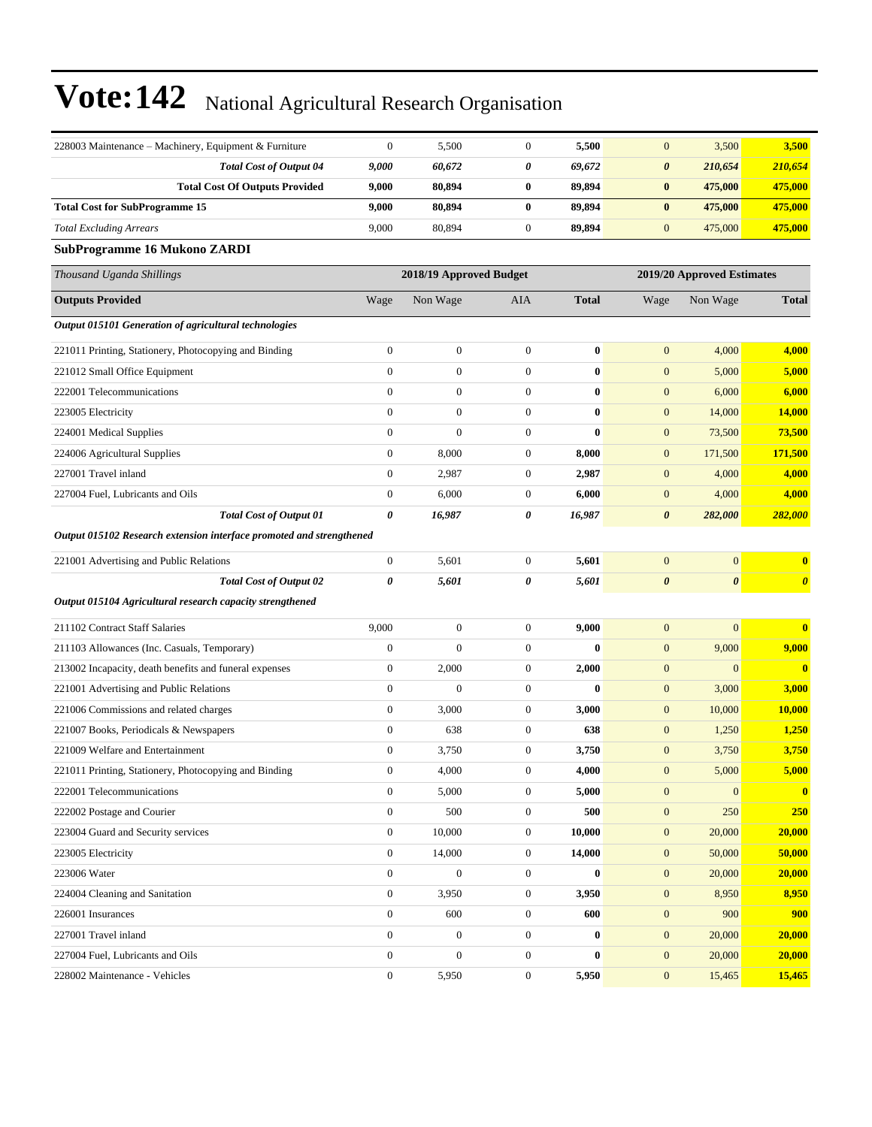| 228003 Maintenance - Machinery, Equipment & Furniture                | $\mathbf{0}$     | 5,500                   | $\boldsymbol{0}$ | 5,500        | $\mathbf{0}$          | 3,500                      | 3,500                   |
|----------------------------------------------------------------------|------------------|-------------------------|------------------|--------------|-----------------------|----------------------------|-------------------------|
| <b>Total Cost of Output 04</b>                                       | 9,000            | 60,672                  | 0                | 69,672       | $\boldsymbol{\theta}$ | 210,654                    | 210,654                 |
| <b>Total Cost Of Outputs Provided</b>                                | 9,000            | 80,894                  | $\bf{0}$         | 89,894       | $\bf{0}$              | 475,000                    | 475,000                 |
| <b>Total Cost for SubProgramme 15</b>                                | 9,000            | 80,894                  | $\bf{0}$         | 89,894       | $\bf{0}$              | 475,000                    | 475,000                 |
| <b>Total Excluding Arrears</b>                                       | 9,000            | 80,894                  | $\boldsymbol{0}$ | 89,894       | $\mathbf{0}$          | 475,000                    | 475,000                 |
| SubProgramme 16 Mukono ZARDI                                         |                  |                         |                  |              |                       |                            |                         |
| Thousand Uganda Shillings                                            |                  | 2018/19 Approved Budget |                  |              |                       | 2019/20 Approved Estimates |                         |
| <b>Outputs Provided</b>                                              | Wage             | Non Wage                | AIA              | <b>Total</b> | Wage                  | Non Wage                   | <b>Total</b>            |
| Output 015101 Generation of agricultural technologies                |                  |                         |                  |              |                       |                            |                         |
| 221011 Printing, Stationery, Photocopying and Binding                | $\boldsymbol{0}$ | $\boldsymbol{0}$        | $\boldsymbol{0}$ | $\bf{0}$     | $\mathbf{0}$          | 4,000                      | 4,000                   |
| 221012 Small Office Equipment                                        | $\boldsymbol{0}$ | $\boldsymbol{0}$        | $\boldsymbol{0}$ | $\bf{0}$     | $\boldsymbol{0}$      | 5,000                      | 5,000                   |
| 222001 Telecommunications                                            | $\mathbf{0}$     | $\boldsymbol{0}$        | $\boldsymbol{0}$ | $\bf{0}$     | $\mathbf{0}$          | 6,000                      | 6,000                   |
| 223005 Electricity                                                   | $\boldsymbol{0}$ | $\boldsymbol{0}$        | $\boldsymbol{0}$ | $\bf{0}$     | $\mathbf{0}$          | 14,000                     | 14,000                  |
| 224001 Medical Supplies                                              | $\mathbf{0}$     | $\overline{0}$          | $\boldsymbol{0}$ | $\bf{0}$     | $\boldsymbol{0}$      | 73,500                     | 73,500                  |
| 224006 Agricultural Supplies                                         | $\boldsymbol{0}$ | 8,000                   | $\boldsymbol{0}$ | 8,000        | $\boldsymbol{0}$      | 171,500                    | 171,500                 |
| 227001 Travel inland                                                 | $\boldsymbol{0}$ | 2,987                   | $\boldsymbol{0}$ | 2,987        | $\boldsymbol{0}$      | 4,000                      | 4,000                   |
| 227004 Fuel, Lubricants and Oils                                     | $\boldsymbol{0}$ | 6,000                   | $\boldsymbol{0}$ | 6,000        | $\mathbf{0}$          | 4,000                      | 4,000                   |
| <b>Total Cost of Output 01</b>                                       | 0                | 16,987                  | 0                | 16,987       | $\boldsymbol{\theta}$ | 282,000                    | 282,000                 |
| Output 015102 Research extension interface promoted and strengthened |                  |                         |                  |              |                       |                            |                         |
| 221001 Advertising and Public Relations                              | $\boldsymbol{0}$ | 5,601                   | $\boldsymbol{0}$ | 5,601        | $\boldsymbol{0}$      | $\boldsymbol{0}$           | $\bf{0}$                |
| <b>Total Cost of Output 02</b>                                       | 0                | 5,601                   | 0                | 5,601        | $\boldsymbol{\theta}$ | $\boldsymbol{\theta}$      | $\boldsymbol{\theta}$   |
| Output 015104 Agricultural research capacity strengthened            |                  |                         |                  |              |                       |                            |                         |
| 211102 Contract Staff Salaries                                       | 9,000            | $\boldsymbol{0}$        | $\boldsymbol{0}$ | 9,000        | $\boldsymbol{0}$      | $\mathbf{0}$               | $\bf{0}$                |
| 211103 Allowances (Inc. Casuals, Temporary)                          | $\boldsymbol{0}$ | $\overline{0}$          | $\boldsymbol{0}$ | $\bf{0}$     | $\mathbf{0}$          | 9,000                      | 9,000                   |
| 213002 Incapacity, death benefits and funeral expenses               | $\boldsymbol{0}$ | 2,000                   | $\boldsymbol{0}$ | 2,000        | $\boldsymbol{0}$      | $\boldsymbol{0}$           | $\overline{\mathbf{0}}$ |
| 221001 Advertising and Public Relations                              | $\mathbf{0}$     | $\mathbf{0}$            | $\boldsymbol{0}$ | $\bf{0}$     | $\boldsymbol{0}$      | 3,000                      | 3,000                   |
| 221006 Commissions and related charges                               | $\boldsymbol{0}$ | 3,000                   | $\boldsymbol{0}$ | 3,000        | $\boldsymbol{0}$      | 10,000                     | <b>10,000</b>           |
| 221007 Books, Periodicals & Newspapers                               | $\boldsymbol{0}$ | 638                     | $\boldsymbol{0}$ | 638          | $\mathbf{0}$          | 1,250                      | 1,250                   |
| 221009 Welfare and Entertainment                                     | $\boldsymbol{0}$ | 3,750                   | $\boldsymbol{0}$ | 3,750        | $\boldsymbol{0}$      | 3,750                      | 3,750                   |
| 221011 Printing, Stationery, Photocopying and Binding                | $\Omega$         | 4,000                   | 0                | 4,000        | $\mathbf{0}$          | 5,000                      | 5,000                   |
| 222001 Telecommunications                                            | $\boldsymbol{0}$ | 5,000                   | $\boldsymbol{0}$ | 5,000        | $\mathbf{0}$          | $\boldsymbol{0}$           | $\bf{0}$                |
| 222002 Postage and Courier                                           | $\boldsymbol{0}$ | 500                     | $\boldsymbol{0}$ | 500          | $\boldsymbol{0}$      | 250                        | 250                     |
| 223004 Guard and Security services                                   | $\mathbf{0}$     | 10,000                  | $\boldsymbol{0}$ | 10,000       | $\boldsymbol{0}$      | 20,000                     | 20,000                  |
| 223005 Electricity                                                   | $\boldsymbol{0}$ | 14,000                  | $\boldsymbol{0}$ | 14,000       | $\mathbf{0}$          | 50,000                     | 50,000                  |
| 223006 Water                                                         | $\boldsymbol{0}$ | $\overline{0}$          | $\boldsymbol{0}$ | $\bf{0}$     | $\mathbf{0}$          | 20,000                     | 20,000                  |
| 224004 Cleaning and Sanitation                                       | $\boldsymbol{0}$ | 3,950                   | $\boldsymbol{0}$ | 3,950        | $\boldsymbol{0}$      | 8,950                      | 8,950                   |
| 226001 Insurances                                                    | $\boldsymbol{0}$ | 600                     | $\boldsymbol{0}$ | 600          | $\mathbf{0}$          | 900                        | 900                     |
| 227001 Travel inland                                                 | $\boldsymbol{0}$ | $\boldsymbol{0}$        | $\boldsymbol{0}$ | $\bf{0}$     | $\mathbf{0}$          | 20,000                     | 20,000                  |
| 227004 Fuel, Lubricants and Oils                                     | $\boldsymbol{0}$ | $\boldsymbol{0}$        | $\boldsymbol{0}$ | 0            | $\mathbf{0}$          | 20,000                     | 20,000                  |
| 228002 Maintenance - Vehicles                                        | $\boldsymbol{0}$ | 5,950                   | $\boldsymbol{0}$ | 5,950        | $\boldsymbol{0}$      | 15,465                     | 15,465                  |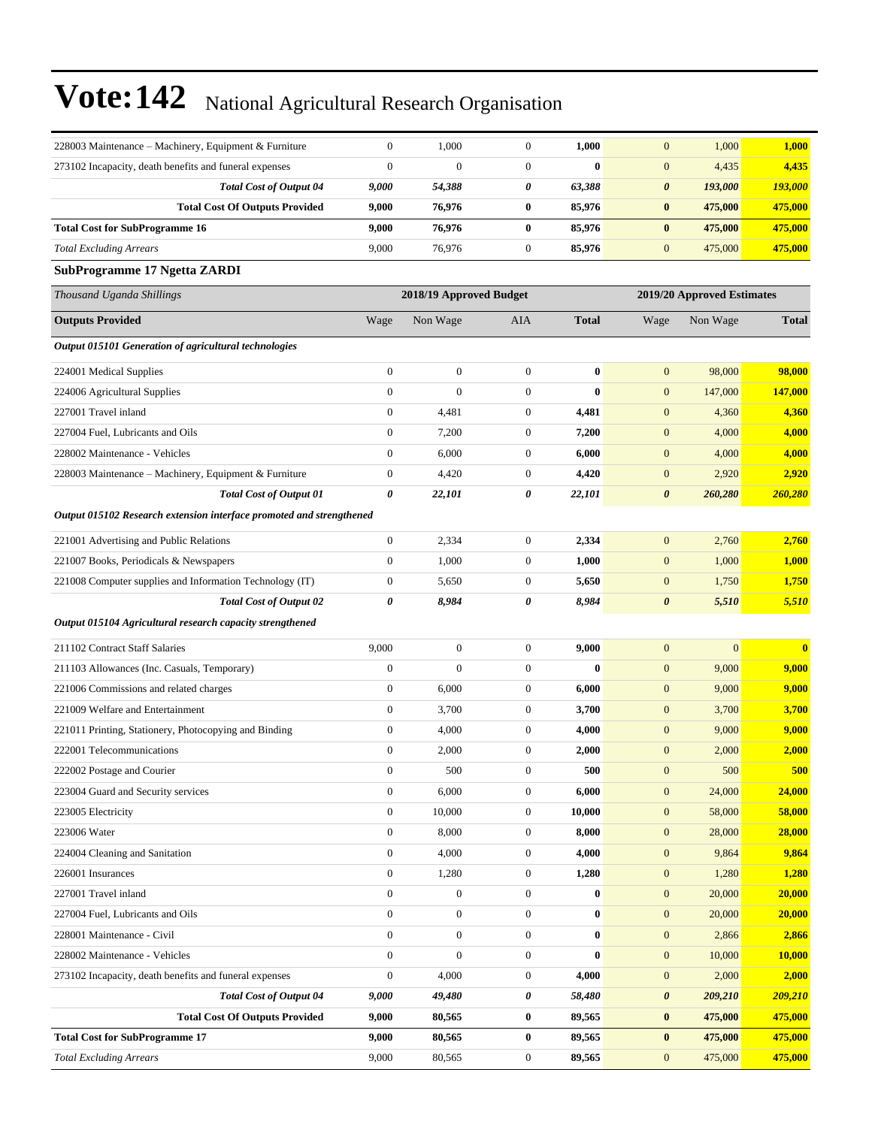| 228003 Maintenance – Machinery, Equipment & Furniture                | $\mathbf{0}$                                          | 1,000            | $\boldsymbol{0}$ | 1,000            | $\mathbf{0}$          | 1,000            | 1,000         |
|----------------------------------------------------------------------|-------------------------------------------------------|------------------|------------------|------------------|-----------------------|------------------|---------------|
| 273102 Incapacity, death benefits and funeral expenses               | $\mathbf{0}$                                          | $\overline{0}$   | $\boldsymbol{0}$ | $\bf{0}$         | $\mathbf{0}$          | 4,435            | 4,435         |
| <b>Total Cost of Output 04</b>                                       | 9,000                                                 | 54,388           | 0                | 63,388           | 0                     | 193,000          | 193,000       |
| <b>Total Cost Of Outputs Provided</b>                                | 9,000                                                 | 76,976           | $\bf{0}$         | 85,976           | $\bf{0}$              | 475,000          | 475,000       |
| <b>Total Cost for SubProgramme 16</b>                                | 9,000                                                 | 76,976           | $\bf{0}$         | 85,976           | $\bf{0}$              | 475,000          | 475,000       |
| <b>Total Excluding Arrears</b>                                       | 9,000                                                 | 76,976           | $\boldsymbol{0}$ | 85,976           | $\mathbf{0}$          | 475,000          | 475,000       |
| SubProgramme 17 Ngetta ZARDI                                         |                                                       |                  |                  |                  |                       |                  |               |
| Thousand Uganda Shillings                                            | 2018/19 Approved Budget<br>2019/20 Approved Estimates |                  |                  |                  |                       |                  |               |
| <b>Outputs Provided</b>                                              | Wage                                                  | Non Wage         | AIA              | <b>Total</b>     | Wage                  | Non Wage         | <b>Total</b>  |
| Output 015101 Generation of agricultural technologies                |                                                       |                  |                  |                  |                       |                  |               |
| 224001 Medical Supplies                                              | $\mathbf{0}$                                          | $\boldsymbol{0}$ | $\boldsymbol{0}$ | $\bf{0}$         | $\boldsymbol{0}$      | 98,000           | 98,000        |
| 224006 Agricultural Supplies                                         | $\mathbf{0}$                                          | $\boldsymbol{0}$ | $\boldsymbol{0}$ | $\bf{0}$         | $\mathbf{0}$          | 147,000          | 147,000       |
| 227001 Travel inland                                                 | $\boldsymbol{0}$                                      | 4,481            | $\boldsymbol{0}$ | 4,481            | $\boldsymbol{0}$      | 4,360            | 4,360         |
| 227004 Fuel, Lubricants and Oils                                     | $\boldsymbol{0}$                                      | 7,200            | $\boldsymbol{0}$ | 7,200            | $\boldsymbol{0}$      | 4,000            | 4,000         |
| 228002 Maintenance - Vehicles                                        | $\boldsymbol{0}$                                      | 6,000            | $\mathbf{0}$     | 6,000            | $\boldsymbol{0}$      | 4,000            | 4,000         |
| 228003 Maintenance - Machinery, Equipment & Furniture                | $\boldsymbol{0}$                                      | 4,420            | $\boldsymbol{0}$ | 4,420            | $\boldsymbol{0}$      | 2,920            | 2,920         |
| <b>Total Cost of Output 01</b>                                       | 0                                                     | 22,101           | 0                | 22,101           | 0                     | 260,280          | 260,280       |
| Output 015102 Research extension interface promoted and strengthened |                                                       |                  |                  |                  |                       |                  |               |
| 221001 Advertising and Public Relations                              | $\boldsymbol{0}$                                      | 2,334            | $\boldsymbol{0}$ | 2,334            | $\mathbf{0}$          | 2,760            | 2,760         |
| 221007 Books, Periodicals & Newspapers                               | $\boldsymbol{0}$                                      | 1,000            | $\boldsymbol{0}$ | 1,000            | $\boldsymbol{0}$      | 1,000            | 1,000         |
| 221008 Computer supplies and Information Technology (IT)             | $\boldsymbol{0}$                                      | 5,650            | $\boldsymbol{0}$ | 5,650            | $\mathbf{0}$          | 1,750            | 1,750         |
| <b>Total Cost of Output 02</b>                                       | 0                                                     | 8,984            | 0                | 8,984            | $\boldsymbol{\theta}$ | 5,510            | 5,510         |
| Output 015104 Agricultural research capacity strengthened            |                                                       |                  |                  |                  |                       |                  |               |
| 211102 Contract Staff Salaries                                       | 9,000                                                 | $\boldsymbol{0}$ | $\boldsymbol{0}$ | 9,000            | $\mathbf{0}$          | $\boldsymbol{0}$ | $\bf{0}$      |
| 211103 Allowances (Inc. Casuals, Temporary)                          | $\mathbf{0}$                                          | $\overline{0}$   | $\boldsymbol{0}$ | $\bf{0}$         | $\mathbf{0}$          | 9,000            | 9,000         |
| 221006 Commissions and related charges                               | $\boldsymbol{0}$                                      | 6,000            | $\boldsymbol{0}$ | 6,000            | $\boldsymbol{0}$      | 9,000            | 9,000         |
| 221009 Welfare and Entertainment                                     | $\boldsymbol{0}$                                      | 3,700            | $\mathbf{0}$     | 3,700            | $\boldsymbol{0}$      | 3,700            | 3,700         |
| 221011 Printing, Stationery, Photocopying and Binding                | $\boldsymbol{0}$                                      | 4,000            | $\boldsymbol{0}$ | 4,000            | $\boldsymbol{0}$      | 9,000            | 9,000         |
| 222001 Telecommunications                                            | $\boldsymbol{0}$                                      | 2,000            | $\boldsymbol{0}$ | 2,000            | $\mathbf{0}$          | 2,000            | 2,000         |
| 222002 Postage and Courier                                           | $\Omega$                                              | 500              | $\Omega$         | 500              | $\Omega$              | 500              | 500           |
| 223004 Guard and Security services                                   | $\boldsymbol{0}$                                      | 6,000            | $\boldsymbol{0}$ | 6,000            | $\mathbf{0}$          | 24,000           | 24,000        |
| 223005 Electricity                                                   | $\boldsymbol{0}$                                      | 10,000           | $\boldsymbol{0}$ | 10,000           | $\mathbf{0}$          | 58,000           | 58,000        |
| 223006 Water                                                         | $\boldsymbol{0}$                                      | 8,000            | $\boldsymbol{0}$ | 8,000            | $\mathbf{0}$          | 28,000           | 28,000        |
| 224004 Cleaning and Sanitation                                       | $\boldsymbol{0}$                                      | 4,000            | $\boldsymbol{0}$ | 4,000            | $\mathbf{0}$          | 9,864            | 9,864         |
| 226001 Insurances                                                    | $\boldsymbol{0}$                                      | 1,280            | $\boldsymbol{0}$ | 1,280            | $\boldsymbol{0}$      | 1,280            | 1,280         |
| 227001 Travel inland                                                 | $\mathbf{0}$                                          | $\boldsymbol{0}$ | $\boldsymbol{0}$ | 0                | $\boldsymbol{0}$      | 20,000           | 20,000        |
| 227004 Fuel, Lubricants and Oils                                     | $\boldsymbol{0}$                                      | $\boldsymbol{0}$ | $\boldsymbol{0}$ | $\boldsymbol{0}$ | $\mathbf{0}$          | 20,000           | 20,000        |
| 228001 Maintenance - Civil                                           | $\boldsymbol{0}$                                      | $\boldsymbol{0}$ | $\boldsymbol{0}$ | 0                | $\boldsymbol{0}$      | 2,866            | 2,866         |
| 228002 Maintenance - Vehicles                                        | $\boldsymbol{0}$                                      | $\boldsymbol{0}$ | $\boldsymbol{0}$ | $\bf{0}$         | $\boldsymbol{0}$      | 10,000           | <b>10,000</b> |
| 273102 Incapacity, death benefits and funeral expenses               | $\mathbf{0}$                                          | 4,000            | $\boldsymbol{0}$ | 4,000            | $\boldsymbol{0}$      | 2,000            | 2,000         |
| <b>Total Cost of Output 04</b>                                       | 9,000                                                 | 49,480           | 0                | 58,480           | 0                     | 209,210          | 209,210       |
| <b>Total Cost Of Outputs Provided</b>                                | 9,000                                                 | 80,565           | $\bf{0}$         | 89,565           | $\bf{0}$              | 475,000          | 475,000       |
| <b>Total Cost for SubProgramme 17</b>                                | 9,000                                                 | 80,565           | $\bf{0}$         | 89,565           | $\bf{0}$              | 475,000          | 475,000       |
| <b>Total Excluding Arrears</b>                                       | 9,000                                                 | 80,565           | $\boldsymbol{0}$ | 89,565           | $\mathbf{0}$          | 475,000          | 475,000       |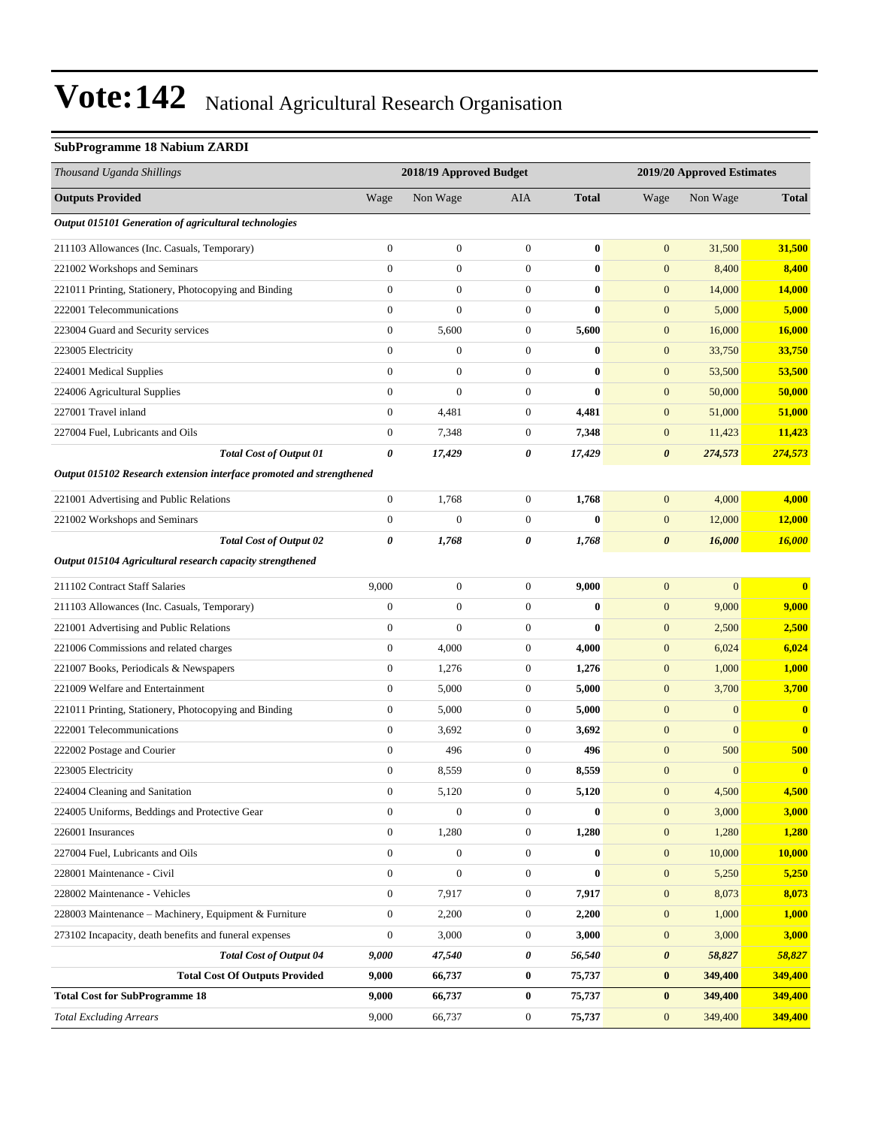#### **SubProgramme 18 Nabium ZARDI**

| Thousand Uganda Shillings                                            |                  | 2018/19 Approved Budget |                  |              |                  | 2019/20 Approved Estimates |                         |  |
|----------------------------------------------------------------------|------------------|-------------------------|------------------|--------------|------------------|----------------------------|-------------------------|--|
| <b>Outputs Provided</b>                                              | Wage             | Non Wage                | AIA              | <b>Total</b> | Wage             | Non Wage                   | <b>Total</b>            |  |
| Output 015101 Generation of agricultural technologies                |                  |                         |                  |              |                  |                            |                         |  |
| 211103 Allowances (Inc. Casuals, Temporary)                          | $\boldsymbol{0}$ | $\boldsymbol{0}$        | $\mathbf{0}$     | $\bf{0}$     | $\boldsymbol{0}$ | 31,500                     | 31,500                  |  |
| 221002 Workshops and Seminars                                        | $\mathbf{0}$     | $\boldsymbol{0}$        | $\boldsymbol{0}$ | $\bf{0}$     | $\mathbf{0}$     | 8,400                      | 8,400                   |  |
| 221011 Printing, Stationery, Photocopying and Binding                | $\overline{0}$   | $\boldsymbol{0}$        | $\boldsymbol{0}$ | $\bf{0}$     | $\boldsymbol{0}$ | 14,000                     | <b>14,000</b>           |  |
| 222001 Telecommunications                                            | $\boldsymbol{0}$ | $\boldsymbol{0}$        | $\boldsymbol{0}$ | $\bf{0}$     | $\boldsymbol{0}$ | 5,000                      | 5,000                   |  |
| 223004 Guard and Security services                                   | $\boldsymbol{0}$ | 5,600                   | $\boldsymbol{0}$ | 5,600        | $\boldsymbol{0}$ | 16,000                     | 16,000                  |  |
| 223005 Electricity                                                   | $\overline{0}$   | $\boldsymbol{0}$        | $\boldsymbol{0}$ | $\bf{0}$     | $\mathbf{0}$     | 33,750                     | 33,750                  |  |
| 224001 Medical Supplies                                              | $\mathbf{0}$     | $\boldsymbol{0}$        | $\boldsymbol{0}$ | $\bf{0}$     | $\mathbf{0}$     | 53,500                     | 53,500                  |  |
| 224006 Agricultural Supplies                                         | $\overline{0}$   | $\boldsymbol{0}$        | $\boldsymbol{0}$ | $\bf{0}$     | $\boldsymbol{0}$ | 50,000                     | 50,000                  |  |
| 227001 Travel inland                                                 | $\boldsymbol{0}$ | 4,481                   | $\boldsymbol{0}$ | 4,481        | $\boldsymbol{0}$ | 51,000                     | 51,000                  |  |
| 227004 Fuel, Lubricants and Oils                                     | $\boldsymbol{0}$ | 7,348                   | $\boldsymbol{0}$ | 7,348        | $\mathbf{0}$     | 11,423                     | 11,423                  |  |
| <b>Total Cost of Output 01</b>                                       | 0                | 17,429                  | 0                | 17,429       | $\pmb{\theta}$   | 274,573                    | 274,573                 |  |
| Output 015102 Research extension interface promoted and strengthened |                  |                         |                  |              |                  |                            |                         |  |
| 221001 Advertising and Public Relations                              | $\boldsymbol{0}$ | 1,768                   | $\mathbf{0}$     | 1,768        | $\mathbf{0}$     | 4,000                      | 4,000                   |  |
| 221002 Workshops and Seminars                                        | $\boldsymbol{0}$ | $\mathbf{0}$            | $\boldsymbol{0}$ | $\bf{0}$     | $\boldsymbol{0}$ | 12,000                     | 12,000                  |  |
| Total Cost of Output 02                                              | 0                | 1,768                   | 0                | 1,768        | $\pmb{\theta}$   | 16,000                     | 16,000                  |  |
| Output 015104 Agricultural research capacity strengthened            |                  |                         |                  |              |                  |                            |                         |  |
| 211102 Contract Staff Salaries                                       | 9,000            | $\boldsymbol{0}$        | $\boldsymbol{0}$ | 9,000        | $\boldsymbol{0}$ | $\mathbf{0}$               | $\overline{\mathbf{0}}$ |  |
| 211103 Allowances (Inc. Casuals, Temporary)                          | $\boldsymbol{0}$ | $\boldsymbol{0}$        | $\boldsymbol{0}$ | $\bf{0}$     | $\mathbf{0}$     | 9,000                      | 9,000                   |  |
| 221001 Advertising and Public Relations                              | $\boldsymbol{0}$ | $\mathbf{0}$            | $\boldsymbol{0}$ | $\bf{0}$     | $\mathbf{0}$     | 2,500                      | 2,500                   |  |
| 221006 Commissions and related charges                               | $\boldsymbol{0}$ | 4,000                   | $\boldsymbol{0}$ | 4,000        | $\boldsymbol{0}$ | 6,024                      | 6,024                   |  |
| 221007 Books, Periodicals & Newspapers                               | $\boldsymbol{0}$ | 1,276                   | $\boldsymbol{0}$ | 1,276        | $\boldsymbol{0}$ | 1,000                      | 1,000                   |  |
| 221009 Welfare and Entertainment                                     | $\boldsymbol{0}$ | 5,000                   | $\boldsymbol{0}$ | 5,000        | $\boldsymbol{0}$ | 3,700                      | 3,700                   |  |
| 221011 Printing, Stationery, Photocopying and Binding                | $\boldsymbol{0}$ | 5,000                   | $\boldsymbol{0}$ | 5,000        | $\mathbf{0}$     | $\mathbf{0}$               | $\bf{0}$                |  |
| 222001 Telecommunications                                            | $\boldsymbol{0}$ | 3,692                   | 0                | 3,692        | $\mathbf{0}$     | $\mathbf{0}$               | $\bf{0}$                |  |
| 222002 Postage and Courier                                           | $\overline{0}$   | 496                     | $\boldsymbol{0}$ | 496          | $\boldsymbol{0}$ | 500                        | 500                     |  |
| 223005 Electricity                                                   | $\boldsymbol{0}$ | 8,559                   | $\boldsymbol{0}$ | 8,559        | $\boldsymbol{0}$ | $\mathbf{0}$               | $\overline{\mathbf{0}}$ |  |
| 224004 Cleaning and Sanitation                                       | 0                | 5,120                   | 0                | 5,120        | $\mathbf{0}$     | 4,500                      | 4,500                   |  |
| 224005 Uniforms, Beddings and Protective Gear                        | $\boldsymbol{0}$ | $\boldsymbol{0}$        | $\boldsymbol{0}$ | $\bf{0}$     | $\mathbf{0}$     | 3,000                      | 3,000                   |  |
| 226001 Insurances                                                    | $\boldsymbol{0}$ | 1,280                   | $\boldsymbol{0}$ | 1,280        | $\mathbf{0}$     | 1,280                      | 1,280                   |  |
| 227004 Fuel, Lubricants and Oils                                     | $\mathbf{0}$     | $\boldsymbol{0}$        | $\boldsymbol{0}$ | $\bf{0}$     | $\boldsymbol{0}$ | 10,000                     | <b>10,000</b>           |  |
| 228001 Maintenance - Civil                                           | $\boldsymbol{0}$ | $\boldsymbol{0}$        | $\boldsymbol{0}$ | $\bf{0}$     | $\boldsymbol{0}$ | 5,250                      | 5,250                   |  |
| 228002 Maintenance - Vehicles                                        | $\boldsymbol{0}$ | 7,917                   | $\boldsymbol{0}$ | 7,917        | $\mathbf{0}$     | 8,073                      | 8,073                   |  |
| 228003 Maintenance - Machinery, Equipment & Furniture                | $\boldsymbol{0}$ | 2,200                   | $\boldsymbol{0}$ | 2,200        | $\boldsymbol{0}$ | 1,000                      | <b>1,000</b>            |  |
| 273102 Incapacity, death benefits and funeral expenses               | $\boldsymbol{0}$ | 3,000                   | $\boldsymbol{0}$ | 3,000        | $\boldsymbol{0}$ | 3,000                      | 3,000                   |  |
| <b>Total Cost of Output 04</b>                                       | 9,000            | 47,540                  | 0                | 56,540       | $\pmb{\theta}$   | 58,827                     | 58,827                  |  |
| <b>Total Cost Of Outputs Provided</b>                                | 9,000            | 66,737                  | 0                | 75,737       | $\bf{0}$         | 349,400                    | 349,400                 |  |
| <b>Total Cost for SubProgramme 18</b>                                | 9,000            | 66,737                  | 0                | 75,737       | $\bf{0}$         | 349,400                    | 349,400                 |  |
| <b>Total Excluding Arrears</b>                                       | 9,000            | 66,737                  | $\boldsymbol{0}$ | 75,737       | $\mathbf{0}$     | 349,400                    | 349,400                 |  |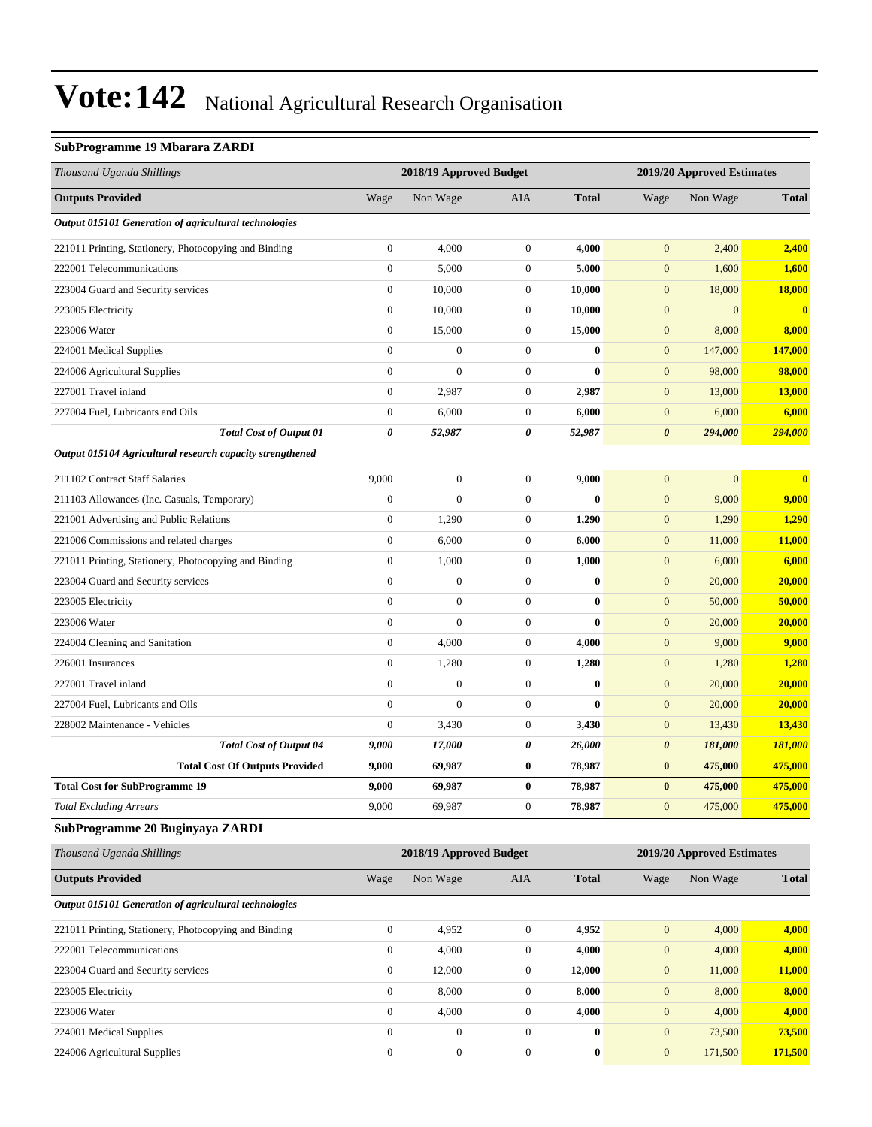#### **SubProgramme 19 Mbarara ZARDI**

| Thousand Uganda Shillings                                 |                  | 2018/19 Approved Budget |                  |              |                       | 2019/20 Approved Estimates |               |
|-----------------------------------------------------------|------------------|-------------------------|------------------|--------------|-----------------------|----------------------------|---------------|
| <b>Outputs Provided</b>                                   | Wage             | Non Wage                | <b>AIA</b>       | <b>Total</b> | Wage                  | Non Wage                   | <b>Total</b>  |
| Output 015101 Generation of agricultural technologies     |                  |                         |                  |              |                       |                            |               |
| 221011 Printing, Stationery, Photocopying and Binding     | $\boldsymbol{0}$ | 4,000                   | $\boldsymbol{0}$ | 4,000        | $\boldsymbol{0}$      | 2,400                      | 2,400         |
| 222001 Telecommunications                                 | $\boldsymbol{0}$ | 5,000                   | $\mathbf{0}$     | 5,000        | $\mathbf{0}$          | 1,600                      | 1,600         |
| 223004 Guard and Security services                        | $\boldsymbol{0}$ | 10,000                  | $\mathbf{0}$     | 10,000       | $\boldsymbol{0}$      | 18,000                     | <b>18,000</b> |
| 223005 Electricity                                        | $\boldsymbol{0}$ | 10,000                  | $\mathbf{0}$     | 10,000       | $\mathbf{0}$          | $\overline{0}$             | $\mathbf{0}$  |
| 223006 Water                                              | $\boldsymbol{0}$ | 15,000                  | $\boldsymbol{0}$ | 15,000       | $\mathbf{0}$          | 8,000                      | 8,000         |
| 224001 Medical Supplies                                   | $\mathbf{0}$     | $\boldsymbol{0}$        | $\boldsymbol{0}$ | $\bf{0}$     | $\mathbf{0}$          | 147,000                    | 147,000       |
| 224006 Agricultural Supplies                              | $\mathbf{0}$     | $\boldsymbol{0}$        | $\mathbf{0}$     | $\bf{0}$     | $\boldsymbol{0}$      | 98,000                     | 98,000        |
| 227001 Travel inland                                      | $\boldsymbol{0}$ | 2,987                   | $\boldsymbol{0}$ | 2,987        | $\boldsymbol{0}$      | 13,000                     | <b>13,000</b> |
| 227004 Fuel, Lubricants and Oils                          | $\mathbf{0}$     | 6,000                   | $\mathbf{0}$     | 6,000        | $\boldsymbol{0}$      | 6,000                      | 6,000         |
| <b>Total Cost of Output 01</b>                            | $\pmb{\theta}$   | 52,987                  | 0                | 52,987       | $\boldsymbol{\theta}$ | 294,000                    | 294,000       |
| Output 015104 Agricultural research capacity strengthened |                  |                         |                  |              |                       |                            |               |
| 211102 Contract Staff Salaries                            | 9,000            | $\boldsymbol{0}$        | $\mathbf{0}$     | 9,000        | $\mathbf{0}$          | $\mathbf{0}$               | $\bf{0}$      |
| 211103 Allowances (Inc. Casuals, Temporary)               | $\boldsymbol{0}$ | $\overline{0}$          | $\boldsymbol{0}$ | $\bf{0}$     | $\mathbf{0}$          | 9,000                      | 9,000         |
| 221001 Advertising and Public Relations                   | $\boldsymbol{0}$ | 1,290                   | $\boldsymbol{0}$ | 1,290        | $\boldsymbol{0}$      | 1,290                      | 1,290         |
| 221006 Commissions and related charges                    | $\boldsymbol{0}$ | 6,000                   | $\boldsymbol{0}$ | 6,000        | $\boldsymbol{0}$      | 11,000                     | 11,000        |
| 221011 Printing, Stationery, Photocopying and Binding     | $\boldsymbol{0}$ | 1,000                   | $\mathbf{0}$     | 1,000        | $\boldsymbol{0}$      | 6,000                      | 6,000         |
| 223004 Guard and Security services                        | $\overline{0}$   | $\boldsymbol{0}$        | $\mathbf{0}$     | $\bf{0}$     | $\mathbf{0}$          | 20,000                     | 20,000        |
| 223005 Electricity                                        | $\mathbf{0}$     | $\boldsymbol{0}$        | $\mathbf{0}$     | $\bf{0}$     | $\mathbf{0}$          | 50,000                     | 50,000        |
| 223006 Water                                              | $\overline{0}$   | $\overline{0}$          | $\boldsymbol{0}$ | $\bf{0}$     | $\boldsymbol{0}$      | 20,000                     | 20,000        |
| 224004 Cleaning and Sanitation                            | $\mathbf{0}$     | 4,000                   | $\boldsymbol{0}$ | 4,000        | $\boldsymbol{0}$      | 9,000                      | 9,000         |
| 226001 Insurances                                         | $\boldsymbol{0}$ | 1,280                   | $\mathbf{0}$     | 1,280        | $\boldsymbol{0}$      | 1,280                      | 1,280         |
| 227001 Travel inland                                      | $\overline{0}$   | $\boldsymbol{0}$        | $\mathbf{0}$     | $\bf{0}$     | $\mathbf{0}$          | 20,000                     | 20,000        |
| 227004 Fuel, Lubricants and Oils                          | $\boldsymbol{0}$ | $\boldsymbol{0}$        | $\mathbf{0}$     | $\bf{0}$     | $\mathbf{0}$          | 20,000                     | 20,000        |
| 228002 Maintenance - Vehicles                             | $\boldsymbol{0}$ | 3,430                   | $\boldsymbol{0}$ | 3,430        | $\boldsymbol{0}$      | 13,430                     | 13,430        |
| <b>Total Cost of Output 04</b>                            | 9,000            | 17,000                  | 0                | 26,000       | $\boldsymbol{\theta}$ | 181,000                    | 181,000       |
| <b>Total Cost Of Outputs Provided</b>                     | 9,000            | 69,987                  | $\bf{0}$         | 78,987       | $\bf{0}$              | 475,000                    | 475,000       |
| <b>Total Cost for SubProgramme 19</b>                     | 9,000            | 69,987                  | $\bf{0}$         | 78,987       | $\bf{0}$              | 475,000                    | 475,000       |
| <b>Total Excluding Arrears</b>                            | 9,000            | 69,987                  | $\boldsymbol{0}$ | 78,987       | $\mathbf{0}$          | 475,000                    | 475,000       |
| SubProgramme 20 Buginyaya ZARDI                           |                  |                         |                  |              |                       |                            |               |
| Thousand Uganda Shillings                                 |                  | 2018/19 Approved Budget |                  |              |                       | 2019/20 Approved Estimates |               |
| <b>Outputs Provided</b>                                   | Wage             | Non Wage                | AIA              | <b>Total</b> | Wage                  | Non Wage                   | <b>Total</b>  |
| Output 015101 Generation of agricultural technologies     |                  |                         |                  |              |                       |                            |               |
| 221011 Printing, Stationery, Photocopying and Binding     | $\boldsymbol{0}$ | 4,952                   | $\boldsymbol{0}$ | 4,952        | $\boldsymbol{0}$      | 4,000                      | 4,000         |
| 222001 Telecommunications                                 | $\boldsymbol{0}$ | 4,000                   | $\boldsymbol{0}$ | 4,000        | $\boldsymbol{0}$      | 4,000                      | 4,000         |
| 223004 Guard and Security services                        | $\boldsymbol{0}$ | 12,000                  | $\boldsymbol{0}$ | 12,000       | $\boldsymbol{0}$      | 11,000                     | 11,000        |
| 223005 Electricity                                        | $\boldsymbol{0}$ | 8,000                   | $\boldsymbol{0}$ | 8,000        | $\mathbf{0}$          | 8,000                      | 8,000         |
| 223006 Water                                              | $\boldsymbol{0}$ | 4,000                   | $\boldsymbol{0}$ | 4,000        | $\mathbf{0}$          | 4,000                      | 4,000         |
| 224001 Medical Supplies                                   | $\overline{0}$   | $\boldsymbol{0}$        | $\mathbf{0}$     | $\bf{0}$     | $\boldsymbol{0}$      | 73,500                     | 73,500        |
| 224006 Agricultural Supplies                              | $\boldsymbol{0}$ | $\boldsymbol{0}$        | $\boldsymbol{0}$ | $\bf{0}$     | $\mathbf{0}$          | 171,500                    | 171,500       |
|                                                           |                  |                         |                  |              |                       |                            |               |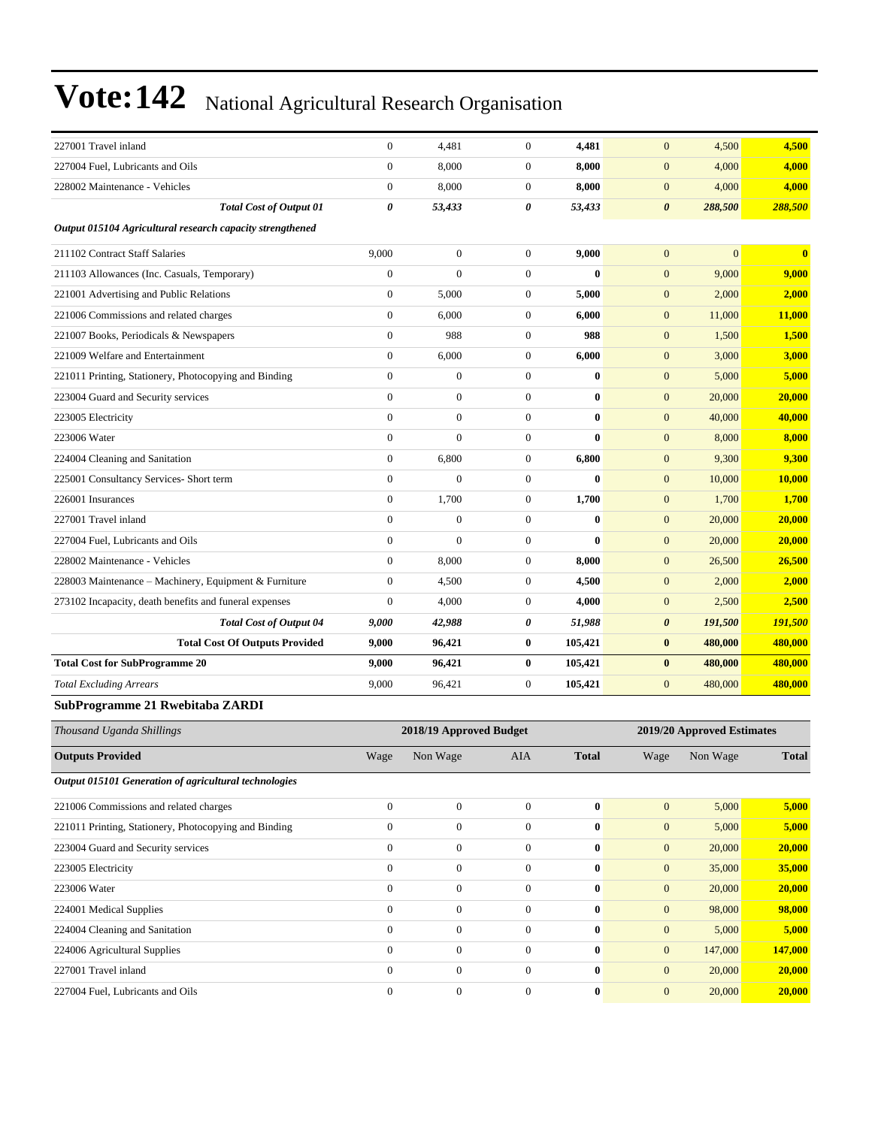| 227001 Travel inland                                      | $\boldsymbol{0}$ | 4,481                   | $\mathbf{0}$     | 4,481            | $\mathbf{0}$          | 4,500                      | 4,500        |
|-----------------------------------------------------------|------------------|-------------------------|------------------|------------------|-----------------------|----------------------------|--------------|
| 227004 Fuel, Lubricants and Oils                          | $\boldsymbol{0}$ | 8,000                   | $\boldsymbol{0}$ | 8,000            | $\mathbf{0}$          | 4,000                      | 4,000        |
| 228002 Maintenance - Vehicles                             | $\boldsymbol{0}$ | 8,000                   | $\boldsymbol{0}$ | 8,000            | $\mathbf{0}$          | 4,000                      | 4,000        |
| <b>Total Cost of Output 01</b>                            | 0                | 53,433                  | 0                | 53,433           | $\boldsymbol{\theta}$ | 288,500                    | 288,500      |
| Output 015104 Agricultural research capacity strengthened |                  |                         |                  |                  |                       |                            |              |
| 211102 Contract Staff Salaries                            | 9,000            | $\boldsymbol{0}$        | $\mathbf{0}$     | 9,000            | $\mathbf{0}$          | $\mathbf{0}$               | $\bf{0}$     |
| 211103 Allowances (Inc. Casuals, Temporary)               | $\boldsymbol{0}$ | $\mathbf{0}$            | $\overline{0}$   | $\mathbf{0}$     | $\mathbf{0}$          | 9,000                      | 9,000        |
| 221001 Advertising and Public Relations                   | $\boldsymbol{0}$ | 5,000                   | $\boldsymbol{0}$ | 5,000            | $\mathbf{0}$          | 2,000                      | 2,000        |
| 221006 Commissions and related charges                    | $\boldsymbol{0}$ | 6,000                   | $\boldsymbol{0}$ | 6,000            | $\mathbf{0}$          | 11,000                     | 11,000       |
| 221007 Books, Periodicals & Newspapers                    | $\boldsymbol{0}$ | 988                     | $\mathbf{0}$     | 988              | $\mathbf{0}$          | 1,500                      | 1,500        |
| 221009 Welfare and Entertainment                          | $\boldsymbol{0}$ | 6,000                   | $\overline{0}$   | 6,000            | $\mathbf{0}$          | 3,000                      | 3,000        |
| 221011 Printing, Stationery, Photocopying and Binding     | $\overline{0}$   | $\boldsymbol{0}$        | $\overline{0}$   | $\bf{0}$         | $\mathbf{0}$          | 5,000                      | 5,000        |
| 223004 Guard and Security services                        | $\boldsymbol{0}$ | $\boldsymbol{0}$        | $\boldsymbol{0}$ | $\bf{0}$         | $\mathbf{0}$          | 20,000                     | 20,000       |
| 223005 Electricity                                        | $\overline{0}$   | $\boldsymbol{0}$        | $\mathbf{0}$     | $\bf{0}$         | $\mathbf{0}$          | 40,000                     | 40,000       |
| 223006 Water                                              | $\boldsymbol{0}$ | $\mathbf{0}$            | $\mathbf{0}$     | $\bf{0}$         | $\mathbf{0}$          | 8,000                      | 8,000        |
| 224004 Cleaning and Sanitation                            | $\boldsymbol{0}$ | 6,800                   | $\boldsymbol{0}$ | 6,800            | $\mathbf{0}$          | 9,300                      | 9,300        |
| 225001 Consultancy Services- Short term                   | $\overline{0}$   | $\mathbf{0}$            | $\overline{0}$   | $\mathbf{0}$     | $\mathbf{0}$          | 10,000                     | 10,000       |
| 226001 Insurances                                         | $\boldsymbol{0}$ | 1,700                   | $\boldsymbol{0}$ | 1,700            | $\mathbf{0}$          | 1,700                      | 1,700        |
| 227001 Travel inland                                      | $\overline{0}$   | $\boldsymbol{0}$        | $\mathbf{0}$     | $\bf{0}$         | $\mathbf{0}$          | 20,000                     | 20,000       |
| 227004 Fuel, Lubricants and Oils                          | $\boldsymbol{0}$ | $\mathbf{0}$            | $\mathbf{0}$     | $\bf{0}$         | $\mathbf{0}$          | 20,000                     | 20,000       |
| 228002 Maintenance - Vehicles                             | $\boldsymbol{0}$ | 8,000                   | $\boldsymbol{0}$ | 8,000            | $\mathbf{0}$          | 26,500                     | 26,500       |
| 228003 Maintenance - Machinery, Equipment & Furniture     | $\overline{0}$   | 4,500                   | $\overline{0}$   | 4,500            | $\mathbf{0}$          | 2,000                      | 2,000        |
| 273102 Incapacity, death benefits and funeral expenses    | $\mathbf{0}$     | 4,000                   | $\boldsymbol{0}$ | 4,000            | $\mathbf{0}$          | 2,500                      | 2,500        |
| <b>Total Cost of Output 04</b>                            | 9,000            | 42,988                  | 0                | 51,988           | $\boldsymbol{\theta}$ | 191,500                    | 191,500      |
| <b>Total Cost Of Outputs Provided</b>                     | 9,000            | 96,421                  | $\bf{0}$         | 105,421          | $\bf{0}$              | 480,000                    | 480,000      |
| <b>Total Cost for SubProgramme 20</b>                     | 9,000            | 96,421                  | $\bf{0}$         | 105,421          | $\bf{0}$              | 480,000                    | 480,000      |
| <b>Total Excluding Arrears</b>                            | 9,000            | 96,421                  | $\mathbf{0}$     | 105,421          | $\mathbf{0}$          | 480,000                    | 480,000      |
| SubProgramme 21 Rwebitaba ZARDI                           |                  |                         |                  |                  |                       |                            |              |
| Thousand Uganda Shillings                                 |                  | 2018/19 Approved Budget |                  |                  |                       | 2019/20 Approved Estimates |              |
| <b>Outputs Provided</b>                                   | Wage             | Non Wage                | AIA              | <b>Total</b>     | Wage                  | Non Wage                   | <b>Total</b> |
| Output 015101 Generation of agricultural technologies     |                  |                         |                  |                  |                       |                            |              |
| 221006 Commissions and related charges                    | $\boldsymbol{0}$ | $\boldsymbol{0}$        | $\mathbf{0}$     | $\bf{0}$         | $\mathbf{0}$          | 5,000                      | 5,000        |
| 221011 Printing, Stationery, Photocopying and Binding     | $\boldsymbol{0}$ | $\boldsymbol{0}$        | $\boldsymbol{0}$ | $\bf{0}$         | $\boldsymbol{0}$      | 5,000                      | 5,000        |
| 223004 Guard and Security services                        | $\boldsymbol{0}$ | $\boldsymbol{0}$        | $\mathbf{0}$     | $\bf{0}$         | $\boldsymbol{0}$      | 20,000                     | 20,000       |
| 223005 Electricity                                        | $\boldsymbol{0}$ | $\boldsymbol{0}$        | $\mathbf{0}$     | $\bf{0}$         | $\boldsymbol{0}$      | 35,000                     | 35,000       |
| 223006 Water                                              | $\boldsymbol{0}$ | $\boldsymbol{0}$        | $\overline{0}$   | $\boldsymbol{0}$ | $\boldsymbol{0}$      | 20,000                     | 20,000       |
| 224001 Medical Supplies                                   | $\boldsymbol{0}$ | $\boldsymbol{0}$        | $\mathbf{0}$     | $\bf{0}$         | $\boldsymbol{0}$      | 98,000                     | 98,000       |
| 224004 Cleaning and Sanitation                            | $\boldsymbol{0}$ | $\boldsymbol{0}$        | $\mathbf{0}$     | $\bf{0}$         | $\boldsymbol{0}$      | 5,000                      | 5,000        |
| 224006 Agricultural Supplies                              | $\boldsymbol{0}$ | $\boldsymbol{0}$        | $\boldsymbol{0}$ | $\bf{0}$         | $\boldsymbol{0}$      | 147,000                    | 147,000      |
|                                                           |                  |                         |                  |                  |                       |                            |              |

227001 Travel inland 0 0 0 **0** 0 20,000 **20,000** 227004 Fuel, Lubricants and Oils 0 0 0 **0** 0 20,000 **20,000**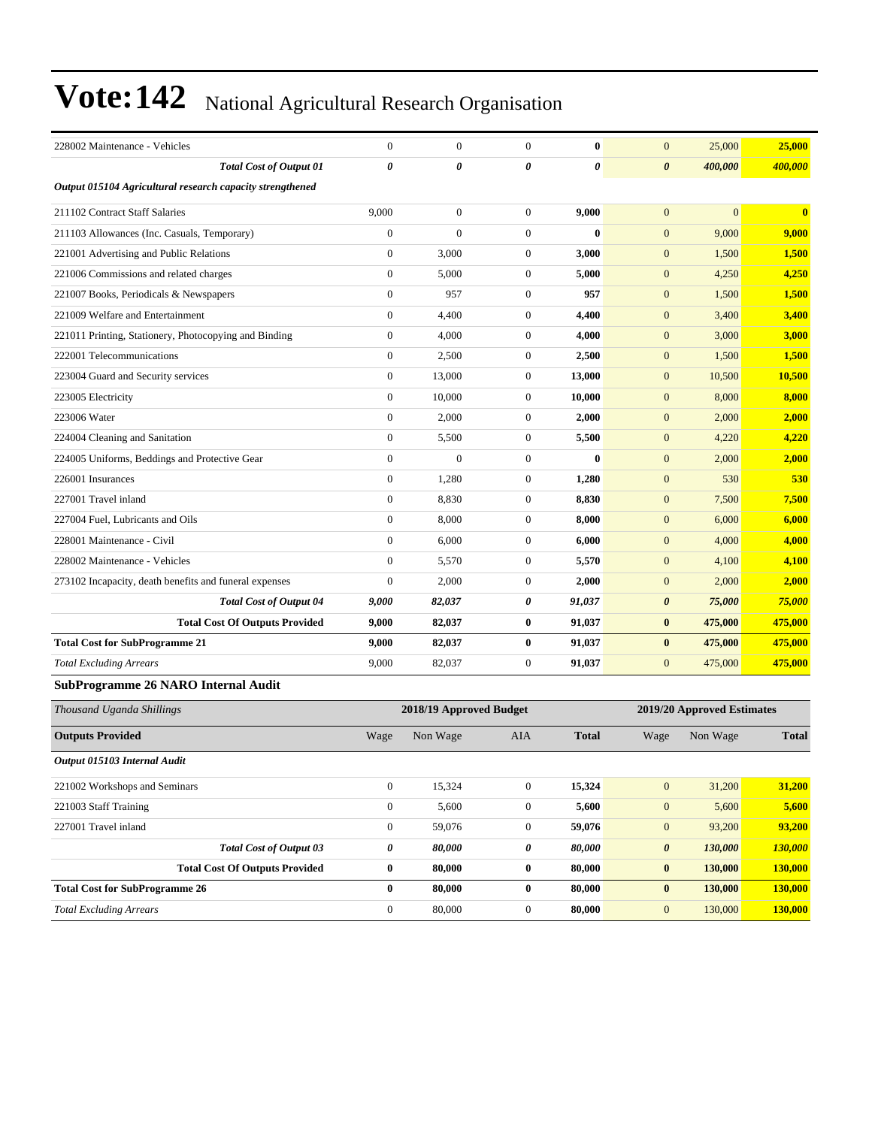| 228002 Maintenance - Vehicles                             | $\mathbf{0}$     | $\mathbf{0}$            | $\overline{0}$ | $\mathbf{0}$ | $\mathbf{0}$          | 25,000                     | 25,000       |
|-----------------------------------------------------------|------------------|-------------------------|----------------|--------------|-----------------------|----------------------------|--------------|
| <b>Total Cost of Output 01</b>                            | 0                | 0                       | 0              | $\theta$     | $\boldsymbol{\theta}$ | 400,000                    | 400,000      |
| Output 015104 Agricultural research capacity strengthened |                  |                         |                |              |                       |                            |              |
| 211102 Contract Staff Salaries                            | 9,000            | $\boldsymbol{0}$        | $\mathbf{0}$   | 9,000        | $\mathbf{0}$          | $\overline{0}$             | $\bf{0}$     |
| 211103 Allowances (Inc. Casuals, Temporary)               | $\boldsymbol{0}$ | $\overline{0}$          | $\mathbf{0}$   | $\bf{0}$     | $\mathbf{0}$          | 9,000                      | 9,000        |
| 221001 Advertising and Public Relations                   | $\overline{0}$   | 3,000                   | $\overline{0}$ | 3,000        | $\mathbf{0}$          | 1,500                      | 1,500        |
| 221006 Commissions and related charges                    | $\overline{0}$   | 5,000                   | $\overline{0}$ | 5,000        | $\mathbf{0}$          | 4,250                      | 4,250        |
| 221007 Books, Periodicals & Newspapers                    | $\overline{0}$   | 957                     | $\overline{0}$ | 957          | $\mathbf{0}$          | 1,500                      | 1,500        |
| 221009 Welfare and Entertainment                          | $\overline{0}$   | 4,400                   | $\overline{0}$ | 4,400        | $\mathbf{0}$          | 3,400                      | 3,400        |
| 221011 Printing, Stationery, Photocopying and Binding     | $\overline{0}$   | 4,000                   | $\overline{0}$ | 4,000        | $\mathbf{0}$          | 3,000                      | 3,000        |
| 222001 Telecommunications                                 | $\overline{0}$   | 2,500                   | $\mathbf{0}$   | 2,500        | $\mathbf{0}$          | 1,500                      | 1,500        |
| 223004 Guard and Security services                        | $\overline{0}$   | 13,000                  | $\overline{0}$ | 13,000       | $\mathbf{0}$          | 10,500                     | 10,500       |
| 223005 Electricity                                        | $\boldsymbol{0}$ | 10,000                  | $\mathbf{0}$   | 10,000       | $\mathbf{0}$          | 8,000                      | 8,000        |
| 223006 Water                                              | $\theta$         | 2,000                   | $\overline{0}$ | 2,000        | $\overline{0}$        | 2,000                      | 2,000        |
| 224004 Cleaning and Sanitation                            | $\overline{0}$   | 5,500                   | $\overline{0}$ | 5,500        | $\mathbf{0}$          | 4,220                      | 4,220        |
| 224005 Uniforms, Beddings and Protective Gear             | $\overline{0}$   | $\Omega$                | $\overline{0}$ | $\mathbf{0}$ | $\overline{0}$        | 2,000                      | 2,000        |
| 226001 Insurances                                         | $\overline{0}$   | 1,280                   | $\mathbf{0}$   | 1,280        | $\mathbf{0}$          | 530                        | 530          |
| 227001 Travel inland                                      | $\overline{0}$   | 8,830                   | $\overline{0}$ | 8,830        | $\mathbf{0}$          | 7,500                      | 7,500        |
| 227004 Fuel, Lubricants and Oils                          | $\overline{0}$   | 8,000                   | $\overline{0}$ | 8,000        | $\mathbf{0}$          | 6,000                      | 6,000        |
| 228001 Maintenance - Civil                                | $\overline{0}$   | 6,000                   | $\mathbf{0}$   | 6,000        | $\mathbf{0}$          | 4,000                      | 4,000        |
| 228002 Maintenance - Vehicles                             | $\overline{0}$   | 5,570                   | $\mathbf{0}$   | 5,570        | $\mathbf{0}$          | 4,100                      | 4,100        |
| 273102 Incapacity, death benefits and funeral expenses    | $\boldsymbol{0}$ | 2,000                   | $\mathbf{0}$   | 2,000        | $\mathbf{0}$          | 2,000                      | 2,000        |
| <b>Total Cost of Output 04</b>                            | 9,000            | 82,037                  | 0              | 91,037       | $\boldsymbol{\theta}$ | 75,000                     | 75,000       |
| <b>Total Cost Of Outputs Provided</b>                     | 9,000            | 82,037                  | $\bf{0}$       | 91,037       | $\bf{0}$              | 475,000                    | 475,000      |
| <b>Total Cost for SubProgramme 21</b>                     | 9,000            | 82,037                  | $\bf{0}$       | 91,037       | $\bf{0}$              | 475,000                    | 475,000      |
| <b>Total Excluding Arrears</b>                            | 9,000            | 82,037                  | $\overline{0}$ | 91,037       | $\overline{0}$        | 475,000                    | 475,000      |
| <b>SubProgramme 26 NARO Internal Audit</b>                |                  |                         |                |              |                       |                            |              |
| Thousand Uganda Shillings                                 |                  | 2018/19 Approved Budget |                |              |                       | 2019/20 Approved Estimates |              |
| <b>Outputs Provided</b>                                   | Wage             | Non Wage                | AIA            | <b>Total</b> | Wage                  | Non Wage                   | <b>Total</b> |

| Output 015103 Internal Audit          |              |        |              |        |                                  |         |
|---------------------------------------|--------------|--------|--------------|--------|----------------------------------|---------|
| 221002 Workshops and Seminars         | $\mathbf{0}$ | 15,324 | 0            | 15,324 | 31,200<br>$\mathbf{0}$           | 31,200  |
| 221003 Staff Training                 | 0            | 5,600  | 0            | 5,600  | 5,600<br>$\mathbf{0}$            | 5,600   |
| 227001 Travel inland                  | $\mathbf{0}$ | 59,076 | 0            | 59,076 | 93,200<br>$\mathbf{0}$           | 93,200  |
| <b>Total Cost of Output 03</b>        | 0            | 80,000 | 0            | 80,000 | 130,000<br>$\boldsymbol{\theta}$ | 130,000 |
| <b>Total Cost Of Outputs Provided</b> | $\bf{0}$     | 80,000 | $\bf{0}$     | 80,000 | 130,000<br>$\bf{0}$              | 130,000 |
| <b>Total Cost for SubProgramme 26</b> | $\bf{0}$     | 80.000 | $\mathbf{0}$ | 80,000 | 130,000<br>$\bf{0}$              | 130,000 |
| <b>Total Excluding Arrears</b>        | $\mathbf{0}$ | 80,000 | 0            | 80,000 | 130,000<br>$\overline{0}$        | 130,000 |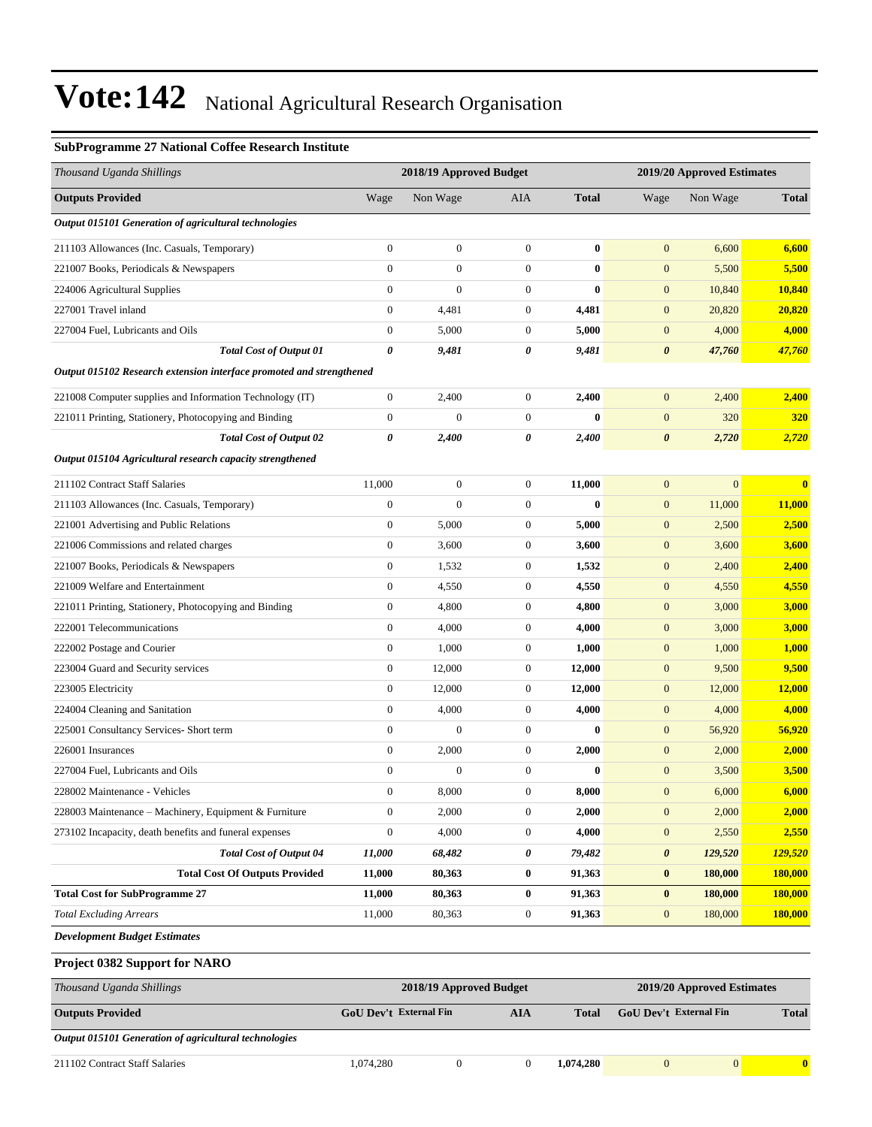#### **SubProgramme 27 National Coffee Research Institute**

| Thousand Uganda Shillings                                            | 2018/19 Approved Budget<br>2019/20 Approved Estimates |                         |                  |                            |                               |              |                         |
|----------------------------------------------------------------------|-------------------------------------------------------|-------------------------|------------------|----------------------------|-------------------------------|--------------|-------------------------|
| <b>Outputs Provided</b>                                              | Wage                                                  | Non Wage                | AIA              | <b>Total</b>               | Wage                          | Non Wage     | <b>Total</b>            |
| Output 015101 Generation of agricultural technologies                |                                                       |                         |                  |                            |                               |              |                         |
| 211103 Allowances (Inc. Casuals, Temporary)                          | $\boldsymbol{0}$                                      | $\boldsymbol{0}$        | $\boldsymbol{0}$ | $\bf{0}$                   | $\mathbf{0}$                  | 6,600        | 6,600                   |
| 221007 Books, Periodicals & Newspapers                               | $\overline{0}$                                        | $\boldsymbol{0}$        | $\boldsymbol{0}$ | $\bf{0}$                   | $\boldsymbol{0}$              | 5,500        | 5,500                   |
| 224006 Agricultural Supplies                                         | $\overline{0}$                                        | $\boldsymbol{0}$        | $\overline{0}$   | $\bf{0}$                   | $\mathbf{0}$                  | 10,840       | 10,840                  |
| 227001 Travel inland                                                 | $\boldsymbol{0}$                                      | 4,481                   | $\overline{0}$   | 4,481                      | $\mathbf{0}$                  | 20,820       | 20,820                  |
| 227004 Fuel, Lubricants and Oils                                     | $\boldsymbol{0}$                                      | 5,000                   | $\boldsymbol{0}$ | 5,000                      | $\boldsymbol{0}$              | 4,000        | 4,000                   |
| <b>Total Cost of Output 01</b>                                       | 0                                                     | 9,481                   | 0                | 9,481                      | $\boldsymbol{\theta}$         | 47,760       | 47,760                  |
| Output 015102 Research extension interface promoted and strengthened |                                                       |                         |                  |                            |                               |              |                         |
| 221008 Computer supplies and Information Technology (IT)             | $\boldsymbol{0}$                                      | 2,400                   | $\boldsymbol{0}$ | 2,400                      | $\boldsymbol{0}$              | 2,400        | 2,400                   |
| 221011 Printing, Stationery, Photocopying and Binding                | $\boldsymbol{0}$                                      | $\mathbf{0}$            | $\overline{0}$   | $\bf{0}$                   | $\mathbf{0}$                  | 320          | <b>320</b>              |
| <b>Total Cost of Output 02</b>                                       | 0                                                     | 2,400                   | 0                | 2,400                      | $\boldsymbol{\theta}$         | 2,720        | 2,720                   |
| Output 015104 Agricultural research capacity strengthened            |                                                       |                         |                  |                            |                               |              |                         |
| 211102 Contract Staff Salaries                                       | 11,000                                                | $\boldsymbol{0}$        | $\boldsymbol{0}$ | 11,000                     | $\boldsymbol{0}$              | $\mathbf{0}$ | $\bf{0}$                |
| 211103 Allowances (Inc. Casuals, Temporary)                          | $\boldsymbol{0}$                                      | $\boldsymbol{0}$        | $\boldsymbol{0}$ | $\bf{0}$                   | $\mathbf{0}$                  | 11,000       | 11,000                  |
| 221001 Advertising and Public Relations                              | $\boldsymbol{0}$                                      | 5,000                   | $\boldsymbol{0}$ | 5,000                      | $\mathbf{0}$                  | 2,500        | 2,500                   |
| 221006 Commissions and related charges                               | $\boldsymbol{0}$                                      | 3,600                   | $\boldsymbol{0}$ | 3,600                      | $\mathbf{0}$                  | 3,600        | 3,600                   |
| 221007 Books, Periodicals & Newspapers                               | $\boldsymbol{0}$                                      | 1,532                   | $\overline{0}$   | 1,532                      | $\mathbf{0}$                  | 2,400        | 2,400                   |
| 221009 Welfare and Entertainment                                     | $\boldsymbol{0}$                                      | 4,550                   | $\boldsymbol{0}$ | 4,550                      | $\boldsymbol{0}$              | 4,550        | 4,550                   |
| 221011 Printing, Stationery, Photocopying and Binding                | $\boldsymbol{0}$                                      | 4,800                   | 0                | 4,800                      | $\mathbf{0}$                  | 3,000        | 3,000                   |
| 222001 Telecommunications                                            | $\boldsymbol{0}$                                      | 4,000                   | $\boldsymbol{0}$ | 4,000                      | $\mathbf{0}$                  | 3,000        | 3,000                   |
| 222002 Postage and Courier                                           | $\boldsymbol{0}$                                      | 1,000                   | $\boldsymbol{0}$ | 1,000                      | $\mathbf{0}$                  | 1,000        | 1,000                   |
| 223004 Guard and Security services                                   | $\boldsymbol{0}$                                      | 12,000                  | $\overline{0}$   | 12,000                     | $\mathbf{0}$                  | 9,500        | 9,500                   |
| 223005 Electricity                                                   | $\boldsymbol{0}$                                      | 12,000                  | $\boldsymbol{0}$ | 12,000                     | $\boldsymbol{0}$              | 12,000       | <b>12,000</b>           |
| 224004 Cleaning and Sanitation                                       | $\boldsymbol{0}$                                      | 4,000                   | $\boldsymbol{0}$ | 4,000                      | $\mathbf{0}$                  | 4,000        | 4,000                   |
| 225001 Consultancy Services- Short term                              | $\boldsymbol{0}$                                      | $\boldsymbol{0}$        | $\boldsymbol{0}$ | $\bf{0}$                   | $\mathbf{0}$                  | 56,920       | 56,920                  |
| 226001 Insurances                                                    | $\boldsymbol{0}$                                      | 2,000                   | $\boldsymbol{0}$ | 2,000                      | $\mathbf{0}$                  | 2,000        | 2,000                   |
| 227004 Fuel, Lubricants and Oils                                     | $\boldsymbol{0}$                                      | $\boldsymbol{0}$        | $\boldsymbol{0}$ | $\bf{0}$                   | $\boldsymbol{0}$              | 3,500        | 3,500                   |
| 228002 Maintenance - Vehicles                                        | $\boldsymbol{0}$                                      | 8,000                   | $\boldsymbol{0}$ | 8,000                      | $\boldsymbol{0}$              | 6,000        | 6,000                   |
| 228003 Maintenance - Machinery, Equipment & Furniture                | $\boldsymbol{0}$                                      | 2,000                   | 0                | 2,000                      | $\mathbf{0}$                  | 2,000        | 2,000                   |
| 273102 Incapacity, death benefits and funeral expenses               | $\boldsymbol{0}$                                      | 4,000                   | $\boldsymbol{0}$ | 4,000                      | $\boldsymbol{0}$              | 2,550        | 2,550                   |
| <b>Total Cost of Output 04</b>                                       | 11,000                                                | 68,482                  | 0                | 79,482                     | 0                             | 129,520      | 129,520                 |
| <b>Total Cost Of Outputs Provided</b>                                | 11,000                                                | 80,363                  | $\bf{0}$         | 91,363                     | $\bf{0}$                      | 180,000      | 180,000                 |
| <b>Total Cost for SubProgramme 27</b>                                | 11,000                                                | 80,363                  | $\bf{0}$         | 91,363                     | $\pmb{0}$                     | 180,000      | 180,000                 |
| <b>Total Excluding Arrears</b>                                       | 11,000                                                | 80,363                  | $\boldsymbol{0}$ | 91,363                     | $\boldsymbol{0}$              | 180,000      | 180,000                 |
| <b>Development Budget Estimates</b>                                  |                                                       |                         |                  |                            |                               |              |                         |
| Project 0382 Support for NARO                                        |                                                       |                         |                  |                            |                               |              |                         |
| Thousand Uganda Shillings                                            |                                                       | 2018/19 Approved Budget |                  | 2019/20 Approved Estimates |                               |              |                         |
| <b>Outputs Provided</b>                                              | GoU Dev't External Fin                                |                         | <b>AIA</b>       | Total                      | <b>GoU Dev't External Fin</b> |              | <b>Total</b>            |
| Output 015101 Generation of agricultural technologies                |                                                       |                         |                  |                            |                               |              |                         |
| 211102 Contract Staff Salaries                                       | 1,074,280                                             | $\boldsymbol{0}$        | $\overline{0}$   | 1,074,280                  | $\mathbf{0}$                  | $\mathbf{0}$ | $\overline{\mathbf{0}}$ |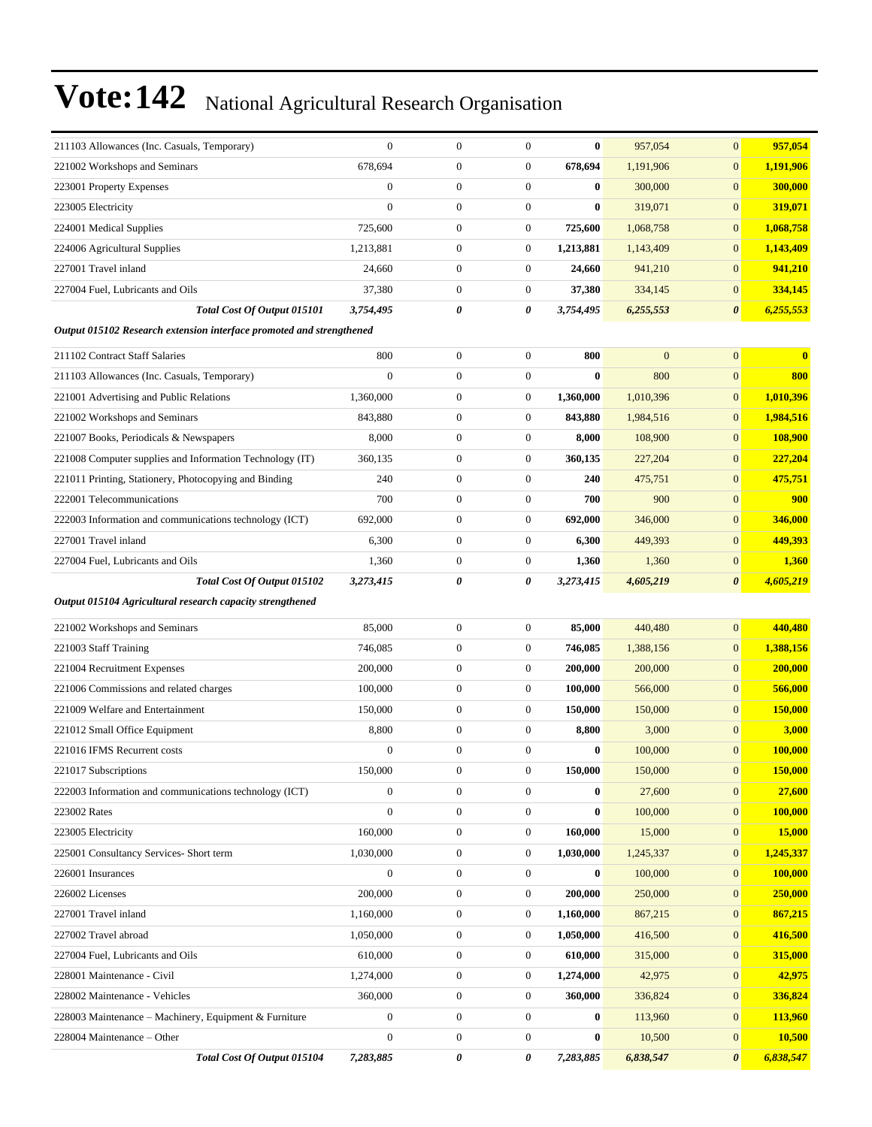| 211103 Allowances (Inc. Casuals, Temporary)                          | $\mathbf{0}$     | $\boldsymbol{0}$ | $\boldsymbol{0}$ | $\bf{0}$  | 957,054      | $\overline{0}$        | 957,054   |
|----------------------------------------------------------------------|------------------|------------------|------------------|-----------|--------------|-----------------------|-----------|
| 221002 Workshops and Seminars                                        | 678,694          | $\boldsymbol{0}$ | $\boldsymbol{0}$ | 678,694   | 1,191,906    | $\overline{0}$        | 1,191,906 |
| 223001 Property Expenses                                             | $\boldsymbol{0}$ | $\boldsymbol{0}$ | $\boldsymbol{0}$ | $\bf{0}$  | 300,000      | $\mathbf{0}$          | 300,000   |
| 223005 Electricity                                                   | $\overline{0}$   | $\boldsymbol{0}$ | $\mathbf{0}$     | $\bf{0}$  | 319,071      | $\overline{0}$        | 319,071   |
| 224001 Medical Supplies                                              | 725,600          | $\boldsymbol{0}$ | $\mathbf{0}$     | 725,600   | 1,068,758    | $\overline{0}$        | 1,068,758 |
| 224006 Agricultural Supplies                                         | 1,213,881        | $\boldsymbol{0}$ | $\mathbf{0}$     | 1,213,881 | 1,143,409    | $\overline{0}$        | 1,143,409 |
| 227001 Travel inland                                                 | 24,660           | $\boldsymbol{0}$ | $\mathbf{0}$     | 24,660    | 941,210      | $\overline{0}$        | 941,210   |
| 227004 Fuel, Lubricants and Oils                                     | 37,380           | $\boldsymbol{0}$ | $\boldsymbol{0}$ | 37,380    | 334,145      | $\overline{0}$        | 334,145   |
| Total Cost Of Output 015101                                          | 3,754,495        | 0                | 0                | 3,754,495 | 6,255,553    | 0                     | 6,255,553 |
| Output 015102 Research extension interface promoted and strengthened |                  |                  |                  |           |              |                       |           |
| 211102 Contract Staff Salaries                                       | 800              | $\boldsymbol{0}$ | $\mathbf{0}$     | 800       | $\mathbf{0}$ | $\boldsymbol{0}$      | $\bf{0}$  |
| 211103 Allowances (Inc. Casuals, Temporary)                          | $\boldsymbol{0}$ | $\boldsymbol{0}$ | $\mathbf{0}$     | $\bf{0}$  | 800          | $\overline{0}$        | 800       |
| 221001 Advertising and Public Relations                              | 1,360,000        | $\boldsymbol{0}$ | $\mathbf{0}$     | 1,360,000 | 1,010,396    | $\overline{0}$        | 1,010,396 |
| 221002 Workshops and Seminars                                        | 843,880          | $\boldsymbol{0}$ | $\boldsymbol{0}$ | 843,880   | 1,984,516    | $\overline{0}$        | 1,984,516 |
| 221007 Books, Periodicals & Newspapers                               | 8,000            | $\boldsymbol{0}$ | $\mathbf{0}$     | 8,000     | 108,900      | $\overline{0}$        | 108,900   |
| 221008 Computer supplies and Information Technology (IT)             | 360,135          | $\boldsymbol{0}$ | $\mathbf{0}$     | 360,135   | 227,204      | $\boldsymbol{0}$      | 227,204   |
| 221011 Printing, Stationery, Photocopying and Binding                | 240              | $\boldsymbol{0}$ | $\mathbf{0}$     | 240       | 475,751      | $\overline{0}$        | 475,751   |
| 222001 Telecommunications                                            | 700              | $\boldsymbol{0}$ | $\boldsymbol{0}$ | 700       | 900          | $\overline{0}$        | 900       |
| 222003 Information and communications technology (ICT)               | 692,000          | $\boldsymbol{0}$ | $\boldsymbol{0}$ | 692,000   | 346,000      | $\overline{0}$        | 346,000   |
| 227001 Travel inland                                                 | 6,300            | $\boldsymbol{0}$ | $\mathbf{0}$     | 6,300     | 449,393      | $\overline{0}$        | 449,393   |
| 227004 Fuel, Lubricants and Oils                                     | 1,360            | $\boldsymbol{0}$ | $\boldsymbol{0}$ | 1,360     | 1,360        | $\boldsymbol{0}$      | 1,360     |
| Total Cost Of Output 015102                                          | 3,273,415        | 0                | 0                | 3,273,415 | 4,605,219    | $\boldsymbol{\theta}$ | 4,605,219 |
|                                                                      |                  |                  |                  |           |              |                       |           |
| Output 015104 Agricultural research capacity strengthened            |                  |                  |                  |           |              |                       |           |
| 221002 Workshops and Seminars                                        | 85,000           | $\boldsymbol{0}$ | $\mathbf{0}$     | 85,000    | 440,480      | $\overline{0}$        | 440,480   |
| 221003 Staff Training                                                | 746,085          | $\boldsymbol{0}$ | $\mathbf{0}$     | 746,085   | 1,388,156    | $\overline{0}$        | 1,388,156 |
| 221004 Recruitment Expenses                                          | 200,000          | $\boldsymbol{0}$ | $\mathbf{0}$     | 200,000   | 200,000      | $\overline{0}$        | 200,000   |
| 221006 Commissions and related charges                               | 100,000          | $\boldsymbol{0}$ | $\mathbf{0}$     | 100,000   | 566,000      | $\mathbf{0}$          | 566,000   |
| 221009 Welfare and Entertainment                                     | 150,000          | $\boldsymbol{0}$ | $\mathbf{0}$     | 150,000   | 150,000      | $\overline{0}$        | 150,000   |
| 221012 Small Office Equipment                                        | 8,800            | $\boldsymbol{0}$ | $\boldsymbol{0}$ | 8,800     | 3,000        | $\overline{0}$        | 3,000     |
| 221016 IFMS Recurrent costs                                          | $\boldsymbol{0}$ | $\boldsymbol{0}$ | $\boldsymbol{0}$ | $\bf{0}$  | 100,000      | $\overline{0}$        | 100,000   |
| 221017 Subscriptions                                                 | 150,000          | $\boldsymbol{0}$ | 0                | 150,000   | 150,000      | $\boldsymbol{0}$      | 150,000   |
| 222003 Information and communications technology (ICT)               | $\mathbf{0}$     | $\boldsymbol{0}$ | $\boldsymbol{0}$ | $\bf{0}$  | 27,600       | $\mathbf{0}$          | 27,600    |
| 223002 Rates                                                         | $\boldsymbol{0}$ | $\boldsymbol{0}$ | $\mathbf{0}$     | $\bf{0}$  | 100,000      | $\overline{0}$        | 100,000   |
| 223005 Electricity                                                   | 160,000          | $\boldsymbol{0}$ | $\mathbf{0}$     | 160,000   | 15,000       | $\boldsymbol{0}$      | 15,000    |
| 225001 Consultancy Services- Short term                              | 1,030,000        | $\boldsymbol{0}$ | $\mathbf{0}$     | 1,030,000 | 1,245,337    | $\mathbf{0}$          | 1,245,337 |
| 226001 Insurances                                                    | $\mathbf{0}$     | $\boldsymbol{0}$ | $\mathbf{0}$     | $\bf{0}$  | 100,000      | $\mathbf{0}$          | 100,000   |
| 226002 Licenses                                                      | 200,000          | $\boldsymbol{0}$ | $\boldsymbol{0}$ | 200,000   | 250,000      | $\mathbf{0}$          | 250,000   |
| 227001 Travel inland                                                 | 1,160,000        | $\boldsymbol{0}$ | $\boldsymbol{0}$ | 1,160,000 | 867,215      | $\boldsymbol{0}$      | 867,215   |
| 227002 Travel abroad                                                 | 1,050,000        | $\boldsymbol{0}$ | $\mathbf{0}$     | 1,050,000 | 416,500      | $\boldsymbol{0}$      | 416,500   |
| 227004 Fuel, Lubricants and Oils                                     | 610,000          | $\boldsymbol{0}$ | $\boldsymbol{0}$ | 610,000   | 315,000      | $\mathbf{0}$          | 315,000   |
| 228001 Maintenance - Civil                                           | 1,274,000        | $\boldsymbol{0}$ | $\boldsymbol{0}$ | 1,274,000 | 42,975       | $\boldsymbol{0}$      | 42,975    |
| 228002 Maintenance - Vehicles                                        | 360,000          | $\boldsymbol{0}$ | $\boldsymbol{0}$ | 360,000   | 336,824      | $\mathbf{0}$          | 336,824   |
| 228003 Maintenance - Machinery, Equipment & Furniture                | $\mathbf{0}$     | $\boldsymbol{0}$ | $\mathbf{0}$     | $\bf{0}$  | 113,960      | $\overline{0}$        | 113,960   |
| 228004 Maintenance - Other<br>Total Cost Of Output 015104            | $\boldsymbol{0}$ | $\boldsymbol{0}$ | $\mathbf{0}$     | $\bf{0}$  | 10,500       | $\boldsymbol{0}$      | 10,500    |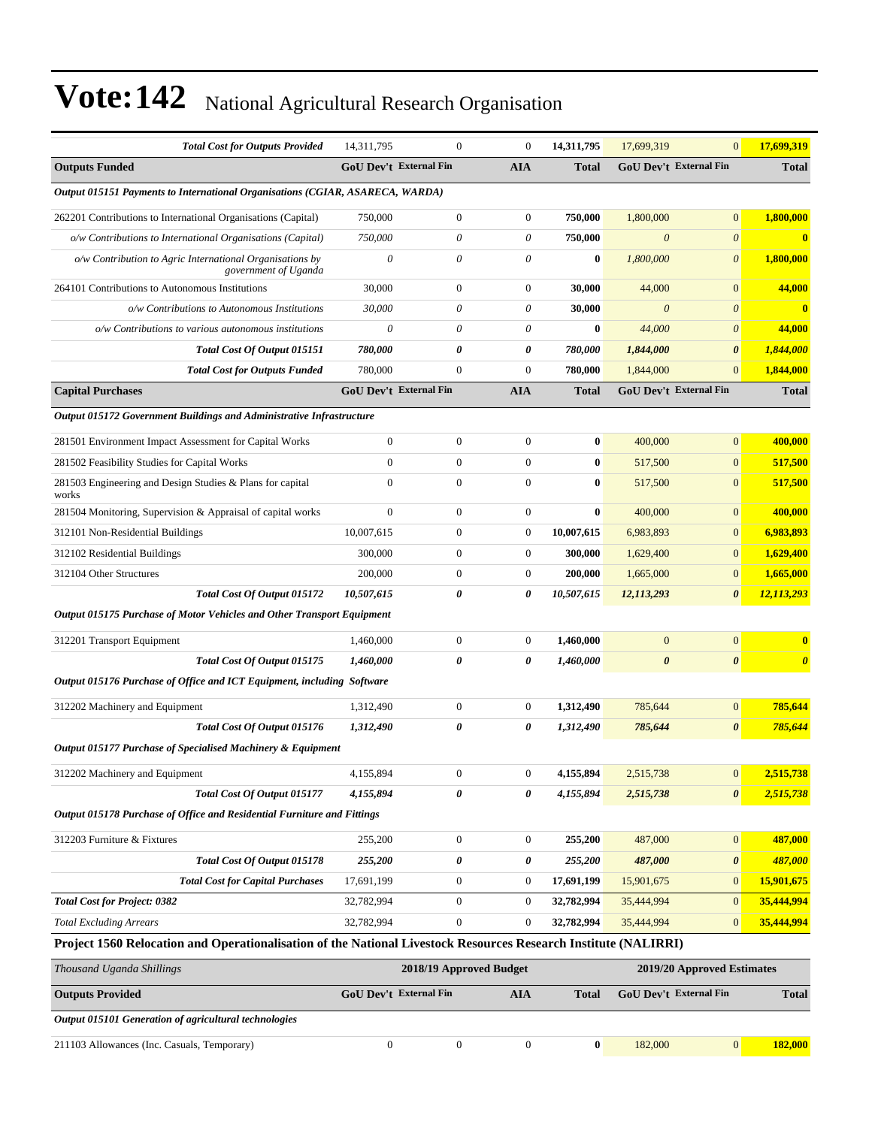| <b>Total Cost for Outputs Provided</b>                                                                          | 14,311,795     | $\boldsymbol{0}$              | $\overline{0}$   | 14,311,795   | 17,699,319            | $\mathbf{0}$                  | 17,699,319            |  |  |
|-----------------------------------------------------------------------------------------------------------------|----------------|-------------------------------|------------------|--------------|-----------------------|-------------------------------|-----------------------|--|--|
| <b>Outputs Funded</b>                                                                                           |                | <b>GoU Dev't External Fin</b> | <b>AIA</b>       | <b>Total</b> |                       | <b>GoU Dev't External Fin</b> | <b>Total</b>          |  |  |
| Output 015151 Payments to International Organisations (CGIAR, ASARECA, WARDA)                                   |                |                               |                  |              |                       |                               |                       |  |  |
| 262201 Contributions to International Organisations (Capital)                                                   | 750,000        | $\boldsymbol{0}$              | $\overline{0}$   | 750,000      | 1,800,000             | $\mathbf{0}$                  | 1.800.000             |  |  |
| o/w Contributions to International Organisations (Capital)                                                      | 750,000        | $\theta$                      | 0                | 750,000      | $\boldsymbol{\theta}$ | $\boldsymbol{\theta}$         | $\bf{0}$              |  |  |
| o/w Contribution to Agric International Organisations by<br>government of Uganda                                | $\theta$       | 0                             | 0                | $\bf{0}$     | 1,800,000             | $\boldsymbol{\theta}$         | 1,800,000             |  |  |
| 264101 Contributions to Autonomous Institutions                                                                 | 30,000         | $\boldsymbol{0}$              | $\boldsymbol{0}$ | 30,000       | 44,000                | $\mathbf{0}$                  | 44,000                |  |  |
| o/w Contributions to Autonomous Institutions                                                                    | 30,000         | 0                             | 0                | 30,000       | $\theta$              | $\theta$                      | $\mathbf{0}$          |  |  |
| o/w Contributions to various autonomous institutions                                                            | $\theta$       | 0                             | 0                | $\bf{0}$     | 44,000                | $\theta$                      | 44,000                |  |  |
| Total Cost Of Output 015151                                                                                     | 780,000        | 0                             | 0                | 780,000      | 1,844,000             | $\boldsymbol{\theta}$         | 1,844,000             |  |  |
| <b>Total Cost for Outputs Funded</b>                                                                            | 780,000        | $\boldsymbol{0}$              | $\mathbf{0}$     | 780,000      | 1,844,000             | $\mathbf{0}$                  | 1,844,000             |  |  |
| <b>Capital Purchases</b>                                                                                        |                | <b>GoU Dev't External Fin</b> | <b>AIA</b>       | <b>Total</b> |                       | <b>GoU Dev't External Fin</b> | <b>Total</b>          |  |  |
| Output 015172 Government Buildings and Administrative Infrastructure                                            |                |                               |                  |              |                       |                               |                       |  |  |
| 281501 Environment Impact Assessment for Capital Works                                                          | $\mathbf{0}$   | $\boldsymbol{0}$              | $\overline{0}$   | $\bf{0}$     | 400,000               | $\mathbf{0}$                  | 400,000               |  |  |
| 281502 Feasibility Studies for Capital Works                                                                    | $\overline{0}$ | $\boldsymbol{0}$              | $\overline{0}$   | $\bf{0}$     | 517,500               | $\mathbf{0}$                  | 517,500               |  |  |
| 281503 Engineering and Design Studies & Plans for capital<br>works                                              | $\mathbf{0}$   | $\mathbf{0}$                  | $\overline{0}$   | $\bf{0}$     | 517,500               | $\mathbf{0}$                  | 517,500               |  |  |
| 281504 Monitoring, Supervision & Appraisal of capital works                                                     | $\theta$       | $\mathbf{0}$                  | $\overline{0}$   | $\bf{0}$     | 400,000               | $\mathbf{0}$                  | 400,000               |  |  |
| 312101 Non-Residential Buildings                                                                                | 10,007,615     | $\boldsymbol{0}$              | 0                | 10,007,615   | 6,983,893             | $\mathbf{0}$                  | 6,983,893             |  |  |
| 312102 Residential Buildings                                                                                    | 300,000        | $\boldsymbol{0}$              | 0                | 300,000      | 1,629,400             | $\mathbf{0}$                  | 1,629,400             |  |  |
| 312104 Other Structures                                                                                         | 200,000        | $\boldsymbol{0}$              | $\boldsymbol{0}$ | 200,000      | 1,665,000             | $\mathbf{0}$                  | 1,665,000             |  |  |
| Total Cost Of Output 015172                                                                                     | 10,507,615     | 0                             | 0                | 10,507,615   | 12,113,293            | $\boldsymbol{\theta}$         | 12,113,293            |  |  |
| <b>Output 015175 Purchase of Motor Vehicles and Other Transport Equipment</b>                                   |                |                               |                  |              |                       |                               |                       |  |  |
| 312201 Transport Equipment                                                                                      | 1,460,000      | $\boldsymbol{0}$              | $\overline{0}$   | 1,460,000    | $\mathbf{0}$          | $\mathbf{0}$                  | $\bf{0}$              |  |  |
| Total Cost Of Output 015175                                                                                     | 1,460,000      | 0                             | 0                | 1,460,000    | $\boldsymbol{\theta}$ | $\boldsymbol{\theta}$         | $\boldsymbol{\theta}$ |  |  |
| Output 015176 Purchase of Office and ICT Equipment, including Software                                          |                |                               |                  |              |                       |                               |                       |  |  |
| 312202 Machinery and Equipment                                                                                  | 1,312,490      | $\boldsymbol{0}$              | 0                | 1,312,490    | 785,644               | $\mathbf{0}$                  | 785,644               |  |  |
| Total Cost Of Output 015176                                                                                     | 1,312,490      | 0                             | 0                | 1,312,490    | 785,644               | $\boldsymbol{\theta}$         | 785,644               |  |  |
| Output 015177 Purchase of Specialised Machinery & Equipment                                                     |                |                               |                  |              |                       |                               |                       |  |  |
| 312202 Machinery and Equipment                                                                                  | 4,155,894      | $\boldsymbol{0}$              | $\boldsymbol{0}$ | 4,155,894    | 2,515,738             | $\bf{0}$                      | 2,515,738             |  |  |
| Total Cost Of Output 015177                                                                                     | 4,155,894      | 0                             | 0                | 4,155,894    | 2,515,738             | $\boldsymbol{\theta}$         | 2,515,738             |  |  |
| Output 015178 Purchase of Office and Residential Furniture and Fittings                                         |                |                               |                  |              |                       |                               |                       |  |  |
| 312203 Furniture & Fixtures                                                                                     | 255,200        | $\boldsymbol{0}$              | $\boldsymbol{0}$ | 255,200      | 487,000               | $\mathbf{0}$                  | 487,000               |  |  |
| Total Cost Of Output 015178                                                                                     | 255,200        | 0                             | 0                | 255,200      | 487,000               | $\boldsymbol{\theta}$         | 487,000               |  |  |
| <b>Total Cost for Capital Purchases</b>                                                                         | 17,691,199     | $\boldsymbol{0}$              | 0                | 17,691,199   | 15,901,675            | $\mathbf{0}$                  | 15,901,675            |  |  |
| <b>Total Cost for Project: 0382</b>                                                                             | 32,782,994     | $\boldsymbol{0}$              | $\boldsymbol{0}$ | 32,782,994   | 35,444,994            | $\mathbf{0}$                  | 35,444,994            |  |  |
| <b>Total Excluding Arrears</b>                                                                                  | 32,782,994     | $\boldsymbol{0}$              | $\boldsymbol{0}$ | 32,782,994   | 35,444,994            | $\mathbf{0}$                  | 35,444,994            |  |  |
| Project 1560 Relocation and Operationalisation of the National Livestock Resources Research Institute (NALIRRI) |                |                               |                  |              |                       |                               |                       |  |  |
| Thousand Uganda Shillings                                                                                       |                | 2018/19 Approved Budget       |                  |              |                       | 2019/20 Approved Estimates    |                       |  |  |
| <b>Outputs Provided</b>                                                                                         |                | GoU Dev't External Fin        | AIA              | <b>Total</b> |                       | <b>GoU Dev't External Fin</b> | <b>Total</b>          |  |  |
| Output 015101 Generation of agricultural technologies                                                           |                |                               |                  |              |                       |                               |                       |  |  |
| 211103 Allowances (Inc. Casuals, Temporary)                                                                     | $\mathbf{0}$   | $\boldsymbol{0}$              | $\boldsymbol{0}$ | $\bf{0}$     | 182,000               | $\vert 0 \vert$               | 182,000               |  |  |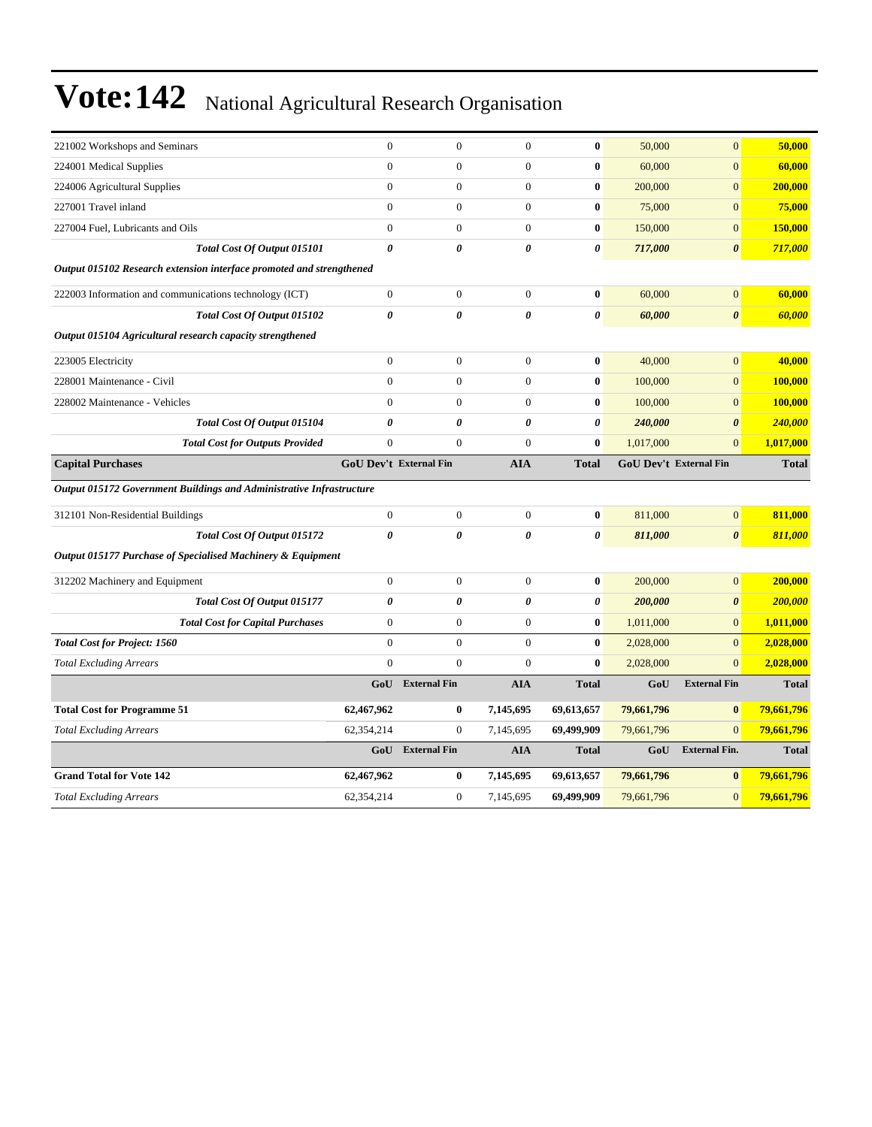| 221002 Workshops and Seminars                                        | $\mathbf{0}$          | $\mathbf{0}$           | $\overline{0}$   | $\bf{0}$              | 50,000     | $\overline{0}$         | 50,000         |
|----------------------------------------------------------------------|-----------------------|------------------------|------------------|-----------------------|------------|------------------------|----------------|
| 224001 Medical Supplies                                              | $\mathbf{0}$          | $\overline{0}$         | $\overline{0}$   | $\bf{0}$              | 60,000     | $\overline{0}$         | 60,000         |
| 224006 Agricultural Supplies                                         | $\mathbf{0}$          | $\boldsymbol{0}$       | $\boldsymbol{0}$ | $\bf{0}$              | 200,000    | $\boldsymbol{0}$       | 200,000        |
| 227001 Travel inland                                                 | $\mathbf{0}$          | $\overline{0}$         | $\overline{0}$   | $\bf{0}$              | 75,000     | $\overline{0}$         | 75,000         |
| 227004 Fuel, Lubricants and Oils                                     | $\theta$              | $\overline{0}$         | $\overline{0}$   | $\bf{0}$              | 150,000    | $\overline{0}$         | 150,000        |
| Total Cost Of Output 015101                                          | 0                     | $\theta$               | 0                | 0                     | 717,000    | $\boldsymbol{\theta}$  | 717,000        |
| Output 015102 Research extension interface promoted and strengthened |                       |                        |                  |                       |            |                        |                |
| 222003 Information and communications technology (ICT)               | $\mathbf{0}$          | $\boldsymbol{0}$       | $\boldsymbol{0}$ | $\bf{0}$              | 60,000     | $\overline{0}$         | 60,000         |
| Total Cost Of Output 015102                                          | $\boldsymbol{\theta}$ | 0                      | 0                | $\boldsymbol{\theta}$ | 60,000     | $\boldsymbol{\theta}$  | 60,000         |
| Output 015104 Agricultural research capacity strengthened            |                       |                        |                  |                       |            |                        |                |
| 223005 Electricity                                                   | $\boldsymbol{0}$      | $\boldsymbol{0}$       | $\boldsymbol{0}$ | $\bf{0}$              | 40,000     | $\overline{0}$         | 40,000         |
| 228001 Maintenance - Civil                                           | $\mathbf{0}$          | $\boldsymbol{0}$       | $\boldsymbol{0}$ | $\bf{0}$              | 100,000    | $\overline{0}$         | 100,000        |
| 228002 Maintenance - Vehicles                                        | $\mathbf{0}$          | $\boldsymbol{0}$       | $\boldsymbol{0}$ | $\bf{0}$              | 100,000    | $\boldsymbol{0}$       | <b>100,000</b> |
| Total Cost Of Output 015104                                          | 0                     | 0                      | 0                | 0                     | 240,000    | $\boldsymbol{\theta}$  | 240,000        |
| <b>Total Cost for Outputs Provided</b>                               | $\boldsymbol{0}$      | $\boldsymbol{0}$       | $\overline{0}$   | $\bf{0}$              | 1,017,000  | $\overline{0}$         | 1,017,000      |
| <b>Capital Purchases</b>                                             |                       | GoU Dev't External Fin | <b>AIA</b>       | <b>Total</b>          |            | GoU Dev't External Fin | <b>Total</b>   |
| Output 015172 Government Buildings and Administrative Infrastructure |                       |                        |                  |                       |            |                        |                |
| 312101 Non-Residential Buildings                                     | $\boldsymbol{0}$      | $\boldsymbol{0}$       | $\mathbf{0}$     | $\bf{0}$              | 811,000    | $\overline{0}$         | 811,000        |
| Total Cost Of Output 015172                                          | $\boldsymbol{\theta}$ | 0                      | 0                | $\boldsymbol{\theta}$ | 811,000    | $\boldsymbol{\theta}$  | 811,000        |
| Output 015177 Purchase of Specialised Machinery & Equipment          |                       |                        |                  |                       |            |                        |                |
| 312202 Machinery and Equipment                                       | $\mathbf{0}$          | $\overline{0}$         | $\overline{0}$   | $\bf{0}$              | 200,000    | $\overline{0}$         | 200,000        |
| Total Cost Of Output 015177                                          | 0                     | 0                      | 0                | 0                     | 200,000    | $\boldsymbol{\theta}$  | 200,000        |
| <b>Total Cost for Capital Purchases</b>                              | $\boldsymbol{0}$      | $\boldsymbol{0}$       | $\boldsymbol{0}$ | $\bf{0}$              | 1,011,000  | $\boldsymbol{0}$       | 1,011,000      |
| <b>Total Cost for Project: 1560</b>                                  | $\boldsymbol{0}$      | $\boldsymbol{0}$       | $\boldsymbol{0}$ | $\bf{0}$              | 2,028,000  | $\overline{0}$         | 2,028,000      |
| <b>Total Excluding Arrears</b>                                       | $\overline{0}$        | $\overline{0}$         | $\overline{0}$   | $\bf{0}$              | 2,028,000  | $\overline{0}$         | 2,028,000      |
|                                                                      | GoU                   | <b>External Fin</b>    | <b>AIA</b>       | <b>Total</b>          | GoU        | <b>External Fin</b>    | <b>Total</b>   |
| <b>Total Cost for Programme 51</b>                                   | 62,467,962            | 0                      | 7,145,695        | 69,613,657            | 79,661,796 | $\bf{0}$               | 79,661,796     |
| <b>Total Excluding Arrears</b>                                       | 62,354,214            | $\mathbf{0}$           | 7,145,695        | 69,499,909            | 79,661,796 | $\overline{0}$         | 79,661,796     |
|                                                                      | GoU                   | <b>External Fin</b>    | <b>AIA</b>       | <b>Total</b>          | GoU        | <b>External Fin.</b>   | <b>Total</b>   |
| <b>Grand Total for Vote 142</b>                                      | 62,467,962            | 0                      | 7,145,695        | 69,613,657            | 79,661,796 | $\bf{0}$               | 79,661,796     |
| <b>Total Excluding Arrears</b>                                       | 62,354,214            | $\boldsymbol{0}$       | 7,145,695        | 69,499,909            | 79,661,796 | $\overline{0}$         | 79,661,796     |